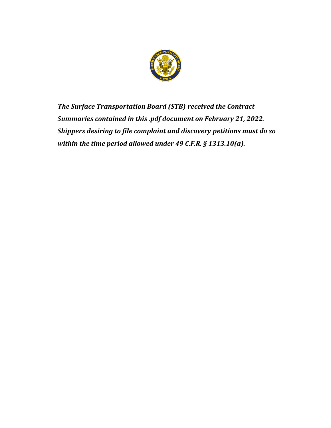

*The Surface Transportation Board (STB) received the Contract Summaries contained in this .pdf document on February 21, 2022. Shippers desiring to file complaint and discovery petitions must do so within the time period allowed under 49 C.F.R. § 1313.10(a).*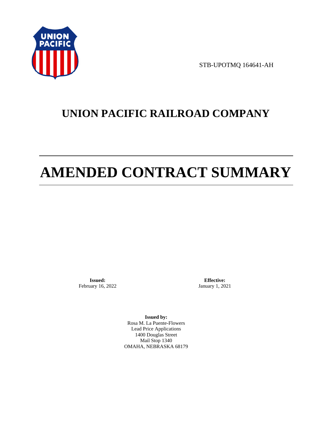

STB-UPOTMQ 164641-AH

# **UNION PACIFIC RAILROAD COMPANY**

# **AMENDED CONTRACT SUMMARY**

**Issued:**  February 16, 2022

**Effective:** January 1, 2021

**Issued by:**  Rosa M. La Puente-Flowers Lead Price Applications 1400 Douglas Street Mail Stop 1340 OMAHA, NEBRASKA 68179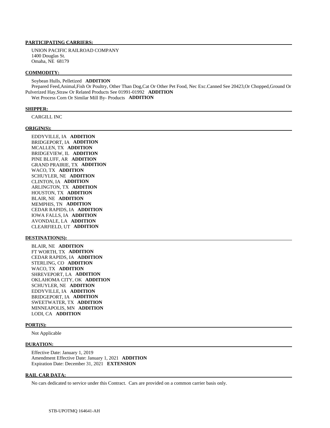# **PARTICIPATING CARRIERS:**

 UNION PACIFIC RAILROAD COMPANY 1400 Douglas St. Omaha, NE 68179

#### **COMMODITY:**

 Soybean Hulls, Pelletized **ADDITION**  Prepared Feed,Animal,Fish Or Poultry, Other Than Dog,Cat Or Other Pet Food, Nec Exc.Canned See 20423,Or Chopped,Ground Or Pulverized Hay,Straw Or Related Products See 01991-01992 **ADDITION**  Wet Process Corn Or Similar Mill By- Products **ADDITION** 

#### **SHIPPER:**

CARGILL INC

#### **ORIGIN(S):**

 EDDYVILLE, IA **ADDITION**  BRIDGEPORT, IA **ADDITION**  MCALLEN, TX **ADDITION**  BRIDGEVIEW, IL **ADDITION**  PINE BLUFF, AR **ADDITION**  GRAND PRAIRIE, TX **ADDITION**  WACO, TX **ADDITION**  SCHUYLER, NE **ADDITION**  CLINTON, IA **ADDITION**  ARLINGTON, TX **ADDITION**  HOUSTON, TX **ADDITION**  BLAIR, NE **ADDITION**  MEMPHIS, TN **ADDITION**  CEDAR RAPIDS, IA **ADDITION**  IOWA FALLS, IA **ADDITION**  AVONDALE, LA **ADDITION**  CLEARFIELD, UT **ADDITION** 

#### **DESTINATION(S):**

 BLAIR, NE **ADDITION**  FT WORTH, TX **ADDITION**  CEDAR RAPIDS, IA **ADDITION**  STERLING, CO **ADDITION**  WACO, TX **ADDITION**  SHREVEPORT, LA **ADDITION**  OKLAHOMA CITY, OK **ADDITION**  SCHUYLER, NE **ADDITION**  EDDYVILLE, IA **ADDITION**  BRIDGEPORT, IA **ADDITION**  SWEETWATER, TX **ADDITION**  MINNEAPOLIS, MN **ADDITION**  LODI, CA **ADDITION** 

#### **PORT(S):**

Not Applicable

#### **DURATION:**

 Effective Date: January 1, 2019 Amendment Effective Date: January 1, 2021 **ADDITION**  Expiration Date: December 31, 2021 **EXTENSION** 

#### **RAIL CAR DATA:**

No cars dedicated to service under this Contract. Cars are provided on a common carrier basis only.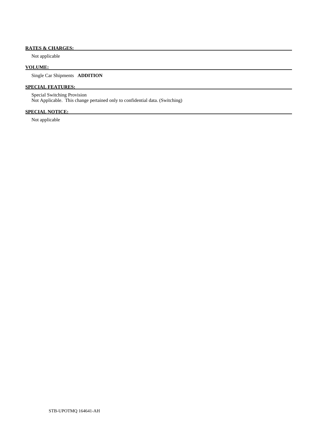# **RATES & CHARGES:**

Not applicable

## **VOLUME:**

Single Car Shipments **ADDITION** 

# **SPECIAL FEATURES:**

 Special Switching Provision Not Applicable. This change pertained only to confidential data. (Switching)

# **SPECIAL NOTICE:**

Not applicable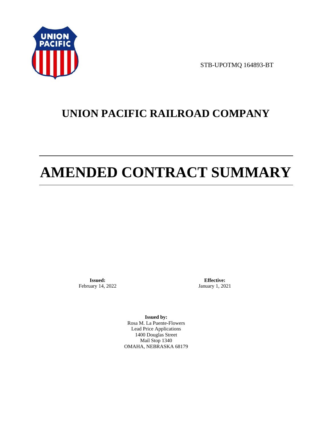

STB-UPOTMQ 164893-BT

# **UNION PACIFIC RAILROAD COMPANY**

# **AMENDED CONTRACT SUMMARY**

**Issued:**  February 14, 2022

**Effective:** January 1, 2021

**Issued by:**  Rosa M. La Puente-Flowers Lead Price Applications 1400 Douglas Street Mail Stop 1340 OMAHA, NEBRASKA 68179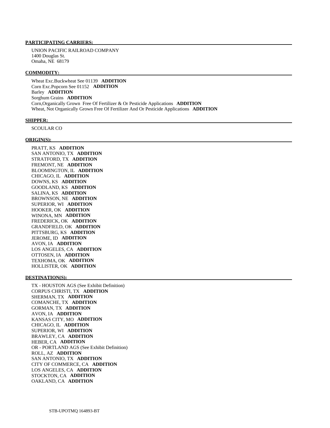# **PARTICIPATING CARRIERS:**

 UNION PACIFIC RAILROAD COMPANY 1400 Douglas St. Omaha, NE 68179

#### **COMMODITY:**

 Wheat Exc.Buckwheat See 01139 **ADDITION**  Corn Exc.Popcorn See 01152 **ADDITION**  Barley **ADDITION**  Sorghum Grains **ADDITION**  Corn,Organically Grown Free Of Fertilizer & Or Pesticide Applications **ADDITION**  Wheat, Not Organically Grown Free Of Fertilizer And Or Pesticide Applications **ADDITION** 

#### **SHIPPER:**

SCOULAR CO

#### **ORIGIN(S):**

 PRATT, KS **ADDITION**  SAN ANTONIO, TX **ADDITION**  STRATFORD, TX **ADDITION**  FREMONT, NE **ADDITION**  BLOOMINGTON, IL **ADDITION**  CHICAGO, IL **ADDITION**  DOWNS, KS **ADDITION**  GOODLAND, KS **ADDITION**  SALINA, KS **ADDITION**  BROWNSON, NE **ADDITION**  SUPERIOR, WI **ADDITION**  HOOKER, OK **ADDITION**  WINONA, MN **ADDITION**  FREDERICK, OK **ADDITION**  GRANDFIELD, OK **ADDITION**  PITTSBURG, KS **ADDITION**  JEROME, ID **ADDITION**  AVON, IA **ADDITION**  LOS ANGELES, CA **ADDITION**  OTTOSEN, IA **ADDITION**  TEXHOMA, OK **ADDITION**  HOLLISTER, OK **ADDITION** 

#### **DESTINATION(S):**

 TX - HOUSTON AGS (See Exhibit Definition) CORPUS CHRISTI, TX **ADDITION**  SHERMAN, TX **ADDITION**  COMANCHE, TX **ADDITION**  GORMAN, TX **ADDITION**  AVON, IA **ADDITION**  KANSAS CITY, MO **ADDITION**  CHICAGO, IL **ADDITION**  SUPERIOR, WI **ADDITION**  BRAWLEY, CA **ADDITION**  HEBER, CA **ADDITION**  OR - PORTLAND AGS (See Exhibit Definition) ROLL, AZ **ADDITION**  SAN ANTONIO, TX **ADDITION**  CITY OF COMMERCE, CA **ADDITION**  LOS ANGELES, CA **ADDITION**  STOCKTON, CA **ADDITION**  OAKLAND, CA **ADDITION**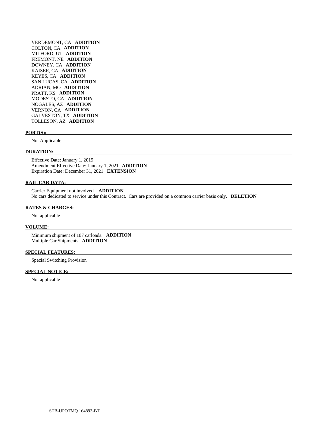VERDEMONT, CA **ADDITION**  COLTON, CA **ADDITION**  MILFORD, UT **ADDITION**  FREMONT, NE **ADDITION**  DOWNEY, CA **ADDITION**  KAISER, CA **ADDITION**  KEYES, CA **ADDITION**  SAN LUCAS, CA **ADDITION**  ADRIAN, MO **ADDITION**  PRATT, KS **ADDITION**  MODESTO, CA **ADDITION**  NOGALES, AZ **ADDITION**  VERNON, CA **ADDITION**  GALVESTON, TX **ADDITION**  TOLLESON, AZ **ADDITION** 

#### **PORT(S):**

Not Applicable

#### **DURATION:**

 Effective Date: January 1, 2019 Amendment Effective Date: January 1, 2021 **ADDITION**  Expiration Date: December 31, 2021 **EXTENSION** 

### **RAIL CAR DATA:**

 Carrier Equipment not involved. **ADDITION**  No cars dedicated to service under this Contract. Cars are provided on a common carrier basis only. **DELETION** 

#### **RATES & CHARGES:**

Not applicable

#### **VOLUME:**

 Minimum shipment of 107 carloads. **ADDITION**  Multiple Car Shipments **ADDITION** 

#### **SPECIAL FEATURES:**

Special Switching Provision

# **SPECIAL NOTICE:**

Not applicable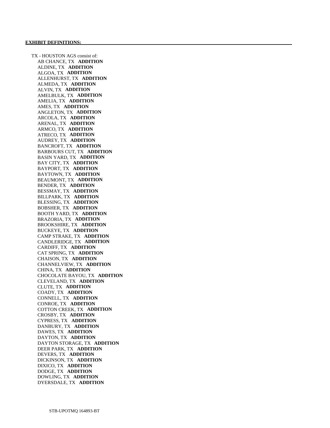TX - HOUSTON AGS consist of: AB CHANCE, TX **ADDITION**  ALDINE, TX **ADDITION**  ALGOA, TX **ADDITION**  ALLENHURST, TX **ADDITION**  ALMEDA, TX **ADDITION**  ALVIN, TX **ADDITION**  AMELBULK, TX **ADDITION**  AMELIA, TX **ADDITION**  AMES, TX **ADDITION**  ANGLETON, TX **ADDITION**  ARCOLA, TX **ADDITION**  ARENAL, TX **ADDITION**  ARMCO, TX **ADDITION**  ATRECO, TX **ADDITION**  AUDREY, TX **ADDITION**  BANCROFT, TX **ADDITION**  BARBOURS CUT, TX **ADDITION**  BASIN YARD, TX **ADDITION**  BAY CITY, TX **ADDITION**  BAYPORT, TX **ADDITION**  BAYTOWN, TX **ADDITION**  BEAUMONT, TX **ADDITION**  BENDER, TX **ADDITION**  BESSMAY, TX **ADDITION**  BILLPARK, TX **ADDITION**  BLESSING, TX **ADDITION**  BOBSHER, TX **ADDITION**  BOOTH YARD, TX **ADDITION**  BRAZORIA, TX **ADDITION**  BROOKSHIRE, TX **ADDITION**  BUCKEYE, TX **ADDITION**  CAMP STRAKE, TX **ADDITION**  CANDLERIDGE, TX **ADDITION**  CARDIFF, TX **ADDITION**  CAT SPRING, TX **ADDITION**  CHAISON, TX **ADDITION**  CHANNELVIEW, TX **ADDITION**  CHINA, TX **ADDITION**  CHOCOLATE BAYOU, TX **ADDITION**  CLEVELAND, TX **ADDITION**  CLUTE, TX **ADDITION**  COADY, TX **ADDITION**  CONNELL, TX **ADDITION**  CONROE, TX **ADDITION**  COTTON CREEK, TX **ADDITION**  CROSBY, TX **ADDITION**  CYPRESS, TX **ADDITION**  DANBURY, TX **ADDITION**  DAWES, TX **ADDITION**  DAYTON, TX **ADDITION**  DAYTON STORAGE, TX **ADDITION**  DEER PARK, TX **ADDITION**  DEVERS, TX **ADDITION**  DICKINSON, TX **ADDITION**  DIXICO, TX **ADDITION**  DODGE, TX **ADDITION**  DOWLING, TX **ADDITION**  DYERSDALE, TX **ADDITION**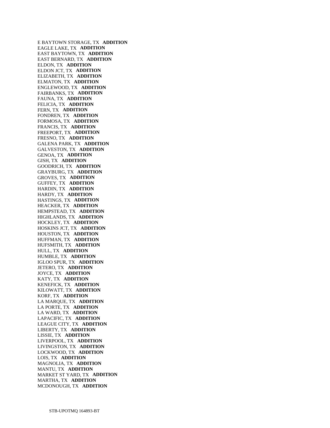E BAYTOWN STORAGE, TX **ADDITION**  EAGLE LAKE, TX **ADDITION**  EAST BAYTOWN, TX **ADDITION**  EAST BERNARD, TX **ADDITION**  ELDON, TX **ADDITION**  ELDON JCT, TX **ADDITION**  ELIZABETH, TX **ADDITION**  ELMATON, TX **ADDITION**  ENGLEWOOD, TX **ADDITION**  FAIRBANKS, TX **ADDITION**  FAUNA, TX **ADDITION**  FELICIA, TX **ADDITION**  FERN, TX **ADDITION**  FONDREN, TX **ADDITION**  FORMOSA, TX **ADDITION**  FRANCIS, TX **ADDITION**  FREEPORT, TX **ADDITION**  FRESNO, TX **ADDITION**  GALENA PARK, TX **ADDITION**  GALVESTON, TX **ADDITION**  GENOA, TX **ADDITION**  GISH, TX **ADDITION**  GOODRICH, TX **ADDITION**  GRAYBURG, TX **ADDITION**  GROVES, TX **ADDITION**  GUFFEY, TX **ADDITION**  HARDIN, TX **ADDITION**  HARDY, TX **ADDITION**  HASTINGS, TX **ADDITION**  HEACKER, TX **ADDITION**  HEMPSTEAD, TX **ADDITION**  HIGHLANDS, TX **ADDITION**  HOCKLEY, TX **ADDITION**  HOSKINS JCT, TX **ADDITION**  HOUSTON, TX **ADDITION**  HUFFMAN, TX **ADDITION**  HUFSMITH, TX **ADDITION**  HULL, TX **ADDITION**  HUMBLE, TX **ADDITION**  IGLOO SPUR, TX **ADDITION**  JETERO, TX **ADDITION**  JOYCE, TX **ADDITION**  KATY, TX **ADDITION**  KENEFICK, TX **ADDITION**  KILOWATT, TX **ADDITION**  KORF, TX **ADDITION**  LA MARQUE, TX **ADDITION**  LA PORTE, TX **ADDITION**  LA WARD, TX **ADDITION**  LAPACIFIC, TX **ADDITION**  LEAGUE CITY, TX **ADDITION**  LIBERTY, TX **ADDITION**  LISSIE, TX **ADDITION**  LIVERPOOL, TX **ADDITION**  LIVINGSTON, TX **ADDITION**  LOCKWOOD, TX **ADDITION**  LOIS, TX **ADDITION**  MAGNOLIA, TX **ADDITION**  MANTU, TX **ADDITION**  MARKET ST YARD, TX **ADDITION**  MARTHA, TX **ADDITION**  MCDONOUGH, TX **ADDITION**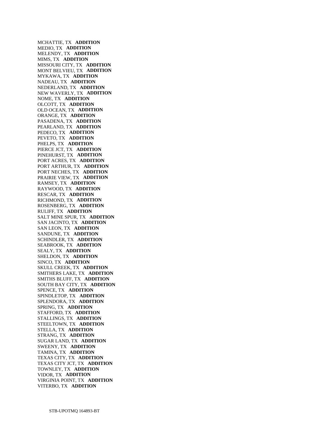MCHATTIE, TX **ADDITION**  MEDIO, TX **ADDITION**  MELENDY, TX **ADDITION**  MIMS, TX **ADDITION**  MISSOURI CITY, TX **ADDITION**  MONT BELVIEU, TX **ADDITION**  MYKAWA, TX **ADDITION**  NADEAU, TX **ADDITION**  NEDERLAND, TX **ADDITION**  NEW WAVERLY, TX **ADDITION**  NOME, TX **ADDITION**  OLCOTT, TX **ADDITION**  OLD OCEAN, TX **ADDITION**  ORANGE, TX **ADDITION**  PASADENA, TX **ADDITION**  PEARLAND, TX **ADDITION**  PEDECO, TX **ADDITION**  PEVETO, TX **ADDITION**  PHELPS, TX **ADDITION**  PIERCE JCT, TX **ADDITION**  PINEHURST, TX **ADDITION**  PORT ACRES, TX **ADDITION**  PORT ARTHUR, TX **ADDITION**  PORT NECHES, TX **ADDITION**  PRAIRIE VIEW, TX **ADDITION**  RAMSEY, TX **ADDITION**  RAYWOOD, TX **ADDITION**  RESCAR, TX **ADDITION**  RICHMOND, TX **ADDITION**  ROSENBERG, TX **ADDITION**  RULIFF, TX **ADDITION**  SALT MINE SPUR, TX **ADDITION**  SAN JACINTO, TX **ADDITION**  SAN LEON, TX **ADDITION**  SANDUNE, TX **ADDITION**  SCHINDLER, TX **ADDITION**  SEABROOK, TX **ADDITION**  SEALY, TX **ADDITION**  SHELDON, TX **ADDITION**  SINCO, TX **ADDITION**  SKULL CREEK, TX **ADDITION**  SMITHERS LAKE, TX **ADDITION**  SMITHS BLUFF, TX **ADDITION**  SOUTH BAY CITY, TX **ADDITION**  SPENCE, TX **ADDITION**  SPINDLETOP, TX **ADDITION**  SPLENDORA, TX **ADDITION**  SPRING, TX **ADDITION**  STAFFORD, TX **ADDITION**  STALLINGS, TX **ADDITION**  STEELTOWN, TX **ADDITION**  STELLA, TX **ADDITION**  STRANG, TX **ADDITION**  SUGAR LAND, TX **ADDITION**  SWEENY, TX **ADDITION**  TAMINA, TX **ADDITION**  TEXAS CITY, TX **ADDITION**  TEXAS CITY JCT, TX **ADDITION**  TOWNLEY, TX **ADDITION**  VIDOR, TX **ADDITION**  VIRGINIA POINT, TX **ADDITION**  VITERBO, TX **ADDITION**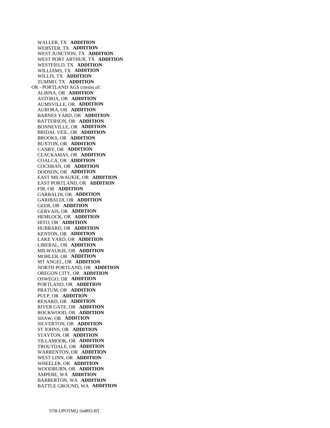WALLER, TX **ADDITION**  WEBSTER, TX **ADDITION**  WEST JUNCTION, TX **ADDITION**  WEST PORT ARTHUR, TX **ADDITION**  WESTFIELD, TX **ADDITION**  WILLIAMS, TX **ADDITION**  WILLIS, TX **ADDITION**  ZUMMO, TX **ADDITION**  OR - PORTLAND AGS consist of: ALBINA, OR **ADDITION**  ASTORIA, OR **ADDITION**  AUMSVILLE, OR **ADDITION**  AURORA, OR **ADDITION**  BARNES YARD, OR **ADDITION**  BATTERSON, OR **ADDITION**  BONNEVILLE, OR **ADDITION**  BRIDAL VEIL, OR **ADDITION**  BROOKS, OR **ADDITION**  BUXTON, OR **ADDITION**  CANBY, OR **ADDITION**  CLACKAMAS, OR **ADDITION**  COALCA, OR **ADDITION**  COCHRAN, OR **ADDITION**  DODSON, OR **ADDITION**  EAST MILWAUKIE, OR **ADDITION**  EAST PORTLAND, OR **ADDITION**  FIR, OR **ADDITION**  GARBALDI, OR **ADDITION**  GARIBALDI, OR **ADDITION**  GEER, OR **ADDITION**  GERVAIS, OR **ADDITION**  HEMLOCK, OR **ADDITION**  HITO, OR **ADDITION**  HUBBARD, OR **ADDITION**  KENTON, OR **ADDITION**  LAKE YARD, OR **ADDITION**  LIBERAL, OR **ADDITION**  MILWAUKIE, OR **ADDITION**  MOHLER, OR **ADDITION**  MT ANGEL, OR **ADDITION**  NORTH PORTLAND, OR **ADDITION**  OREGON CITY, OR **ADDITION**  OSWEGO, OR **ADDITION**  PORTLAND, OR **ADDITION**  PRATUM, OR **ADDITION**  PULP, OR **ADDITION**  RENARD, OR **ADDITION**  RIVER GATE, OR **ADDITION**  ROCKWOOD, OR **ADDITION**  SHAW, OR **ADDITION**  SILVERTON, OR **ADDITION**  ST JOHNS, OR **ADDITION**  STAYTON, OR **ADDITION**  TILLAMOOK, OR **ADDITION**  TROUTDALE, OR **ADDITION**  WARRENTON, OR **ADDITION**  WEST LINN, OR **ADDITION**  WHEELER, OR **ADDITION**  WOODBURN, OR **ADDITION**  AMPERE, WA **ADDITION**  BARBERTON, WA **ADDITION**  BATTLE GROUND, WA **ADDITION**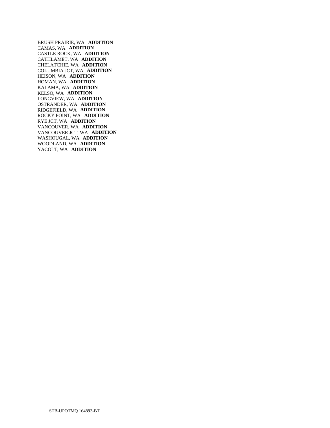BRUSH PRAIRIE, WA **ADDITION**  CAMAS, WA **ADDITION**  CASTLE ROCK, WA **ADDITION**  CATHLAMET, WA **ADDITION**  CHELATCHIE, WA **ADDITION**  COLUMBIA JCT, WA **ADDITION**  HEISON, WA **ADDITION**  HOMAN, WA **ADDITION**  KALAMA, WA **ADDITION**  KELSO, WA **ADDITION**  LONGVIEW, WA **ADDITION**  OSTRANDER, WA **ADDITION**  RIDGEFIELD, WA **ADDITION**  ROCKY POINT, WA **ADDITION**  RYE JCT, WA **ADDITION**  VANCOUVER, WA **ADDITION**  VANCOUVER JCT, WA **ADDITION**  WASHOUGAL, WA **ADDITION**  WOODLAND, WA **ADDITION**  YACOLT, WA **ADDITION**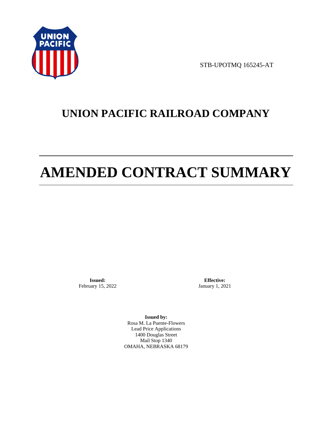

STB-UPOTMQ 165245-AT

# **UNION PACIFIC RAILROAD COMPANY**

# **AMENDED CONTRACT SUMMARY**

**Issued:**  February 15, 2022

**Effective:** January 1, 2021

**Issued by:**  Rosa M. La Puente-Flowers Lead Price Applications 1400 Douglas Street Mail Stop 1340 OMAHA, NEBRASKA 68179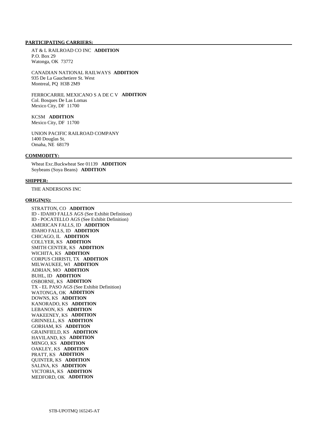## **PARTICIPATING CARRIERS:**

 AT & L RAILROAD CO INC **ADDITION**  P.O. Box 29 Watonga, OK 73772

 CANADIAN NATIONAL RAILWAYS **ADDITION**  935 De La Gauchetiere St. West Montreal, PQ H3B 2M9

 FERROCARRIL MEXICANO S A DE C V **ADDITION**  Col. Bosques De Las Lomas Mexico City, DF 11700

# KCSM **ADDITION**

Mexico City, DF 11700

 UNION PACIFIC RAILROAD COMPANY 1400 Douglas St. Omaha, NE 68179

#### **COMMODITY:**

 Wheat Exc.Buckwheat See 01139 **ADDITION**  Soybeans (Soya Beans) **ADDITION** 

#### **SHIPPER:**

THE ANDERSONS INC

#### **ORIGIN(S):**

 STRATTON, CO **ADDITION**  ID - IDAHO FALLS AGS (See Exhibit Definition) ID - POCATELLO AGS (See Exhibit Definition) AMERICAN FALLS, ID **ADDITION**  IDAHO FALLS, ID **ADDITION**  CHICAGO, IL **ADDITION**  COLLYER, KS **ADDITION**  SMITH CENTER, KS **ADDITION**  WICHITA, KS **ADDITION**  CORPUS CHRISTI, TX **ADDITION**  MILWAUKEE, WI **ADDITION**  ADRIAN, MO **ADDITION**  BUHL, ID **ADDITION**  OSBORNE, KS **ADDITION**  TX - EL PASO AGS (See Exhibit Definition) WATONGA, OK **ADDITION**  DOWNS, KS **ADDITION**  KANORADO, KS **ADDITION**  LEBANON, KS **ADDITION**  WAKEENEY, KS **ADDITION**  GRINNELL, KS **ADDITION**  GORHAM, KS **ADDITION**  GRAINFIELD, KS **ADDITION**  HAVILAND, KS **ADDITION**  MINGO, KS **ADDITION**  OAKLEY, KS **ADDITION**  PRATT, KS **ADDITION**  QUINTER, KS **ADDITION**  SALINA, KS **ADDITION**  VICTORIA, KS **ADDITION**  MEDFORD, OK **ADDITION**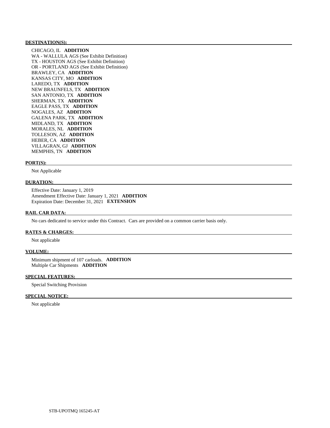#### **DESTINATION(S):**

 CHICAGO, IL **ADDITION**  WA - WALLULA AGS (See Exhibit Definition) TX - HOUSTON AGS (See Exhibit Definition) OR - PORTLAND AGS (See Exhibit Definition) BRAWLEY, CA **ADDITION**  KANSAS CITY, MO **ADDITION**  LAREDO, TX **ADDITION**  NEW BRAUNFELS, TX **ADDITION**  SAN ANTONIO, TX **ADDITION**  SHERMAN, TX **ADDITION**  EAGLE PASS, TX **ADDITION**  NOGALES, AZ **ADDITION**  GALENA PARK, TX **ADDITION**  MIDLAND, TX **ADDITION**  MORALES, NL **ADDITION**  TOLLESON, AZ **ADDITION**  HEBER, CA **ADDITION**  VILLAGRAN, GJ **ADDITION**  MEMPHIS, TN **ADDITION** 

#### **PORT(S):**

Not Applicable

#### **DURATION:**

 Effective Date: January 1, 2019 Amendment Effective Date: January 1, 2021 **ADDITION**  Expiration Date: December 31, 2021 **EXTENSION** 

#### **RAIL CAR DATA:**

No cars dedicated to service under this Contract. Cars are provided on a common carrier basis only.

#### **RATES & CHARGES:**

Not applicable

#### **VOLUME:**

 Minimum shipment of 107 carloads. **ADDITION**  Multiple Car Shipments **ADDITION** 

#### **SPECIAL FEATURES:**

Special Switching Provision

## **SPECIAL NOTICE:**

Not applicable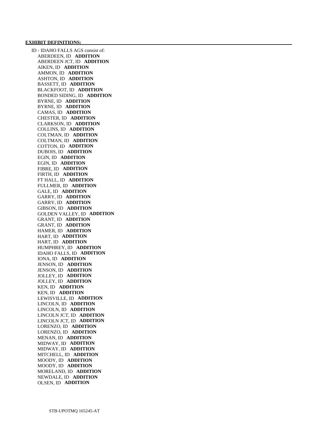#### **EXHIBIT DEFINITIONS:**

 ID - IDAHO FALLS AGS consist of: ABERDEEN, ID **ADDITION**  ABERDEEN JCT, ID **ADDITION**  AIKEN, ID **ADDITION**  AMMON, ID **ADDITION**  ASHTON, ID **ADDITION**  BASSETT, ID **ADDITION**  BLACKFOOT, ID **ADDITION**  BONDED SIDING, ID **ADDITION**  BYRNE, ID **ADDITION**  BYRNE, ID **ADDITION**  CAMAS, ID **ADDITION**  CHESTER, ID **ADDITION**  CLARKSON, ID **ADDITION**  COLLINS, ID **ADDITION**  COLTMAN, ID **ADDITION**  COLTMAN, ID **ADDITION**  COTTON, ID **ADDITION**  DUBOIS, ID **ADDITION**  EGIN, ID **ADDITION**  EGIN, ID **ADDITION**  FIBRE, ID **ADDITION**  FIRTH, ID **ADDITION**  FT HALL, ID **ADDITION**  FULLMER, ID **ADDITION**  GALE, ID **ADDITION**  GARRY, ID **ADDITION**  GARRY, ID **ADDITION**  GIBSON, ID **ADDITION**  GOLDEN VALLEY, ID **ADDITION**  GRANT, ID **ADDITION**  GRANT, ID **ADDITION**  HAMER, ID **ADDITION**  HART, ID **ADDITION**  HART, ID **ADDITION**  HUMPHREY, ID **ADDITION**  IDAHO FALLS, ID **ADDITION**  IONA, ID **ADDITION**  JENSON, ID **ADDITION**  JENSON, ID **ADDITION**  JOLLEY, ID **ADDITION**  JOLLEY, ID **ADDITION**  KEN, ID **ADDITION**  KEN, ID **ADDITION**  LEWISVILLE, ID **ADDITION**  LINCOLN, ID **ADDITION**  LINCOLN, ID **ADDITION**  LINCOLN JCT, ID **ADDITION**  LINCOLN JCT, ID **ADDITION**  LORENZO, ID **ADDITION**  LORENZO, ID **ADDITION**  MENAN, ID **ADDITION**  MIDWAY, ID **ADDITION**  MIDWAY, ID **ADDITION**  MITCHELL, ID **ADDITION**  MOODY, ID **ADDITION**  MOODY, ID **ADDITION**  MORELAND, ID **ADDITION**  NEWDALE, ID **ADDITION**  OLSEN, ID **ADDITION**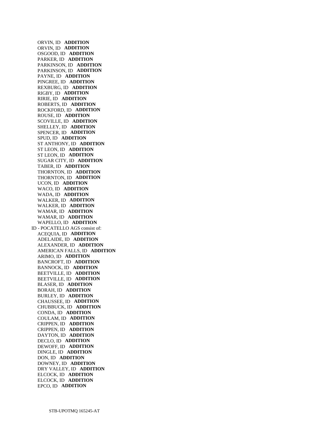ORVIN, ID **ADDITION**  ORVIN, ID **ADDITION**  OSGOOD, ID **ADDITION**  PARKER, ID **ADDITION**  PARKINSON, ID **ADDITION**  PARKINSON, ID **ADDITION**  PAYNE, ID **ADDITION**  PINGREE, ID **ADDITION**  REXBURG, ID **ADDITION**  RIGBY, ID **ADDITION**  RIRIE, ID **ADDITION**  ROBERTS, ID **ADDITION**  ROCKFORD, ID **ADDITION**  ROUSE, ID **ADDITION**  SCOVILLE, ID **ADDITION**  SHELLEY, ID **ADDITION**  SPENCER, ID **ADDITION**  SPUD, ID **ADDITION**  ST ANTHONY, ID **ADDITION**  ST LEON, ID **ADDITION**  ST LEON, ID **ADDITION**  SUGAR CITY, ID **ADDITION**  TABER, ID **ADDITION**  THORNTON, ID **ADDITION**  THORNTON, ID **ADDITION**  UCON, ID **ADDITION**  WACO, ID **ADDITION**  WADA, ID **ADDITION**  WALKER, ID **ADDITION**  WALKER, ID **ADDITION**  WAMAR, ID **ADDITION**  WAMAR, ID **ADDITION**  WAPELLO, ID **ADDITION**  ID - POCATELLO AGS consist of: ACEQUIA, ID **ADDITION**  ADELAIDE, ID **ADDITION**  ALEXANDER, ID **ADDITION**  AMERICAN FALLS, ID **ADDITION**  ARIMO, ID **ADDITION**  BANCROFT, ID **ADDITION**  BANNOCK, ID **ADDITION**  BEETVILLE, ID **ADDITION**  BEETVILLE, ID **ADDITION**  BLASER, ID **ADDITION**  BORAH, ID **ADDITION**  BURLEY, ID **ADDITION**  CHAUSSEE, ID **ADDITION**  CHUBBUCK, ID **ADDITION**  CONDA, ID **ADDITION**  COULAM, ID **ADDITION**  CRIPPEN, ID **ADDITION**  CRIPPEN, ID **ADDITION**  DAYTON, ID **ADDITION**  DECLO, ID **ADDITION**  DEWOFF, ID **ADDITION**  DINGLE, ID **ADDITION**  DON, ID **ADDITION**  DOWNEY, ID **ADDITION**  DRY VALLEY, ID **ADDITION**  ELCOCK, ID **ADDITION**  ELCOCK, ID **ADDITION**  EPCO, ID **ADDITION**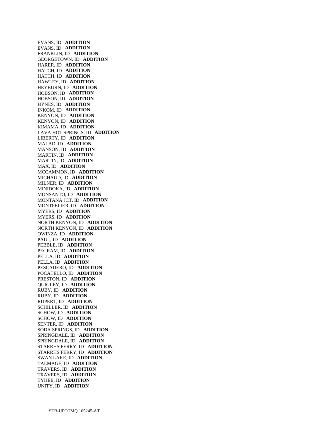EVANS, ID **ADDITION**  EVANS, ID **ADDITION**  FRANKLIN, ID **ADDITION**  GEORGETOWN, ID **ADDITION**  HARER, ID **ADDITION**  HATCH, ID **ADDITION**  HATCH, ID **ADDITION**  HAWLEY, ID **ADDITION**  HEYBURN, ID **ADDITION**  HOBSON, ID **ADDITION**  HOBSON, ID **ADDITION**  HYNES, ID **ADDITION**  INKOM, ID **ADDITION**  KENYON, ID **ADDITION**  KENYON, ID **ADDITION**  KIMAMA, ID **ADDITION**  LAVA HOT SPRINGS, ID **ADDITION**  LIBERTY, ID **ADDITION**  MALAD, ID **ADDITION**  MANSON, ID **ADDITION**  MARTIN, ID **ADDITION**  MARTIN, ID **ADDITION**  MAX, ID **ADDITION**  MCCAMMON, ID **ADDITION**  MICHAUD, ID **ADDITION**  MILNER, ID **ADDITION**  MINIDOKA, ID **ADDITION**  MONSANTO, ID **ADDITION**  MONTANA JCT, ID **ADDITION**  MONTPELIER, ID **ADDITION**  MYERS, ID **ADDITION**  MYERS, ID **ADDITION**  NORTH KENYON, ID **ADDITION**  NORTH KENYON, ID **ADDITION**  OWINZA, ID **ADDITION**  PAUL, ID **ADDITION**  PEBBLE, ID **ADDITION**  PEGRAM, ID **ADDITION**  PELLA, ID **ADDITION**  PELLA, ID **ADDITION**  PESCADERO, ID **ADDITION**  POCATELLO, ID **ADDITION**  PRESTON, ID **ADDITION**  QUIGLEY, ID **ADDITION**  RUBY, ID **ADDITION**  RUBY, ID **ADDITION**  RUPERT, ID **ADDITION**  SCHILLER, ID **ADDITION**  SCHOW, ID **ADDITION**  SCHOW, ID **ADDITION**  SENTER, ID **ADDITION**  SODA SPRINGS, ID **ADDITION**  SPRINGDALE, ID **ADDITION**  SPRINGDALE, ID **ADDITION**  STARRHS FERRY, ID **ADDITION**  STARRHS FERRY, ID **ADDITION**  SWAN LAKE, ID **ADDITION**  TALMAGE, ID **ADDITION**  TRAVERS, ID **ADDITION**  TRAVERS, ID **ADDITION**  TYHEE, ID **ADDITION**  UNITY, ID **ADDITION**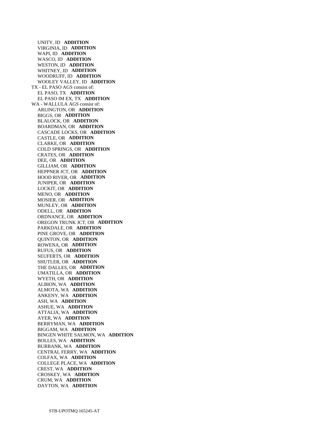UNITY, ID **ADDITION**  VIRGINIA, ID **ADDITION**  WAPI, ID **ADDITION**  WASCO, ID **ADDITION**  WESTON, ID **ADDITION**  WHITNEY, ID **ADDITION**  WOODRUFF, ID **ADDITION**  WOOLEY VALLEY, ID **ADDITION**  TX - EL PASO AGS consist of: EL PASO, TX **ADDITION**  EL PASO IM EX, TX **ADDITION**  WA - WALLULA AGS consist of: ARLINGTON, OR **ADDITION**  BIGGS, OR **ADDITION**  BLALOCK, OR **ADDITION**  BOARDMAN, OR **ADDITION**  CASCADE LOCKS, OR **ADDITION**  CASTLE, OR **ADDITION**  CLARKE, OR **ADDITION**  COLD SPRINGS, OR **ADDITION**  CRATES, OR **ADDITION**  DEE, OR **ADDITION**  GILLIAM, OR **ADDITION**  HEPPNER JCT, OR **ADDITION**  HOOD RIVER, OR **ADDITION**  JUNIPER, OR **ADDITION**  LOCKIT, OR **ADDITION**  MENO, OR **ADDITION**  MOSIER, OR **ADDITION**  MUNLEY, OR **ADDITION**  ODELL, OR **ADDITION**  ORDNANCE, OR **ADDITION**  OREGON TRUNK JCT, OR **ADDITION**  PARKDALE, OR **ADDITION**  PINE GROVE, OR **ADDITION**  QUINTON, OR **ADDITION**  ROWENA, OR **ADDITION**  RUFUS, OR **ADDITION**  SEUFERTS, OR **ADDITION**  SHUTLER, OR **ADDITION**  THE DALLES, OR **ADDITION**  UMATILLA, OR **ADDITION**  WYETH, OR **ADDITION**  ALBION, WA **ADDITION**  ALMOTA, WA **ADDITION**  ANKENY, WA **ADDITION**  ASH, WA **ADDITION**  ASHUE, WA **ADDITION**  ATTALIA, WA **ADDITION**  AYER, WA **ADDITION**  BERRYMAN, WA **ADDITION**  BIGGAM, WA **ADDITION**  BINGEN WHITE SALMON, WA **ADDITION**  BOLLES, WA **ADDITION**  BURBANK, WA **ADDITION**  CENTRAL FERRY, WA **ADDITION**  COLFAX, WA **ADDITION**  COLLEGE PLACE, WA **ADDITION**  CREST, WA **ADDITION**  CROSKEY, WA **ADDITION**  CRUM, WA **ADDITION**  DAYTON, WA **ADDITION**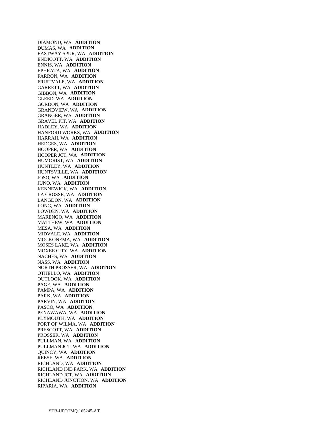DIAMOND, WA **ADDITION**  DUMAS, WA **ADDITION**  EASTWAY SPUR, WA **ADDITION**  ENDICOTT, WA **ADDITION**  ENNIS, WA **ADDITION**  EPHRATA, WA **ADDITION**  FARRON, WA **ADDITION**  FRUITVALE, WA **ADDITION**  GARRETT, WA **ADDITION**  GIBBON, WA **ADDITION**  GLEED, WA **ADDITION**  GORDON, WA **ADDITION**  GRANDVIEW, WA **ADDITION**  GRANGER, WA **ADDITION**  GRAVEL PIT, WA **ADDITION**  HADLEY, WA **ADDITION**  HANFORD WORKS, WA **ADDITION**  HARRAH, WA **ADDITION**  HEDGES, WA **ADDITION**  HOOPER, WA **ADDITION**  HOOPER JCT, WA **ADDITION**  HUMORIST, WA **ADDITION**  HUNTLEY, WA **ADDITION**  HUNTSVILLE, WA **ADDITION**  JOSO, WA **ADDITION**  JUNO, WA **ADDITION**  KENNEWICK, WA **ADDITION**  LA CROSSE, WA **ADDITION**  LANGDON, WA **ADDITION**  LONG, WA **ADDITION**  LOWDEN, WA **ADDITION**  MARENGO, WA **ADDITION**  MATTHEW, WA **ADDITION**  MESA, WA **ADDITION**  MIDVALE, WA **ADDITION**  MOCKONEMA, WA **ADDITION**  MOSES LAKE, WA **ADDITION**  MOXEE CITY, WA **ADDITION**  NACHES, WA **ADDITION**  NASS, WA **ADDITION**  NORTH PROSSER, WA **ADDITION**  OTHELLO, WA **ADDITION**  OUTLOOK, WA **ADDITION**  PAGE, WA **ADDITION**  PAMPA, WA **ADDITION**  PARK, WA **ADDITION**  PARVIN, WA **ADDITION**  PASCO, WA **ADDITION**  PENAWAWA, WA **ADDITION**  PLYMOUTH, WA **ADDITION**  PORT OF WILMA, WA **ADDITION**  PRESCOTT, WA **ADDITION**  PROSSER, WA **ADDITION**  PULLMAN, WA **ADDITION**  PULLMAN JCT, WA **ADDITION**  QUINCY, WA **ADDITION**  REESE, WA **ADDITION**  RICHLAND, WA **ADDITION**  RICHLAND IND PARK, WA **ADDITION**  RICHLAND JCT, WA **ADDITION**  RICHLAND JUNCTION, WA **ADDITION**  RIPARIA, WA **ADDITION**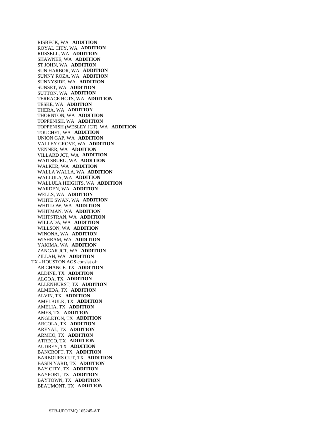RISBECK, WA **ADDITION**  ROYAL CITY, WA **ADDITION**  RUSSELL, WA **ADDITION**  SHAWNEE, WA **ADDITION**  ST JOHN, WA **ADDITION**  SUN HARBOR, WA **ADDITION**  SUNNY ROZA, WA **ADDITION**  SUNNYSIDE, WA **ADDITION**  SUNSET, WA **ADDITION**  SUTTON, WA **ADDITION**  TERRACE HGTS, WA **ADDITION**  TESKE, WA **ADDITION**  THERA, WA **ADDITION**  THORNTON, WA **ADDITION**  TOPPENISH, WA **ADDITION**  TOPPENISH (WESLEY JCT), WA **ADDITION**  TOUCHET, WA **ADDITION**  UNION GAP, WA **ADDITION**  VALLEY GROVE, WA **ADDITION**  VENNER, WA **ADDITION**  VILLARD JCT, WA **ADDITION**  WAITSBURG, WA **ADDITION**  WALKER, WA **ADDITION**  WALLA WALLA, WA **ADDITION**  WALLULA, WA **ADDITION**  WALLULA HEIGHTS, WA **ADDITION**  WARDEN, WA **ADDITION**  WELLS, WA **ADDITION**  WHITE SWAN, WA **ADDITION**  WHITLOW, WA **ADDITION**  WHITMAN, WA **ADDITION**  WHITSTRAN, WA **ADDITION**  WILLADA, WA **ADDITION**  WILLSON, WA **ADDITION**  WINONA, WA **ADDITION**  WISHRAM, WA **ADDITION**  YAKIMA, WA **ADDITION**  ZANGAR JCT, WA **ADDITION**  ZILLAH, WA **ADDITION**  TX - HOUSTON AGS consist of: AB CHANCE, TX **ADDITION**  ALDINE, TX **ADDITION**  ALGOA, TX **ADDITION**  ALLENHURST, TX **ADDITION**  ALMEDA, TX **ADDITION**  ALVIN, TX **ADDITION**  AMELBULK, TX **ADDITION**  AMELIA, TX **ADDITION**  AMES, TX **ADDITION**  ANGLETON, TX **ADDITION**  ARCOLA, TX **ADDITION**  ARENAL, TX **ADDITION**  ARMCO, TX **ADDITION**  ATRECO, TX **ADDITION**  AUDREY, TX **ADDITION**  BANCROFT, TX **ADDITION**  BARBOURS CUT, TX **ADDITION**  BASIN YARD, TX **ADDITION**  BAY CITY, TX **ADDITION**  BAYPORT, TX **ADDITION**  BAYTOWN, TX **ADDITION**  BEAUMONT, TX **ADDITION**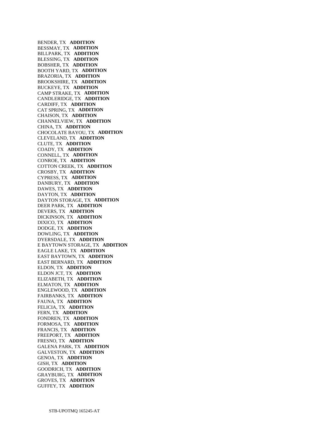BENDER, TX **ADDITION**  BESSMAY, TX **ADDITION**  BILLPARK, TX **ADDITION**  BLESSING, TX **ADDITION**  BOBSHER, TX **ADDITION**  BOOTH YARD, TX **ADDITION**  BRAZORIA, TX **ADDITION**  BROOKSHIRE, TX **ADDITION**  BUCKEYE, TX **ADDITION**  CAMP STRAKE, TX **ADDITION**  CANDLERIDGE, TX **ADDITION**  CARDIFF, TX **ADDITION**  CAT SPRING, TX **ADDITION**  CHAISON, TX **ADDITION**  CHANNELVIEW, TX **ADDITION**  CHINA, TX **ADDITION**  CHOCOLATE BAYOU, TX **ADDITION**  CLEVELAND, TX **ADDITION**  CLUTE, TX **ADDITION**  COADY, TX **ADDITION**  CONNELL, TX **ADDITION**  CONROE, TX **ADDITION**  COTTON CREEK, TX **ADDITION**  CROSBY, TX **ADDITION**  CYPRESS, TX **ADDITION**  DANBURY, TX **ADDITION**  DAWES, TX **ADDITION**  DAYTON, TX **ADDITION**  DAYTON STORAGE, TX **ADDITION**  DEER PARK, TX **ADDITION**  DEVERS, TX **ADDITION**  DICKINSON, TX **ADDITION**  DIXICO, TX **ADDITION**  DODGE, TX **ADDITION**  DOWLING, TX **ADDITION**  DYERSDALE, TX **ADDITION**  E BAYTOWN STORAGE, TX **ADDITION**  EAGLE LAKE, TX **ADDITION**  EAST BAYTOWN, TX **ADDITION**  EAST BERNARD, TX **ADDITION**  ELDON, TX **ADDITION**  ELDON JCT, TX **ADDITION**  ELIZABETH, TX **ADDITION**  ELMATON, TX **ADDITION**  ENGLEWOOD, TX **ADDITION**  FAIRBANKS, TX **ADDITION**  FAUNA, TX **ADDITION**  FELICIA, TX **ADDITION**  FERN, TX **ADDITION**  FONDREN, TX **ADDITION**  FORMOSA, TX **ADDITION**  FRANCIS, TX **ADDITION**  FREEPORT, TX **ADDITION**  FRESNO, TX **ADDITION**  GALENA PARK, TX **ADDITION**  GALVESTON, TX **ADDITION**  GENOA, TX **ADDITION**  GISH, TX **ADDITION**  GOODRICH, TX **ADDITION**  GRAYBURG, TX **ADDITION**  GROVES, TX **ADDITION**  GUFFEY, TX **ADDITION**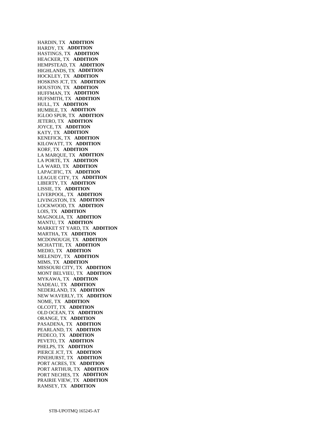HARDIN, TX **ADDITION**  HARDY, TX **ADDITION**  HASTINGS, TX **ADDITION**  HEACKER, TX **ADDITION**  HEMPSTEAD, TX **ADDITION**  HIGHLANDS, TX **ADDITION**  HOCKLEY, TX **ADDITION**  HOSKINS JCT, TX **ADDITION**  HOUSTON, TX **ADDITION**  HUFFMAN, TX **ADDITION**  HUFSMITH, TX **ADDITION**  HULL, TX **ADDITION**  HUMBLE, TX **ADDITION**  IGLOO SPUR, TX **ADDITION**  JETERO, TX **ADDITION**  JOYCE, TX **ADDITION**  KATY, TX **ADDITION**  KENEFICK, TX **ADDITION**  KILOWATT, TX **ADDITION**  KORF, TX **ADDITION**  LA MARQUE, TX **ADDITION**  LA PORTE, TX **ADDITION**  LA WARD, TX **ADDITION**  LAPACIFIC, TX **ADDITION**  LEAGUE CITY, TX **ADDITION**  LIBERTY, TX **ADDITION**  LISSIE, TX **ADDITION**  LIVERPOOL, TX **ADDITION**  LIVINGSTON, TX **ADDITION**  LOCKWOOD, TX **ADDITION**  LOIS, TX **ADDITION**  MAGNOLIA, TX **ADDITION**  MANTU, TX **ADDITION**  MARKET ST YARD, TX **ADDITION**  MARTHA, TX **ADDITION**  MCDONOUGH, TX **ADDITION**  MCHATTIE, TX **ADDITION**  MEDIO, TX **ADDITION**  MELENDY, TX **ADDITION**  MIMS, TX **ADDITION**  MISSOURI CITY, TX **ADDITION**  MONT BELVIEU, TX **ADDITION**  MYKAWA, TX **ADDITION**  NADEAU, TX **ADDITION**  NEDERLAND, TX **ADDITION**  NEW WAVERLY, TX **ADDITION**  NOME, TX **ADDITION**  OLCOTT, TX **ADDITION**  OLD OCEAN, TX **ADDITION**  ORANGE, TX **ADDITION**  PASADENA, TX **ADDITION**  PEARLAND, TX **ADDITION**  PEDECO, TX **ADDITION**  PEVETO, TX **ADDITION**  PHELPS, TX **ADDITION**  PIERCE JCT, TX **ADDITION**  PINEHURST, TX **ADDITION**  PORT ACRES, TX **ADDITION**  PORT ARTHUR, TX **ADDITION**  PORT NECHES, TX **ADDITION**  PRAIRIE VIEW, TX **ADDITION**  RAMSEY, TX **ADDITION**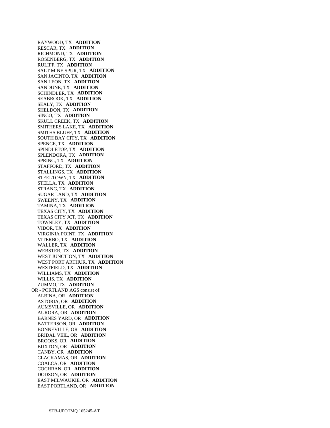RAYWOOD, TX **ADDITION**  RESCAR, TX **ADDITION**  RICHMOND, TX **ADDITION**  ROSENBERG, TX **ADDITION**  RULIFF, TX **ADDITION**  SALT MINE SPUR, TX **ADDITION**  SAN JACINTO, TX **ADDITION**  SAN LEON, TX **ADDITION**  SANDUNE, TX **ADDITION**  SCHINDLER, TX **ADDITION**  SEABROOK, TX **ADDITION**  SEALY, TX **ADDITION**  SHELDON, TX **ADDITION**  SINCO, TX **ADDITION**  SKULL CREEK, TX **ADDITION**  SMITHERS LAKE, TX **ADDITION**  SMITHS BLUFF, TX **ADDITION**  SOUTH BAY CITY, TX **ADDITION**  SPENCE, TX **ADDITION**  SPINDLETOP, TX **ADDITION**  SPLENDORA, TX **ADDITION**  SPRING, TX **ADDITION**  STAFFORD, TX **ADDITION**  STALLINGS, TX **ADDITION**  STEELTOWN, TX **ADDITION**  STELLA, TX **ADDITION**  STRANG, TX **ADDITION**  SUGAR LAND, TX **ADDITION**  SWEENY, TX **ADDITION**  TAMINA, TX **ADDITION**  TEXAS CITY, TX **ADDITION**  TEXAS CITY JCT, TX **ADDITION**  TOWNLEY, TX **ADDITION**  VIDOR, TX **ADDITION**  VIRGINIA POINT, TX **ADDITION**  VITERBO, TX **ADDITION**  WALLER, TX **ADDITION**  WEBSTER, TX **ADDITION**  WEST JUNCTION, TX **ADDITION**  WEST PORT ARTHUR, TX **ADDITION**  WESTFIELD, TX **ADDITION**  WILLIAMS, TX **ADDITION**  WILLIS, TX **ADDITION**  ZUMMO, TX **ADDITION**  OR - PORTLAND AGS consist of: ALBINA, OR **ADDITION**  ASTORIA, OR **ADDITION**  AUMSVILLE, OR **ADDITION**  AURORA, OR **ADDITION**  BARNES YARD, OR **ADDITION**  BATTERSON, OR **ADDITION**  BONNEVILLE, OR **ADDITION**  BRIDAL VEIL, OR **ADDITION**  BROOKS, OR **ADDITION**  BUXTON, OR **ADDITION**  CANBY, OR **ADDITION**  CLACKAMAS, OR **ADDITION**  COALCA, OR **ADDITION**  COCHRAN, OR **ADDITION**  DODSON, OR **ADDITION**  EAST MILWAUKIE, OR **ADDITION**  EAST PORTLAND, OR **ADDITION**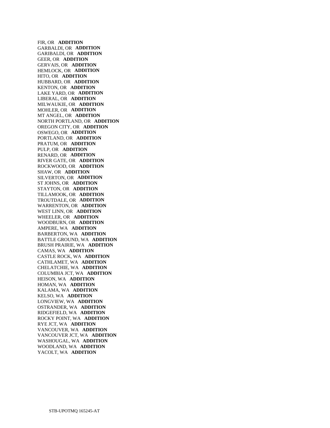FIR, OR **ADDITION**  GARBALDI, OR **ADDITION**  GARIBALDI, OR **ADDITION**  GEER, OR **ADDITION**  GERVAIS, OR **ADDITION**  HEMLOCK, OR **ADDITION**  HITO, OR **ADDITION**  HUBBARD, OR **ADDITION**  KENTON, OR **ADDITION**  LAKE YARD, OR **ADDITION**  LIBERAL, OR **ADDITION**  MILWAUKIE, OR **ADDITION**  MOHLER, OR **ADDITION**  MT ANGEL, OR **ADDITION**  NORTH PORTLAND, OR **ADDITION**  OREGON CITY, OR **ADDITION**  OSWEGO, OR **ADDITION**  PORTLAND, OR **ADDITION**  PRATUM, OR **ADDITION**  PULP, OR **ADDITION**  RENARD, OR **ADDITION**  RIVER GATE, OR **ADDITION**  ROCKWOOD, OR **ADDITION**  SHAW, OR **ADDITION**  SILVERTON, OR **ADDITION**  ST JOHNS, OR **ADDITION**  STAYTON, OR **ADDITION**  TILLAMOOK, OR **ADDITION**  TROUTDALE, OR **ADDITION**  WARRENTON, OR **ADDITION**  WEST LINN, OR **ADDITION**  WHEELER, OR **ADDITION**  WOODBURN, OR **ADDITION**  AMPERE, WA **ADDITION**  BARBERTON, WA **ADDITION**  BATTLE GROUND, WA **ADDITION**  BRUSH PRAIRIE, WA **ADDITION**  CAMAS, WA **ADDITION**  CASTLE ROCK, WA **ADDITION**  CATHLAMET, WA **ADDITION**  CHELATCHIE, WA **ADDITION**  COLUMBIA JCT, WA **ADDITION**  HEISON, WA **ADDITION**  HOMAN, WA **ADDITION**  KALAMA, WA **ADDITION**  KELSO, WA **ADDITION**  LONGVIEW, WA **ADDITION**  OSTRANDER, WA **ADDITION**  RIDGEFIELD, WA **ADDITION**  ROCKY POINT, WA **ADDITION**  RYE JCT, WA **ADDITION**  VANCOUVER, WA **ADDITION**  VANCOUVER JCT, WA **ADDITION**  WASHOUGAL, WA **ADDITION**  WOODLAND, WA **ADDITION**  YACOLT, WA **ADDITION**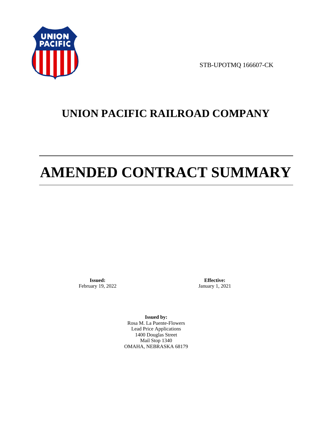

STB-UPOTMQ 166607-CK

# **UNION PACIFIC RAILROAD COMPANY**

# **AMENDED CONTRACT SUMMARY**

**Issued:**  February 19, 2022

**Effective:** January 1, 2021

**Issued by:**  Rosa M. La Puente-Flowers Lead Price Applications 1400 Douglas Street Mail Stop 1340 OMAHA, NEBRASKA 68179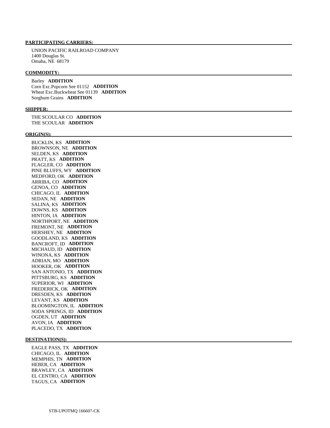### **PARTICIPATING CARRIERS:**

 UNION PACIFIC RAILROAD COMPANY 1400 Douglas St. Omaha, NE 68179

#### **COMMODITY:**

 Barley **ADDITION**  Corn Exc.Popcorn See 01152 **ADDITION**  Wheat Exc.Buckwheat See 01139 **ADDITION**  Sorghum Grains **ADDITION** 

#### **SHIPPER:**

 THE SCOULAR CO **ADDITION**  THE SCOULAR **ADDITION** 

#### **ORIGIN(S):**

 BUCKLIN, KS **ADDITION**  BROWNSON, NE **ADDITION**  SELDEN, KS **ADDITION**  PRATT, KS **ADDITION**  FLAGLER, CO **ADDITION**  PINE BLUFFS, WY **ADDITION**  MEDFORD, OK **ADDITION**  ARRIBA, CO **ADDITION**  GENOA, CO **ADDITION**  CHICAGO, IL **ADDITION**  SEDAN, NE **ADDITION**  SALINA, KS **ADDITION**  DOWNS, KS **ADDITION**  HINTON, IA **ADDITION**  NORTHPORT, NE **ADDITION**  FREMONT, NE **ADDITION**  HERSHEY, NE **ADDITION**  GOODLAND, KS **ADDITION**  BANCROFT, ID **ADDITION**  MICHAUD, ID **ADDITION**  WINONA, KS **ADDITION**  ADRIAN, MO **ADDITION**  HOOKER, OK **ADDITION**  SAN ANTONIO, TX **ADDITION**  PITTSBURG, KS **ADDITION**  SUPERIOR, WI **ADDITION**  FREDERICK, OK **ADDITION**  DRESDEN, KS **ADDITION**  LEVANT, KS **ADDITION**  BLOOMINGTON, IL **ADDITION**  SODA SPRINGS, ID **ADDITION**  OGDEN, UT **ADDITION**  AVON, IA **ADDITION**  PLACEDO, TX **ADDITION** 

#### **DESTINATION(S):**

 EAGLE PASS, TX **ADDITION**  CHICAGO, IL **ADDITION**  MEMPHIS, TN **ADDITION**  HEBER, CA **ADDITION**  BRAWLEY, CA **ADDITION**  EL CENTRO, CA **ADDITION**  TAGUS, CA **ADDITION**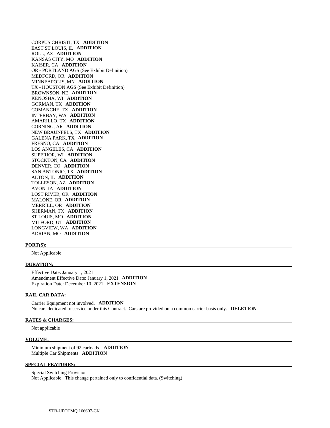CORPUS CHRISTI, TX **ADDITION**  EAST ST LOUIS, IL **ADDITION**  ROLL, AZ **ADDITION**  KANSAS CITY, MO **ADDITION**  KAISER, CA **ADDITION**  OR - PORTLAND AGS (See Exhibit Definition) MEDFORD, OR **ADDITION**  MINNEAPOLIS, MN **ADDITION**  TX - HOUSTON AGS (See Exhibit Definition) BROWNSON, NE **ADDITION**  KENOSHA, WI **ADDITION**  GORMAN, TX **ADDITION**  COMANCHE, TX **ADDITION**  INTERBAY, WA **ADDITION**  AMARILLO, TX **ADDITION**  CORNING, AR **ADDITION**  NEW BRAUNFELS, TX **ADDITION**  GALENA PARK, TX **ADDITION**  FRESNO, CA **ADDITION**  LOS ANGELES, CA **ADDITION**  SUPERIOR, WI **ADDITION**  STOCKTON, CA **ADDITION**  DENVER, CO **ADDITION**  SAN ANTONIO, TX **ADDITION**  ALTON, IL **ADDITION**  TOLLESON, AZ **ADDITION**  AVON, IA **ADDITION**  LOST RIVER, OR **ADDITION**  MALONE, OR **ADDITION**  MERRILL, OR **ADDITION**  SHERMAN, TX **ADDITION**  ST LOUIS, MO **ADDITION**  MILFORD, UT **ADDITION**  LONGVIEW, WA **ADDITION**  ADRIAN, MO **ADDITION** 

#### **PORT(S):**

Not Applicable

#### **DURATION:**

 Effective Date: January 1, 2021 Amendment Effective Date: January 1, 2021 **ADDITION**  Expiration Date: December 10, 2021 **EXTENSION** 

#### **RAIL CAR DATA:**

 Carrier Equipment not involved. **ADDITION**  No cars dedicated to service under this Contract. Cars are provided on a common carrier basis only. **DELETION** 

#### **RATES & CHARGES:**

Not applicable

#### **VOLUME:**

 Minimum shipment of 92 carloads. **ADDITION**  Multiple Car Shipments **ADDITION** 

#### **SPECIAL FEATURES:**

 Special Switching Provision Not Applicable. This change pertained only to confidential data. (Switching)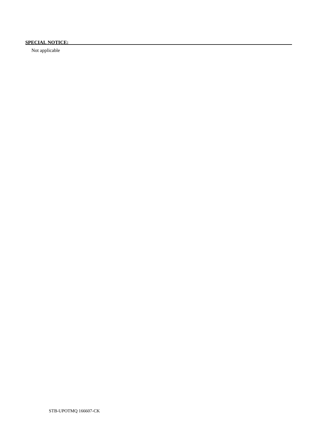# **SPECIAL NOTICE:**

Not applicable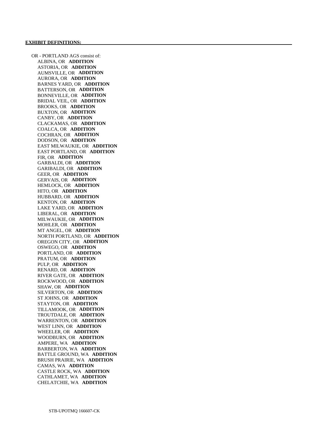OR - PORTLAND AGS consist of: ALBINA, OR **ADDITION**  ASTORIA, OR **ADDITION**  AUMSVILLE, OR **ADDITION**  AURORA, OR **ADDITION**  BARNES YARD, OR **ADDITION**  BATTERSON, OR **ADDITION**  BONNEVILLE, OR **ADDITION**  BRIDAL VEIL, OR **ADDITION**  BROOKS, OR **ADDITION**  BUXTON, OR **ADDITION**  CANBY, OR **ADDITION**  CLACKAMAS, OR **ADDITION**  COALCA, OR **ADDITION**  COCHRAN, OR **ADDITION**  DODSON, OR **ADDITION**  EAST MILWAUKIE, OR **ADDITION**  EAST PORTLAND, OR **ADDITION**  FIR, OR **ADDITION**  GARBALDI, OR **ADDITION**  GARIBALDI, OR **ADDITION**  GEER, OR **ADDITION**  GERVAIS, OR **ADDITION**  HEMLOCK, OR **ADDITION**  HITO, OR **ADDITION**  HUBBARD, OR **ADDITION**  KENTON, OR **ADDITION**  LAKE YARD, OR **ADDITION**  LIBERAL, OR **ADDITION**  MILWAUKIE, OR **ADDITION**  MOHLER, OR **ADDITION**  MT ANGEL, OR **ADDITION**  NORTH PORTLAND, OR **ADDITION**  OREGON CITY, OR **ADDITION**  OSWEGO, OR **ADDITION**  PORTLAND, OR **ADDITION**  PRATUM, OR **ADDITION**  PULP, OR **ADDITION**  RENARD, OR **ADDITION**  RIVER GATE, OR **ADDITION**  ROCKWOOD, OR **ADDITION**  SHAW, OR **ADDITION**  SILVERTON, OR **ADDITION**  ST JOHNS, OR **ADDITION**  STAYTON, OR **ADDITION**  TILLAMOOK, OR **ADDITION**  TROUTDALE, OR **ADDITION**  WARRENTON, OR **ADDITION**  WEST LINN, OR **ADDITION**  WHEELER, OR **ADDITION**  WOODBURN, OR **ADDITION**  AMPERE, WA **ADDITION**  BARBERTON, WA **ADDITION**  BATTLE GROUND, WA **ADDITION**  BRUSH PRAIRIE, WA **ADDITION**  CAMAS, WA **ADDITION**  CASTLE ROCK, WA **ADDITION**  CATHLAMET, WA **ADDITION**  CHELATCHIE, WA **ADDITION**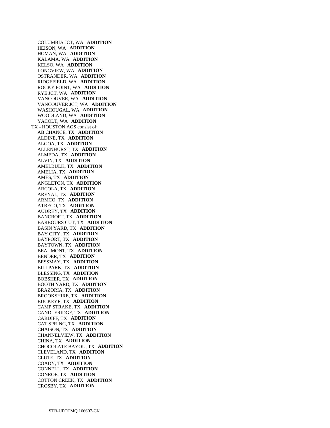COLUMBIA JCT, WA **ADDITION**  HEISON, WA **ADDITION**  HOMAN, WA **ADDITION**  KALAMA, WA **ADDITION**  KELSO, WA **ADDITION**  LONGVIEW, WA **ADDITION**  OSTRANDER, WA **ADDITION**  RIDGEFIELD, WA **ADDITION**  ROCKY POINT, WA **ADDITION**  RYE JCT, WA **ADDITION**  VANCOUVER, WA **ADDITION**  VANCOUVER JCT, WA **ADDITION**  WASHOUGAL, WA **ADDITION**  WOODLAND, WA **ADDITION**  YACOLT, WA **ADDITION**  TX - HOUSTON AGS consist of: AB CHANCE, TX **ADDITION**  ALDINE, TX **ADDITION**  ALGOA, TX **ADDITION**  ALLENHURST, TX **ADDITION**  ALMEDA, TX **ADDITION**  ALVIN, TX **ADDITION**  AMELBULK, TX **ADDITION**  AMELIA, TX **ADDITION**  AMES, TX **ADDITION**  ANGLETON, TX **ADDITION**  ARCOLA, TX **ADDITION**  ARENAL, TX **ADDITION**  ARMCO, TX **ADDITION**  ATRECO, TX **ADDITION**  AUDREY, TX **ADDITION**  BANCROFT, TX **ADDITION**  BARBOURS CUT, TX **ADDITION**  BASIN YARD, TX **ADDITION**  BAY CITY, TX **ADDITION**  BAYPORT, TX **ADDITION**  BAYTOWN, TX **ADDITION**  BEAUMONT, TX **ADDITION**  BENDER, TX **ADDITION**  BESSMAY, TX **ADDITION**  BILLPARK, TX **ADDITION**  BLESSING, TX **ADDITION**  BOBSHER, TX **ADDITION**  BOOTH YARD, TX **ADDITION**  BRAZORIA, TX **ADDITION**  BROOKSHIRE, TX **ADDITION**  BUCKEYE, TX **ADDITION**  CAMP STRAKE, TX **ADDITION**  CANDLERIDGE, TX **ADDITION**  CARDIFF, TX **ADDITION**  CAT SPRING, TX **ADDITION**  CHAISON, TX **ADDITION**  CHANNELVIEW, TX **ADDITION**  CHINA, TX **ADDITION**  CHOCOLATE BAYOU, TX **ADDITION**  CLEVELAND, TX **ADDITION**  CLUTE, TX **ADDITION**  COADY, TX **ADDITION**  CONNELL, TX **ADDITION**  CONROE, TX **ADDITION**  COTTON CREEK, TX **ADDITION**  CROSBY, TX **ADDITION**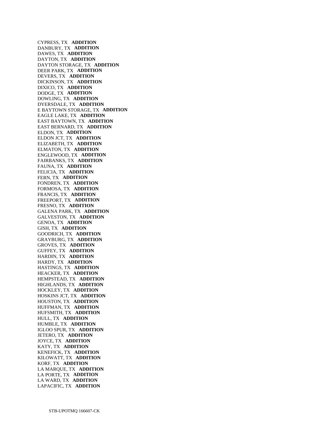CYPRESS, TX **ADDITION**  DANBURY, TX **ADDITION**  DAWES, TX **ADDITION**  DAYTON, TX **ADDITION**  DAYTON STORAGE, TX **ADDITION**  DEER PARK, TX **ADDITION**  DEVERS, TX **ADDITION**  DICKINSON, TX **ADDITION**  DIXICO, TX **ADDITION**  DODGE, TX **ADDITION**  DOWLING, TX **ADDITION**  DYERSDALE, TX **ADDITION**  E BAYTOWN STORAGE, TX **ADDITION**  EAGLE LAKE, TX **ADDITION**  EAST BAYTOWN, TX **ADDITION**  EAST BERNARD, TX **ADDITION**  ELDON, TX **ADDITION**  ELDON JCT, TX **ADDITION**  ELIZABETH, TX **ADDITION**  ELMATON, TX **ADDITION**  ENGLEWOOD, TX **ADDITION**  FAIRBANKS, TX **ADDITION**  FAUNA, TX **ADDITION**  FELICIA, TX **ADDITION**  FERN, TX **ADDITION**  FONDREN, TX **ADDITION**  FORMOSA, TX **ADDITION**  FRANCIS, TX **ADDITION**  FREEPORT, TX **ADDITION**  FRESNO, TX **ADDITION**  GALENA PARK, TX **ADDITION**  GALVESTON, TX **ADDITION**  GENOA, TX **ADDITION**  GISH, TX **ADDITION**  GOODRICH, TX **ADDITION**  GRAYBURG, TX **ADDITION**  GROVES, TX **ADDITION**  GUFFEY, TX **ADDITION**  HARDIN, TX **ADDITION**  HARDY, TX **ADDITION**  HASTINGS, TX **ADDITION**  HEACKER, TX **ADDITION**  HEMPSTEAD, TX **ADDITION**  HIGHLANDS, TX **ADDITION**  HOCKLEY, TX **ADDITION**  HOSKINS JCT, TX **ADDITION**  HOUSTON, TX **ADDITION**  HUFFMAN, TX **ADDITION**  HUFSMITH, TX **ADDITION**  HULL, TX **ADDITION**  HUMBLE, TX **ADDITION**  IGLOO SPUR, TX **ADDITION**  JETERO, TX **ADDITION**  JOYCE, TX **ADDITION**  KATY, TX **ADDITION**  KENEFICK, TX **ADDITION**  KILOWATT, TX **ADDITION**  KORF, TX **ADDITION**  LA MARQUE, TX **ADDITION**  LA PORTE, TX **ADDITION**  LA WARD, TX **ADDITION**  LAPACIFIC, TX **ADDITION**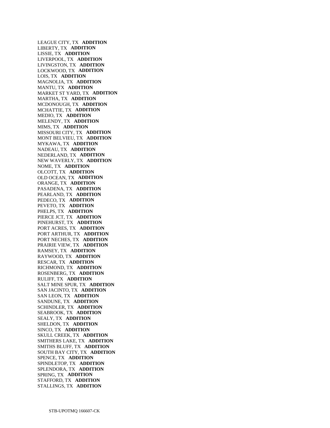LEAGUE CITY, TX **ADDITION**  LIBERTY, TX **ADDITION**  LISSIE, TX **ADDITION**  LIVERPOOL, TX **ADDITION**  LIVINGSTON, TX **ADDITION**  LOCKWOOD, TX **ADDITION**  LOIS, TX **ADDITION**  MAGNOLIA, TX **ADDITION**  MANTU, TX **ADDITION**  MARKET ST YARD, TX **ADDITION**  MARTHA, TX **ADDITION**  MCDONOUGH, TX **ADDITION**  MCHATTIE, TX **ADDITION**  MEDIO, TX **ADDITION**  MELENDY, TX **ADDITION**  MIMS, TX **ADDITION**  MISSOURI CITY, TX **ADDITION**  MONT BELVIEU, TX **ADDITION**  MYKAWA, TX **ADDITION**  NADEAU, TX **ADDITION**  NEDERLAND, TX **ADDITION**  NEW WAVERLY, TX **ADDITION**  NOME, TX **ADDITION**  OLCOTT, TX **ADDITION**  OLD OCEAN, TX **ADDITION**  ORANGE, TX **ADDITION**  PASADENA, TX **ADDITION**  PEARLAND, TX **ADDITION**  PEDECO, TX **ADDITION**  PEVETO, TX **ADDITION**  PHELPS, TX **ADDITION**  PIERCE JCT, TX **ADDITION**  PINEHURST, TX **ADDITION**  PORT ACRES, TX **ADDITION**  PORT ARTHUR, TX **ADDITION**  PORT NECHES, TX **ADDITION**  PRAIRIE VIEW, TX **ADDITION**  RAMSEY, TX **ADDITION**  RAYWOOD, TX **ADDITION**  RESCAR, TX **ADDITION**  RICHMOND, TX **ADDITION**  ROSENBERG, TX **ADDITION**  RULIFF, TX **ADDITION**  SALT MINE SPUR, TX **ADDITION**  SAN JACINTO, TX **ADDITION**  SAN LEON, TX **ADDITION**  SANDUNE, TX **ADDITION**  SCHINDLER, TX **ADDITION**  SEABROOK, TX **ADDITION**  SEALY, TX **ADDITION**  SHELDON, TX **ADDITION**  SINCO, TX **ADDITION**  SKULL CREEK, TX **ADDITION**  SMITHERS LAKE, TX **ADDITION**  SMITHS BLUFF, TX **ADDITION**  SOUTH BAY CITY, TX **ADDITION**  SPENCE, TX **ADDITION**  SPINDLETOP, TX **ADDITION**  SPLENDORA, TX **ADDITION**  SPRING, TX **ADDITION**  STAFFORD, TX **ADDITION**  STALLINGS, TX **ADDITION**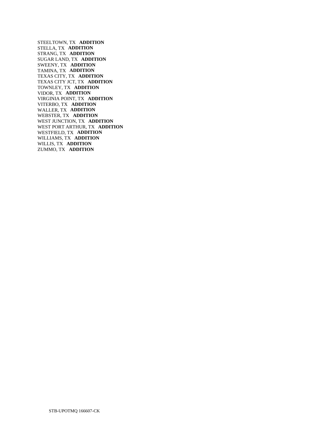STEELTOWN, TX **ADDITION**  STELLA, TX **ADDITION**  STRANG, TX **ADDITION**  SUGAR LAND, TX **ADDITION**  SWEENY, TX **ADDITION**  TAMINA, TX **ADDITION**  TEXAS CITY, TX **ADDITION**  TEXAS CITY JCT, TX **ADDITION**  TOWNLEY, TX **ADDITION**  VIDOR, TX **ADDITION**  VIRGINIA POINT, TX **ADDITION**  VITERBO, TX **ADDITION**  WALLER, TX **ADDITION**  WEBSTER, TX **ADDITION**  WEST JUNCTION, TX **ADDITION**  WEST PORT ARTHUR, TX **ADDITION**  WESTFIELD, TX **ADDITION**  WILLIAMS, TX **ADDITION**  WILLIS, TX **ADDITION**  ZUMMO, TX **ADDITION**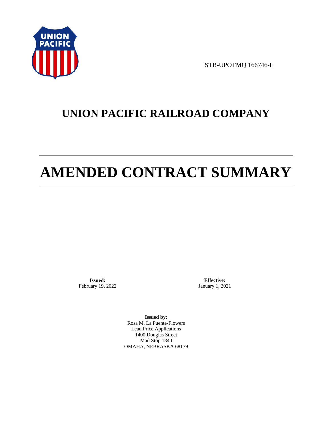

STB-UPOTMQ 166746-L

# **UNION PACIFIC RAILROAD COMPANY**

# **AMENDED CONTRACT SUMMARY**

**Issued:**  February 19, 2022

**Effective:** January 1, 2021

**Issued by:**  Rosa M. La Puente-Flowers Lead Price Applications 1400 Douglas Street Mail Stop 1340 OMAHA, NEBRASKA 68179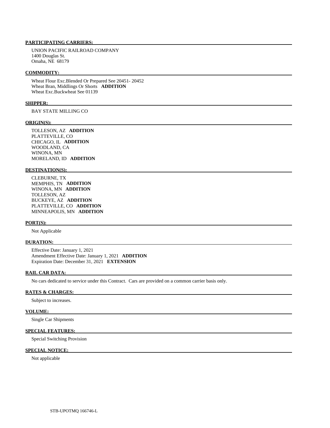### **PARTICIPATING CARRIERS:**

 UNION PACIFIC RAILROAD COMPANY 1400 Douglas St. Omaha, NE 68179

#### **COMMODITY:**

 Wheat Flour Exc.Blended Or Prepared See 20451- 20452 Wheat Bran, Middlings Or Shorts **ADDITION**  Wheat Exc.Buckwheat See 01139

#### **SHIPPER:**

BAY STATE MILLING CO

#### **ORIGIN(S):**

 TOLLESON, AZ **ADDITION**  PLATTEVILLE, CO CHICAGO, IL **ADDITION**  WOODLAND, CA WINONA, MN MORELAND, ID **ADDITION** 

### **DESTINATION(S):**

 CLEBURNE, TX MEMPHIS, TN **ADDITION**  WINONA, MN **ADDITION**  TOLLESON, AZ BUCKEYE, AZ **ADDITION**  PLATTEVILLE, CO **ADDITION**  MINNEAPOLIS, MN **ADDITION** 

#### **PORT(S):**

Not Applicable

#### **DURATION:**

 Effective Date: January 1, 2021 Amendment Effective Date: January 1, 2021 **ADDITION**  Expiration Date: December 31, 2021 **EXTENSION** 

#### **RAIL CAR DATA:**

No cars dedicated to service under this Contract. Cars are provided on a common carrier basis only.

### **RATES & CHARGES:**

Subject to increases.

#### **VOLUME:**

Single Car Shipments

# **SPECIAL FEATURES:**

Special Switching Provision

#### **SPECIAL NOTICE:**

Not applicable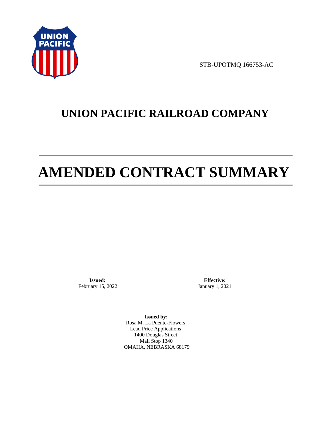

STB-UPOTMQ 166753-AC

# **UNION PACIFIC RAILROAD COMPANY**

# **AMENDED CONTRACT SUMMARY**

**Issued:**  February 15, 2022

**Effective:** January 1, 2021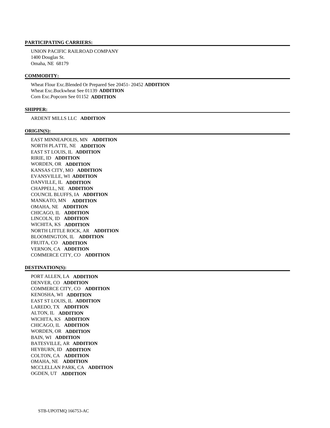UNION PACIFIC RAILROAD COMPANY 1400 Douglas St. Omaha, NE 68179

## **COMMODITY:**

 Wheat Flour Exc.Blended Or Prepared See 20451- 20452 **ADDITION**  Wheat Exc.Buckwheat See 01139 **ADDITION**  Corn Exc.Popcorn See 01152 **ADDITION** 

### **SHIPPER:**

ARDENT MILLS LLC **ADDITION** 

### **ORIGIN(S):**

 EAST MINNEAPOLIS, MN **ADDITION**  NORTH PLATTE, NE **ADDITION**  EAST ST LOUIS, IL **ADDITION**  RIRIE, ID **ADDITION**  WORDEN, OR **ADDITION**  KANSAS CITY, MO **ADDITION**  EVANSVILLE, WI **ADDITION**  DANVILLE, IL **ADDITION**  CHAPPELL, NE **ADDITION**  COUNCIL BLUFFS, IA **ADDITION**  MANKATO, MN **ADDITION**  OMAHA, NE **ADDITION**  CHICAGO, IL **ADDITION**  LINCOLN, ID **ADDITION**  WICHITA, KS **ADDITION**  NORTH LITTLE ROCK, AR **ADDITION**  BLOOMINGTON, IL **ADDITION**  FRUITA, CO **ADDITION**  VERNON, CA **ADDITION**  COMMERCE CITY, CO **ADDITION** 

### **DESTINATION(S):**

 PORT ALLEN, LA **ADDITION**  DENVER, CO **ADDITION**  COMMERCE CITY, CO **ADDITION**  KENOSHA, WI **ADDITION**  EAST ST LOUIS, IL **ADDITION**  LAREDO, TX **ADDITION**  ALTON, IL **ADDITION**  WICHITA, KS **ADDITION**  CHICAGO, IL **ADDITION**  WORDEN, OR **ADDITION**  BAIN, WI **ADDITION**  BATESVILLE, AR **ADDITION**  HEYBURN, ID **ADDITION**  COLTON, CA **ADDITION**  OMAHA, NE **ADDITION**  MCCLELLAN PARK, CA **ADDITION**  OGDEN, UT **ADDITION**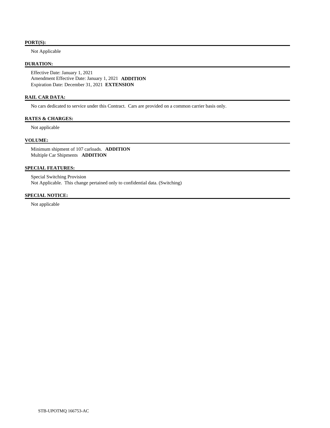### **PORT(S):**

Not Applicable

### **DURATION:**

 Effective Date: January 1, 2021 Amendment Effective Date: January 1, 2021 **ADDITION**  Expiration Date: December 31, 2021 **EXTENSION** 

# **RAIL CAR DATA:**

No cars dedicated to service under this Contract. Cars are provided on a common carrier basis only.

# **RATES & CHARGES:**

Not applicable

# **VOLUME:**

 Minimum shipment of 107 carloads. **ADDITION**  Multiple Car Shipments **ADDITION** 

# **SPECIAL FEATURES:**

 Special Switching Provision Not Applicable. This change pertained only to confidential data. (Switching)

## **SPECIAL NOTICE:**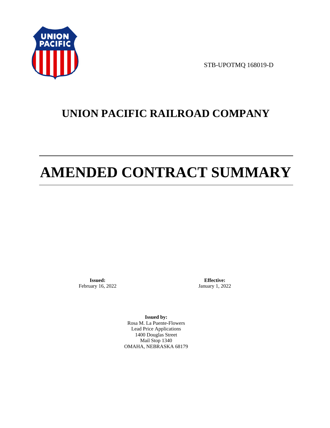

STB-UPOTMQ 168019-D

# **UNION PACIFIC RAILROAD COMPANY**

# **AMENDED CONTRACT SUMMARY**

**Issued:**  February 16, 2022

**Effective:** January 1, 2022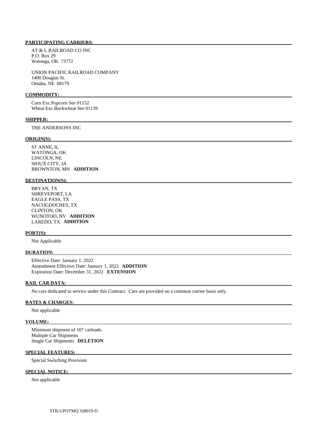AT & L RAILROAD CO INC P.O. Box 29 Watonga, OK 73772

 UNION PACIFIC RAILROAD COMPANY 1400 Douglas St. Omaha, NE 68179

### **COMMODITY:**

 Corn Exc.Popcorn See 01152 Wheat Exc.Buckwheat See 01139

#### **SHIPPER:**

THE ANDERSONS INC

### **ORIGIN(S):**

 ST ANNE, IL WATONGA, OK LINCOLN, NE SIOUX CITY, IA BROWNTON, MN **ADDITION** 

### **DESTINATION(S):**

 BRYAN, TX SHREVEPORT, LA EAGLE PASS, TX NACOGDOCHES, TX CLINTON, OK WUNOTOO, NV **ADDITION**  LAREDO, TX **ADDITION** 

### **PORT(S):**

Not Applicable

### **DURATION:**

 Effective Date: January 1, 2022 Amendment Effective Date: January 1, 2022 **ADDITION**  Expiration Date: December 31, 2022 **EXTENSION** 

### **RAIL CAR DATA:**

No cars dedicated to service under this Contract. Cars are provided on a common carrier basis only.

# **RATES & CHARGES:**

Not applicable

# **VOLUME:**

 Minimum shipment of 107 carloads. Multiple Car Shipments Single Car Shipments **DELETION** 

# **SPECIAL FEATURES:**

Special Switching Provision

# **SPECIAL NOTICE:**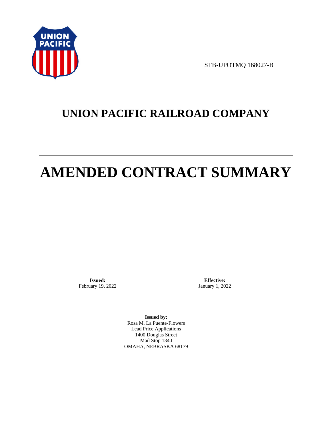

STB-UPOTMQ 168027-B

# **UNION PACIFIC RAILROAD COMPANY**

# **AMENDED CONTRACT SUMMARY**

**Issued:**  February 19, 2022

**Effective:** January 1, 2022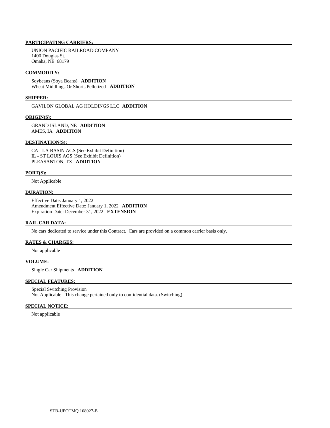UNION PACIFIC RAILROAD COMPANY 1400 Douglas St. Omaha, NE 68179

### **COMMODITY:**

 Soybeans (Soya Beans) **ADDITION**  Wheat Middlings Or Shorts,Pelletized **ADDITION** 

### **SHIPPER:**

GAVILON GLOBAL AG HOLDINGS LLC **ADDITION** 

### **ORIGIN(S):**

 GRAND ISLAND, NE **ADDITION**  AMES, IA **ADDITION** 

### **DESTINATION(S):**

 CA - LA BASIN AGS (See Exhibit Definition) IL - ST LOUIS AGS (See Exhibit Definition) PLEASANTON, TX **ADDITION** 

#### **PORT(S):**

Not Applicable

### **DURATION:**

 Effective Date: January 1, 2022 Amendment Effective Date: January 1, 2022 **ADDITION**  Expiration Date: December 31, 2022 **EXTENSION** 

#### **RAIL CAR DATA:**

No cars dedicated to service under this Contract. Cars are provided on a common carrier basis only.

# **RATES & CHARGES:**

Not applicable

### **VOLUME:**

Single Car Shipments **ADDITION** 

# **SPECIAL FEATURES:**

 Special Switching Provision Not Applicable. This change pertained only to confidential data. (Switching)

### **SPECIAL NOTICE:**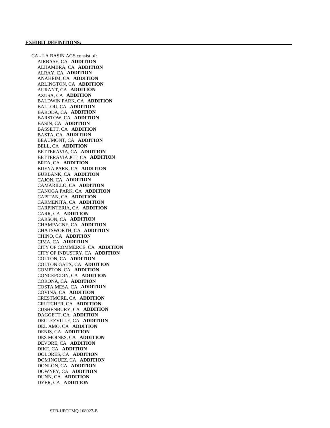CA - LA BASIN AGS consist of: AIRBASE, CA **ADDITION**  ALHAMBRA, CA **ADDITION**  ALRAY, CA **ADDITION**  ANAHEIM, CA **ADDITION**  ARLINGTON, CA **ADDITION**  AURANT, CA **ADDITION**  AZUSA, CA **ADDITION**  BALDWIN PARK, CA **ADDITION**  BALLOU, CA **ADDITION**  BARODA, CA **ADDITION**  BARSTOW, CA **ADDITION**  BASIN, CA **ADDITION**  BASSETT, CA **ADDITION**  BASTA, CA **ADDITION**  BEAUMONT, CA **ADDITION**  BELL, CA **ADDITION**  BETTERAVIA, CA **ADDITION**  BETTERAVIA JCT, CA **ADDITION**  BREA, CA **ADDITION**  BUENA PARK, CA **ADDITION**  BURBANK, CA **ADDITION**  CAJON, CA **ADDITION**  CAMARILLO, CA **ADDITION**  CANOGA PARK, CA **ADDITION**  CAPITAN, CA **ADDITION**  CARMENITA, CA **ADDITION**  CARPINTERIA, CA **ADDITION**  CARR, CA **ADDITION**  CARSON, CA **ADDITION**  CHAMPAGNE, CA **ADDITION**  CHATSWORTH, CA **ADDITION**  CHINO, CA **ADDITION**  CIMA, CA **ADDITION**  CITY OF COMMERCE, CA **ADDITION**  CITY OF INDUSTRY, CA **ADDITION**  COLTON, CA **ADDITION**  COLTON GATX, CA **ADDITION**  COMPTON, CA **ADDITION**  CONCEPCION, CA **ADDITION**  CORONA, CA **ADDITION**  COSTA MESA, CA **ADDITION**  COVINA, CA **ADDITION**  CRESTMORE, CA **ADDITION**  CRUTCHER, CA **ADDITION**  CUSHENBURY, CA **ADDITION**  DAGGETT, CA **ADDITION**  DECLEZVILLE, CA **ADDITION**  DEL AMO, CA **ADDITION**  DENIS, CA **ADDITION**  DES MOINES, CA **ADDITION**  DEVORE, CA **ADDITION**  DIKE, CA **ADDITION**  DOLORES, CA **ADDITION**  DOMINGUEZ, CA **ADDITION**  DONLON, CA **ADDITION**  DOWNEY, CA **ADDITION**  DUNN, CA **ADDITION**  DYER, CA **ADDITION**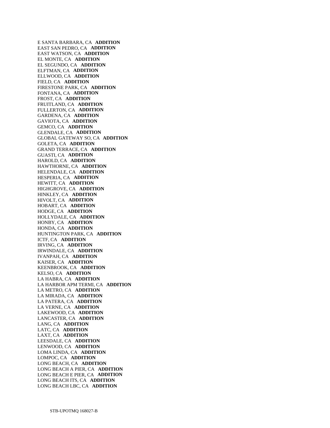E SANTA BARBARA, CA **ADDITION**  EAST SAN PEDRO, CA **ADDITION**  EAST WATSON, CA **ADDITION**  EL MONTE, CA **ADDITION**  EL SEGUNDO, CA **ADDITION**  ELFTMAN, CA **ADDITION**  ELLWOOD, CA **ADDITION**  FIELD, CA **ADDITION**  FIRESTONE PARK, CA **ADDITION**  FONTANA, CA **ADDITION**  FROST, CA **ADDITION**  FRUITLAND, CA **ADDITION**  FULLERTON, CA **ADDITION**  GARDENA, CA **ADDITION**  GAVIOTA, CA **ADDITION**  GEMCO, CA **ADDITION**  GLENDALE, CA **ADDITION**  GLOBAL GATEWAY SO, CA **ADDITION**  GOLETA, CA **ADDITION**  GRAND TERRACE, CA **ADDITION**  GUASTI, CA **ADDITION**  HAROLD, CA **ADDITION**  HAWTHORNE, CA **ADDITION**  HELENDALE, CA **ADDITION**  HESPERIA, CA **ADDITION**  HEWITT, CA **ADDITION**  HIGHGROVE, CA **ADDITION**  HINKLEY, CA **ADDITION**  HIVOLT, CA **ADDITION**  HOBART, CA **ADDITION**  HODGE, CA **ADDITION**  HOLLYDALE, CA **ADDITION**  HONBY, CA **ADDITION**  HONDA, CA **ADDITION**  HUNTINGTON PARK, CA **ADDITION**  ICTF, CA **ADDITION**  IRVING, CA **ADDITION**  IRWINDALE, CA **ADDITION**  IVANPAH, CA **ADDITION**  KAISER, CA **ADDITION**  KEENBROOK, CA **ADDITION**  KELSO, CA **ADDITION**  LA HABRA, CA **ADDITION**  LA HARBOR APM TERMI, CA **ADDITION**  LA METRO, CA **ADDITION**  LA MIRADA, CA **ADDITION**  LA PATERA, CA **ADDITION**  LA VERNE, CA **ADDITION**  LAKEWOOD, CA **ADDITION**  LANCASTER, CA **ADDITION**  LANG, CA **ADDITION**  LATC, CA **ADDITION**  LAXT, CA **ADDITION**  LEESDALE, CA **ADDITION**  LENWOOD, CA **ADDITION**  LOMA LINDA, CA **ADDITION**  LOMPOC, CA **ADDITION**  LONG BEACH, CA **ADDITION**  LONG BEACH A PIER, CA **ADDITION**  LONG BEACH E PIER, CA **ADDITION**  LONG BEACH ITS, CA **ADDITION**  LONG BEACH LBC, CA **ADDITION**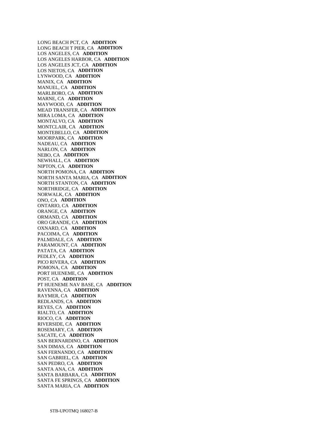LONG BEACH PCT, CA **ADDITION**  LONG BEACH T PIER, CA **ADDITION**  LOS ANGELES, CA **ADDITION**  LOS ANGELES HARBOR, CA **ADDITION**  LOS ANGELES JCT, CA **ADDITION**  LOS NIETOS, CA **ADDITION**  LYNWOOD, CA **ADDITION**  MANIX, CA **ADDITION**  MANUEL, CA **ADDITION**  MARLBORO, CA **ADDITION**  MARNE, CA **ADDITION**  MAYWOOD, CA **ADDITION**  MEAD TRANSFER, CA **ADDITION**  MIRA LOMA, CA **ADDITION**  MONTALVO, CA **ADDITION**  MONTCLAIR, CA **ADDITION**  MONTEBELLO, CA **ADDITION**  MOORPARK, CA **ADDITION**  NADEAU, CA **ADDITION**  NARLON, CA **ADDITION**  NEBO, CA **ADDITION**  NEWHALL, CA **ADDITION**  NIPTON, CA **ADDITION**  NORTH POMONA, CA **ADDITION**  NORTH SANTA MARIA, CA **ADDITION**  NORTH STANTON, CA **ADDITION**  NORTHRIDGE, CA **ADDITION**  NORWALK, CA **ADDITION**  ONO, CA **ADDITION**  ONTARIO, CA **ADDITION**  ORANGE, CA **ADDITION**  ORMAND, CA **ADDITION**  ORO GRANDE, CA **ADDITION**  OXNARD, CA **ADDITION**  PACOIMA, CA **ADDITION**  PALMDALE, CA **ADDITION**  PARAMOUNT, CA **ADDITION**  PATATA, CA **ADDITION**  PEDLEY, CA **ADDITION**  PICO RIVERA, CA **ADDITION**  POMONA, CA **ADDITION**  PORT HUENEME, CA **ADDITION**  POST, CA **ADDITION**  PT HUENEME NAV BASE, CA **ADDITION**  RAVENNA, CA **ADDITION**  RAYMER, CA **ADDITION**  REDLANDS, CA **ADDITION**  REYES, CA **ADDITION**  RIALTO, CA **ADDITION**  RIOCO, CA **ADDITION**  RIVERSIDE, CA **ADDITION**  ROSEMARY, CA **ADDITION**  SACATE, CA **ADDITION**  SAN BERNARDINO, CA **ADDITION**  SAN DIMAS, CA **ADDITION**  SAN FERNANDO, CA **ADDITION**  SAN GABRIEL, CA **ADDITION**  SAN PEDRO, CA **ADDITION**  SANTA ANA, CA **ADDITION**  SANTA BARBARA, CA **ADDITION**  SANTA FE SPRINGS, CA **ADDITION**  SANTA MARIA, CA **ADDITION**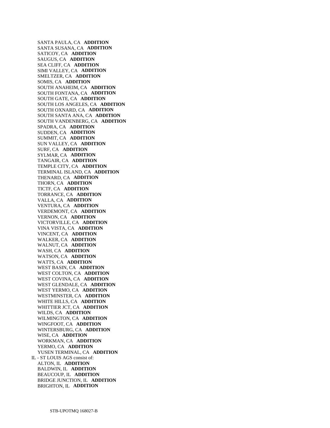SANTA PAULA, CA **ADDITION**  SANTA SUSANA, CA **ADDITION**  SATICOY, CA **ADDITION**  SAUGUS, CA **ADDITION**  SEA CLIFF, CA **ADDITION**  SIMI VALLEY, CA **ADDITION**  SMELTZER, CA **ADDITION**  SOMIS, CA **ADDITION**  SOUTH ANAHEIM, CA **ADDITION**  SOUTH FONTANA, CA **ADDITION**  SOUTH GATE, CA **ADDITION**  SOUTH LOS ANGELES, CA **ADDITION**  SOUTH OXNARD, CA **ADDITION**  SOUTH SANTA ANA, CA **ADDITION**  SOUTH VANDENBERG, CA **ADDITION**  SPADRA, CA **ADDITION**  SUDDEN, CA **ADDITION**  SUMMIT, CA **ADDITION**  SUN VALLEY, CA **ADDITION**  SURF, CA **ADDITION**  SYLMAR, CA **ADDITION**  TANGAIR, CA **ADDITION**  TEMPLE CITY, CA **ADDITION**  TERMINAL ISLAND, CA **ADDITION**  THENARD, CA **ADDITION**  THORN, CA **ADDITION**  TICTF, CA **ADDITION**  TORRANCE, CA **ADDITION**  VALLA, CA **ADDITION**  VENTURA, CA **ADDITION**  VERDEMONT, CA **ADDITION**  VERNON, CA **ADDITION**  VICTORVILLE, CA **ADDITION**  VINA VISTA, CA **ADDITION**  VINCENT, CA **ADDITION**  WALKER, CA **ADDITION**  WALNUT, CA **ADDITION**  WASH, CA **ADDITION**  WATSON, CA **ADDITION**  WATTS, CA **ADDITION**  WEST BASIN, CA **ADDITION**  WEST COLTON, CA **ADDITION**  WEST COVINA, CA **ADDITION**  WEST GLENDALE, CA **ADDITION**  WEST YERMO, CA **ADDITION**  WESTMINSTER, CA **ADDITION**  WHITE HILLS, CA **ADDITION**  WHITTIER JCT, CA **ADDITION**  WILDS, CA **ADDITION**  WILMINGTON, CA **ADDITION**  WINGFOOT, CA **ADDITION**  WINTERSBURG, CA **ADDITION**  WISE, CA **ADDITION**  WORKMAN, CA **ADDITION**  YERMO, CA **ADDITION**  YUSEN TERMINAL, CA **ADDITION**  IL - ST LOUIS AGS consist of: ALTON, IL **ADDITION**  BALDWIN, IL **ADDITION**  BEAUCOUP, IL **ADDITION**  BRIDGE JUNCTION, IL **ADDITION**  BRIGHTON, IL **ADDITION**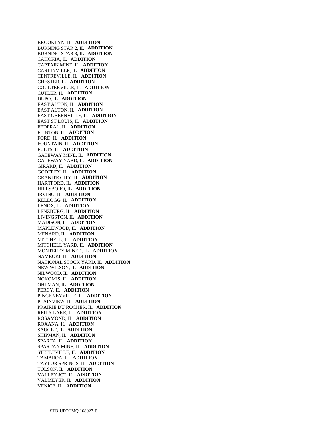BROOKLYN, IL **ADDITION**  BURNING STAR 2, IL **ADDITION**  BURNING STAR 3, IL **ADDITION**  CAHOKIA, IL **ADDITION**  CAPTAIN MINE, IL **ADDITION**  CARLINVILLE, IL **ADDITION**  CENTREVILLE, IL **ADDITION**  CHESTER, IL **ADDITION**  COULTERVILLE, IL **ADDITION**  CUTLER, IL **ADDITION**  DUPO, IL **ADDITION**  EAST ALTON, IL **ADDITION**  EAST ALTON, IL **ADDITION**  EAST GREENVILLE, IL **ADDITION**  EAST ST LOUIS, IL **ADDITION**  FEDERAL, IL **ADDITION**  FLINTON, IL **ADDITION**  FORD, IL **ADDITION**  FOUNTAIN, IL **ADDITION**  FULTS, IL **ADDITION**  GATEWAY MINE, IL **ADDITION**  GATEWAY YARD, IL **ADDITION**  GIRARD, IL **ADDITION**  GODFREY, IL **ADDITION**  GRANITE CITY, IL **ADDITION**  HARTFORD, IL **ADDITION**  HILLSBORO, IL **ADDITION**  IRVING, IL **ADDITION**  KELLOGG, IL **ADDITION**  LENOX, IL **ADDITION**  LENZBURG, IL **ADDITION**  LIVINGSTON, IL **ADDITION**  MADISON, IL **ADDITION**  MAPLEWOOD, IL **ADDITION**  MENARD, IL **ADDITION**  MITCHELL, IL **ADDITION**  MITCHELL YARD, IL **ADDITION**  MONTEREY MINE 1, IL **ADDITION**  NAMEOKI, IL **ADDITION**  NATIONAL STOCK YARD, IL **ADDITION**  NEW WILSON, IL **ADDITION**  NILWOOD, IL **ADDITION**  NOKOMIS, IL **ADDITION**  OHLMAN, IL **ADDITION**  PERCY, IL **ADDITION**  PINCKNEYVILLE, IL **ADDITION**  PLAINVIEW, IL **ADDITION**  PRAIRIE DU ROCHER, IL **ADDITION**  REILY LAKE, IL **ADDITION**  ROSAMOND, IL **ADDITION**  ROXANA, IL **ADDITION**  SAUGET, IL **ADDITION**  SHIPMAN, IL **ADDITION**  SPARTA, IL **ADDITION**  SPARTAN MINE, IL **ADDITION**  STEELEVILLE, IL **ADDITION**  TAMAROA, IL **ADDITION**  TAYLOR SPRINGS, IL **ADDITION**  TOLSON, IL **ADDITION**  VALLEY JCT, IL **ADDITION**  VALMEYER, IL **ADDITION**  VENICE, IL **ADDITION**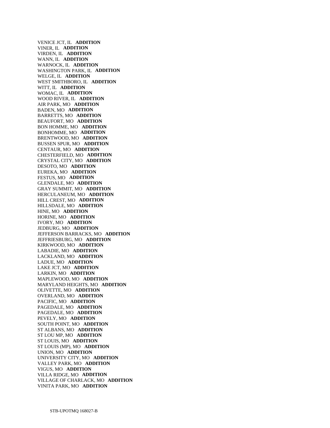VENICE JCT, IL **ADDITION**  VINER, IL **ADDITION**  VIRDEN, IL **ADDITION**  WANN, IL **ADDITION**  WARNOCK, IL **ADDITION**  WASHINGTON PARK, IL **ADDITION**  WELGE, IL **ADDITION**  WEST SMITHBORO, IL **ADDITION**  WITT, IL **ADDITION**  WOMAC, IL **ADDITION**  WOOD RIVER, IL **ADDITION**  AIR PARK, MO **ADDITION**  BADEN, MO **ADDITION**  BARRETTS, MO **ADDITION**  BEAUFORT, MO **ADDITION**  BON HOMME, MO **ADDITION**  BONHOMME, MO **ADDITION**  BRENTWOOD, MO **ADDITION**  BUSSEN SPUR, MO **ADDITION**  CENTAUR, MO **ADDITION**  CHESTERFIELD, MO **ADDITION**  CRYSTAL CITY, MO **ADDITION**  DESOTO, MO **ADDITION**  EUREKA, MO **ADDITION**  FESTUS, MO **ADDITION**  GLENDALE, MO **ADDITION**  GRAY SUMMIT, MO **ADDITION**  HERCULANEUM, MO **ADDITION**  HILL CREST, MO **ADDITION**  HILLSDALE, MO **ADDITION**  HINE, MO **ADDITION**  HORINE, MO **ADDITION**  IVORY, MO **ADDITION**  JEDBURG, MO **ADDITION**  JEFFERSON BARRACKS, MO **ADDITION**  JEFFRIESBURG, MO **ADDITION**  KIRKWOOD, MO **ADDITION**  LABADIE, MO **ADDITION**  LACKLAND, MO **ADDITION**  LADUE, MO **ADDITION**  LAKE JCT, MO **ADDITION**  LARKIN, MO **ADDITION**  MAPLEWOOD, MO **ADDITION**  MARYLAND HEIGHTS, MO **ADDITION**  OLIVETTE, MO **ADDITION**  OVERLAND, MO **ADDITION**  PACIFIC, MO **ADDITION**  PAGEDALE, MO **ADDITION**  PAGEDALE, MO **ADDITION**  PEVELY, MO **ADDITION**  SOUTH POINT, MO **ADDITION**  ST ALBANS, MO **ADDITION**  ST LOU MP, MO **ADDITION**  ST LOUIS, MO **ADDITION**  ST LOUIS (MP), MO **ADDITION**  UNION, MO **ADDITION**  UNIVERSITY CITY, MO **ADDITION**  VALLEY PARK, MO **ADDITION**  VIGUS, MO **ADDITION**  VILLA RIDGE, MO **ADDITION**  VILLAGE OF CHARLACK, MO **ADDITION**  VINITA PARK, MO **ADDITION**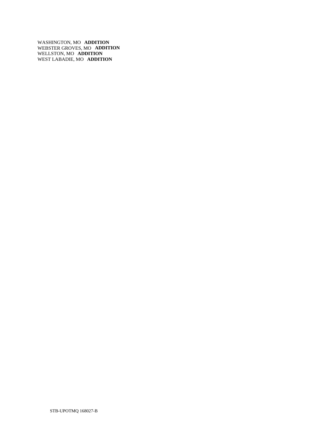WASHINGTON, MO **ADDITION**  WEBSTER GROVES, MO **ADDITION**  WELLSTON, MO **ADDITION**  WEST LABADIE, MO **ADDITION**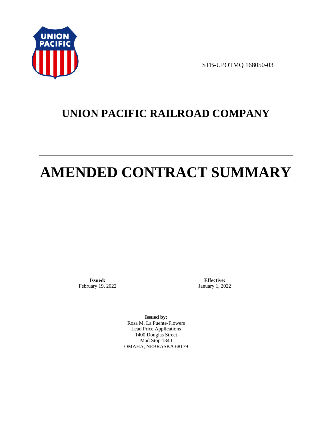

STB-UPOTMQ 168050-03

# **UNION PACIFIC RAILROAD COMPANY**

# **AMENDED CONTRACT SUMMARY**

**Issued:**  February 19, 2022

**Effective:** January 1, 2022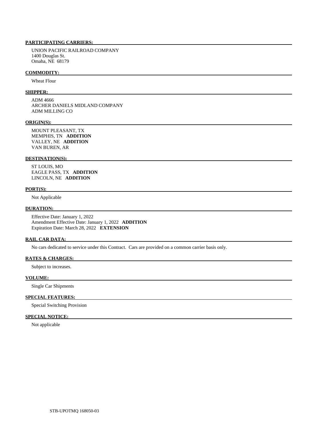UNION PACIFIC RAILROAD COMPANY 1400 Douglas St. Omaha, NE 68179

### **COMMODITY:**

Wheat Flour

## **SHIPPER:**

 ADM 4666 ARCHER DANIELS MIDLAND COMPANY ADM MILLING CO

### **ORIGIN(S):**

 MOUNT PLEASANT, TX MEMPHIS, TN **ADDITION**  VALLEY, NE **ADDITION**  VAN BUREN, AR

### **DESTINATION(S):**

 ST LOUIS, MO EAGLE PASS, TX **ADDITION**  LINCOLN, NE **ADDITION** 

### **PORT(S):**

Not Applicable

### **DURATION:**

 Effective Date: January 1, 2022 Amendment Effective Date: January 1, 2022 **ADDITION**  Expiration Date: March 28, 2022 **EXTENSION** 

#### **RAIL CAR DATA:**

No cars dedicated to service under this Contract. Cars are provided on a common carrier basis only.

### **RATES & CHARGES:**

Subject to increases.

### **VOLUME:**

Single Car Shipments

# **SPECIAL FEATURES:**

Special Switching Provision

# **SPECIAL NOTICE:**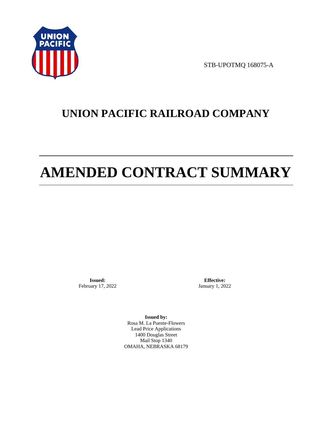

STB-UPOTMQ 168075-A

# **UNION PACIFIC RAILROAD COMPANY**

# **AMENDED CONTRACT SUMMARY**

**Issued:**  February 17, 2022

**Effective:** January 1, 2022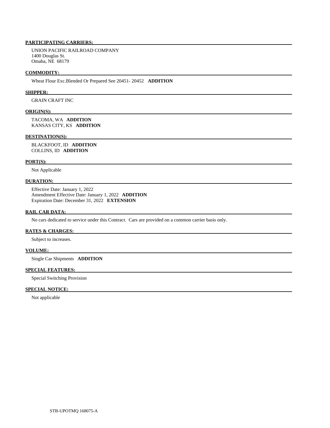UNION PACIFIC RAILROAD COMPANY 1400 Douglas St. Omaha, NE 68179

### **COMMODITY:**

Wheat Flour Exc.Blended Or Prepared See 20451- 20452 **ADDITION** 

### **SHIPPER:**

GRAIN CRAFT INC

### **ORIGIN(S):**

 TACOMA, WA **ADDITION**  KANSAS CITY, KS **ADDITION** 

#### **DESTINATION(S):**

 BLACKFOOT, ID **ADDITION**  COLLINS, ID **ADDITION** 

## **PORT(S):**

Not Applicable

## **DURATION:**

 Effective Date: January 1, 2022 Amendment Effective Date: January 1, 2022 **ADDITION**  Expiration Date: December 31, 2022 **EXTENSION** 

### **RAIL CAR DATA:**

No cars dedicated to service under this Contract. Cars are provided on a common carrier basis only.

## **RATES & CHARGES:**

Subject to increases.

### **VOLUME:**

Single Car Shipments **ADDITION** 

# **SPECIAL FEATURES:**

Special Switching Provision

# **SPECIAL NOTICE:**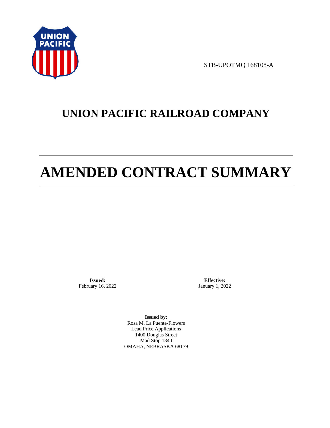

STB-UPOTMQ 168108-A

# **UNION PACIFIC RAILROAD COMPANY**

# **AMENDED CONTRACT SUMMARY**

**Issued:**  February 16, 2022

**Effective:** January 1, 2022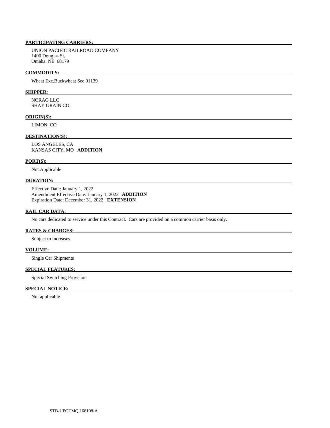UNION PACIFIC RAILROAD COMPANY 1400 Douglas St. Omaha, NE 68179

### **COMMODITY:**

Wheat Exc.Buckwheat See 01139

# **SHIPPER:**

 NORAG LLC SHAY GRAIN CO

#### **ORIGIN(S):**

LIMON, CO

## **DESTINATION(S):**

 LOS ANGELES, CA KANSAS CITY, MO **ADDITION** 

### **PORT(S):**

Not Applicable

# **DURATION:**

 Effective Date: January 1, 2022 Amendment Effective Date: January 1, 2022 **ADDITION**  Expiration Date: December 31, 2022 **EXTENSION** 

## **RAIL CAR DATA:**

No cars dedicated to service under this Contract. Cars are provided on a common carrier basis only.

### **RATES & CHARGES:**

Subject to increases.

### **VOLUME:**

Single Car Shipments

# **SPECIAL FEATURES:**

Special Switching Provision

# **SPECIAL NOTICE:**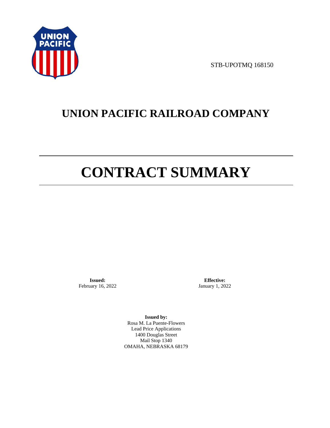

STB-UPOTMQ 168150

# **UNION PACIFIC RAILROAD COMPANY**

# **CONTRACT SUMMARY**

**Issued:**  February 16, 2022

**Effective:** January 1, 2022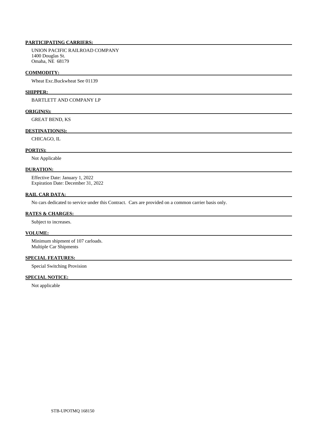UNION PACIFIC RAILROAD COMPANY 1400 Douglas St. Omaha, NE 68179

### **COMMODITY:**

Wheat Exc.Buckwheat See 01139

### **SHIPPER:**

BARTLETT AND COMPANY LP

# **ORIGIN(S):**

GREAT BEND, KS

### **DESTINATION(S):**

CHICAGO, IL

## **PORT(S):**

Not Applicable

### **DURATION:**

 Effective Date: January 1, 2022 Expiration Date: December 31, 2022

## **RAIL CAR DATA:**

No cars dedicated to service under this Contract. Cars are provided on a common carrier basis only.

### **RATES & CHARGES:**

Subject to increases.

# **VOLUME:**

 Minimum shipment of 107 carloads. Multiple Car Shipments

# **SPECIAL FEATURES:**

Special Switching Provision

# **SPECIAL NOTICE:**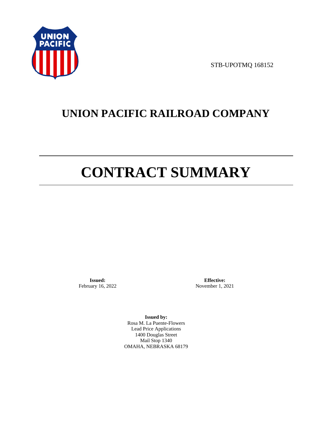

STB-UPOTMQ 168152

# **UNION PACIFIC RAILROAD COMPANY**

# **CONTRACT SUMMARY**

**Issued:**  February 16, 2022

**Effective:** November 1, 2021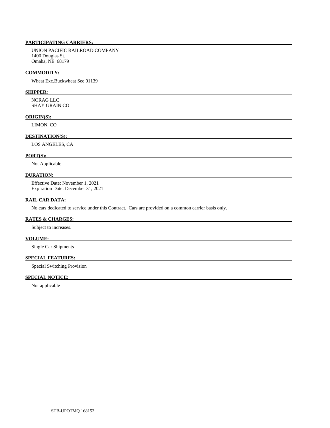UNION PACIFIC RAILROAD COMPANY 1400 Douglas St. Omaha, NE 68179

### **COMMODITY:**

Wheat Exc.Buckwheat See 01139

# **SHIPPER:**

 NORAG LLC SHAY GRAIN CO

### **ORIGIN(S):**

LIMON, CO

# **DESTINATION(S):**

LOS ANGELES, CA

### **PORT(S):**

Not Applicable

# **DURATION:**

 Effective Date: November 1, 2021 Expiration Date: December 31, 2021

## **RAIL CAR DATA:**

No cars dedicated to service under this Contract. Cars are provided on a common carrier basis only.

## **RATES & CHARGES:**

Subject to increases.

# **VOLUME:**

Single Car Shipments

# **SPECIAL FEATURES:**

Special Switching Provision

# **SPECIAL NOTICE:**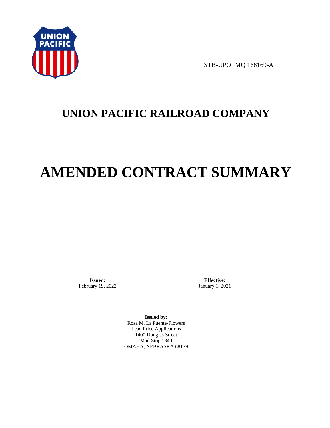

STB-UPOTMQ 168169-A

# **UNION PACIFIC RAILROAD COMPANY**

# **AMENDED CONTRACT SUMMARY**

**Issued:**  February 19, 2022

**Effective:** January 1, 2021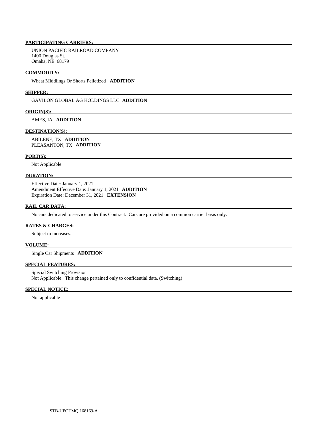UNION PACIFIC RAILROAD COMPANY 1400 Douglas St. Omaha, NE 68179

### **COMMODITY:**

Wheat Middlings Or Shorts,Pelletized **ADDITION** 

#### **SHIPPER:**

GAVILON GLOBAL AG HOLDINGS LLC **ADDITION** 

### **ORIGIN(S):**

AMES, IA **ADDITION** 

### **DESTINATION(S):**

 ABILENE, TX **ADDITION**  PLEASANTON, TX **ADDITION** 

### **PORT(S):**

Not Applicable

# **DURATION:**

 Effective Date: January 1, 2021 Amendment Effective Date: January 1, 2021 **ADDITION**  Expiration Date: December 31, 2021 **EXTENSION** 

### **RAIL CAR DATA:**

No cars dedicated to service under this Contract. Cars are provided on a common carrier basis only.

## **RATES & CHARGES:**

Subject to increases.

## **VOLUME:**

Single Car Shipments **ADDITION** 

# **SPECIAL FEATURES:**

 Special Switching Provision Not Applicable. This change pertained only to confidential data. (Switching)

# **SPECIAL NOTICE:**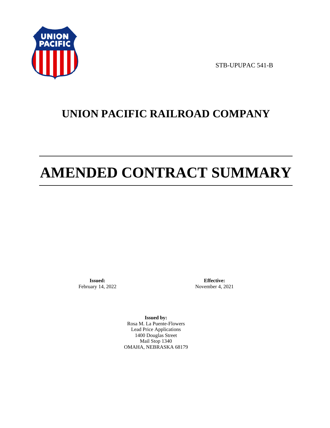

STB-UPUPAC 541-B

# **UNION PACIFIC RAILROAD COMPANY**

# **AMENDED CONTRACT SUMMARY**

**Issued:**  February 14, 2022

**Effective:** November 4, 2021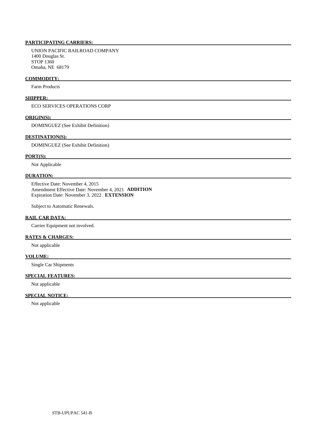UNION PACIFIC RAILROAD COMPANY 1400 Douglas St. STOP 1360 Omaha, NE 68179

### **COMMODITY:**

Farm Products

# **SHIPPER:**

ECO SERVICES OPERATIONS CORP

## **ORIGIN(S):**

DOMINGUEZ (See Exhibit Definition)

### **DESTINATION(S):**

DOMINGUEZ (See Exhibit Definition)

# **PORT(S):**

Not Applicable

### **DURATION:**

 Effective Date: November 4, 2015 Amendment Effective Date: November 4, 2021 **ADDITION**  Expiration Date: November 3, 2022 **EXTENSION** 

Subject to Automatic Renewals.

# **RAIL CAR DATA:**

Carrier Equipment not involved.

### **RATES & CHARGES:**

Not applicable

# **VOLUME:**

Single Car Shipments

# **SPECIAL FEATURES:**

Not applicable

# **SPECIAL NOTICE:**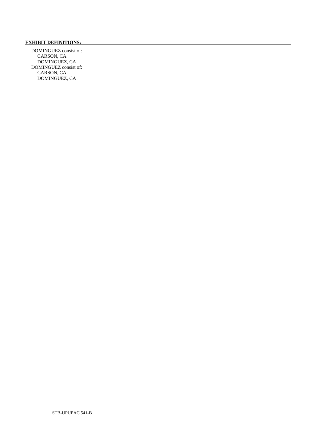# **EXHIBIT DEFINITIONS:**

 DOMINGUEZ consist of: CARSON, CA DOMINGUEZ, CA DOMINGUEZ consist of: CARSON, CA DOMINGUEZ, CA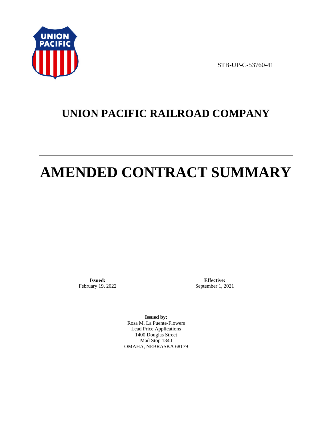

STB-UP-C-53760-41

# **UNION PACIFIC RAILROAD COMPANY**

# **AMENDED CONTRACT SUMMARY**

**Issued:**  February 19, 2022

**Effective:** September 1, 2021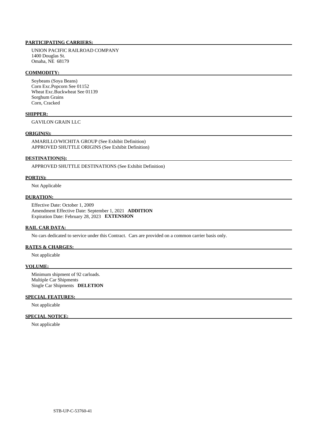UNION PACIFIC RAILROAD COMPANY 1400 Douglas St. Omaha, NE 68179

### **COMMODITY:**

 Soybeans (Soya Beans) Corn Exc.Popcorn See 01152 Wheat Exc.Buckwheat See 01139 Sorghum Grains Corn, Cracked

### **SHIPPER:**

GAVILON GRAIN LLC

# **ORIGIN(S):**

 AMARILLO/WICHITA GROUP (See Exhibit Definition) APPROVED SHUTTLE ORIGINS (See Exhibit Definition)

#### **DESTINATION(S):**

APPROVED SHUTTLE DESTINATIONS (See Exhibit Definition)

### **PORT(S):**

Not Applicable

# **DURATION:**

 Effective Date: October 1, 2009 Amendment Effective Date: September 1, 2021 **ADDITION**  Expiration Date: February 28, 2023 **EXTENSION** 

# **RAIL CAR DATA:**

No cars dedicated to service under this Contract. Cars are provided on a common carrier basis only.

## **RATES & CHARGES:**

Not applicable

#### **VOLUME:**

 Minimum shipment of 92 carloads. Multiple Car Shipments Single Car Shipments **DELETION** 

# **SPECIAL FEATURES:**

Not applicable

### **SPECIAL NOTICE:**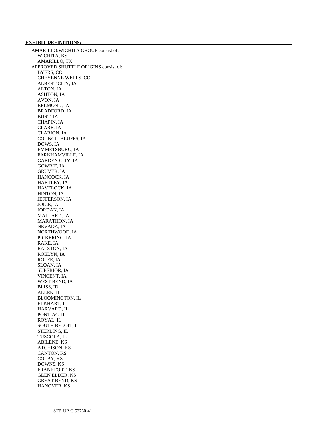### **EXHIBIT DEFINITIONS:**

 AMARILLO/WICHITA GROUP consist of: WICHITA, KS AMARILLO, TX APPROVED SHUTTLE ORIGINS consist of: BYERS, CO CHEYENNE WELLS, CO ALBERT CITY, IA ALTON, IA ASHTON, IA AVON, IA BELMOND, IA BRADFORD, IA BURT, IA CHAPIN, IA CLARE, IA CLARION, IA COUNCIL BLUFFS, IA DOWS, IA EMMETSBURG, IA FARNHAMVILLE, IA GARDEN CITY, IA GOWRIE, IA GRUVER, IA HANCOCK, IA HARTLEY, IA HAVELOCK, IA HINTON, IA JEFFERSON, IA JOICE, IA JORDAN, IA MALLARD, IA MARATHON, IA NEVADA, IA NORTHWOOD, IA PICKERING, IA RAKE, IA RALSTON, IA ROELYN, IA ROLFE, IA SLOAN, IA SUPERIOR, IA VINCENT, IA WEST BEND, IA BLISS, ID ALLEN, IL BLOOMINGTON, IL ELKHART, IL HARVARD, IL PONTIAC, IL ROYAL, IL SOUTH BELOIT, IL STERLING, IL TUSCOLA, IL ABILENE, KS ATCHISON, KS CANTON, KS COLBY, KS DOWNS, KS FRANKFORT, KS GLEN ELDER, KS GREAT BEND, KS HANOVER, KS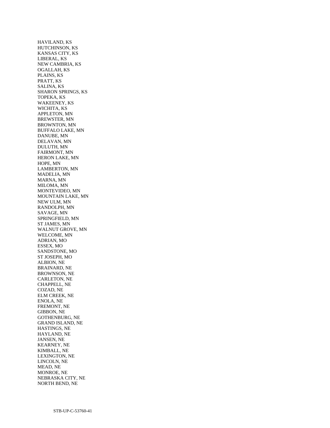HAVILAND, KS HUTCHINSON, KS KANSAS CITY, KS LIBERAL, KS NEW CAMBRIA, KS OGALLAH, KS PLAINS, KS PRATT, KS SALINA, KS SHARON SPRINGS, KS TOPEKA, KS WAKEENEY, KS WICHITA, KS APPLETON, MN BREWSTER, MN BROWNTON, MN BUFFALO LAKE, MN DANUBE, MN DELAVAN, MN DULUTH, MN FAIRMONT, MN HERON LAKE, MN HOPE, MN LAMBERTON, MN MADELIA, MN MARNA, MN MILOMA, MN MONTEVIDEO, MN MOUNTAIN LAKE, MN NEW ULM, MN RANDOLPH, MN SAVAGE, MN SPRINGFIELD, MN ST JAMES, MN WALNUT GROVE, MN WELCOME, MN ADRIAN, MO ESSEX, MO SANDSTONE, MO ST JOSEPH, MO ALBION, NE BRAINARD, NE BROWNSON, NE CARLETON, NE CHAPPELL, NE COZAD, NE ELM CREEK, NE ENOLA, NE FREMONT, NE GIBBON, NE GOTHENBURG, NE GRAND ISLAND, NE HASTINGS, NE HAYLAND, NE JANSEN, NE KEARNEY, NE KIMBALL, NE LEXINGTON, NE LINCOLN, NE MEAD, NE MONROE, NE NEBRASKA CITY, NE NORTH BEND, NE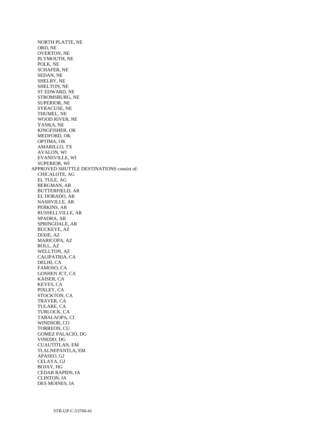NORTH PLATTE, NE ORD, NE OVERTON, NE PLYMOUTH, NE POLK, NE SCHAFER, NE SEDAN, NE SHELBY, NE SHELTON, NE ST EDWARD, NE STROMSBURG, NE SUPERIOR, NE SYRACUSE, NE THUMEL, NE WOOD RIVER, NE YANKA, NE KINGFISHER, OK MEDFORD, OK OPTIMA, OK AMARILLO, TX AVALON, WI EVANSVILLE, WI SUPERIOR, WI APPROVED SHUTTLE DESTINATIONS consist of: CHICALOTE, AG EL TULE, AG BERGMAN, AR BUTTERFIELD, AR EL DORADO, AR NASHVILLE, AR PERKINS, AR RUSSELLVILLE, AR SPADRA, AR SPRINGDALE, AR BUCKEYE, AZ DIXIE, AZ MARICOPA, AZ ROLL, AZ WELLTON, AZ CALIPATRIA, CA DELHI, CA FAMOSO, CA GOSHEN JCT, CA KAISER, CA KEYES, CA PIXLEY, CA STOCKTON, CA TRAVER, CA TULARE, CA TURLOCK, CA TABALAOPA, CI WINDSOR, CO TORREON, CU GOMEZ PALACIO, DG VINEDO, DG CUAUTITLAN, EM TLALNEPANTLA, EM APASEO, GJ CELAYA, GJ BOJAY, HG CEDAR RAPIDS, IA CLINTON, IA DES MOINES, IA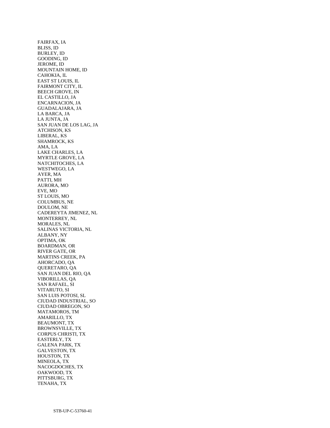FAIRFAX, IA BLISS, ID BURLEY, ID GOODING, ID JEROME, ID MOUNTAIN HOME, ID CAHOKIA, IL EAST ST LOUIS, IL FAIRMONT CITY, IL BEECH GROVE, IN EL CASTILLO, JA ENCARNACION, JA GUADALAJARA, JA LA BARCA, JA LA JUNTA, JA SAN JUAN DE LOS LAG, JA ATCHISON, KS LIBERAL, KS SHAMROCK, KS AMA, LA LAKE CHARLES, LA MYRTLE GROVE, LA NATCHITOCHES, LA WESTWEGO, LA AYER, MA PATTI, MH AURORA, MO EVE, MO ST LOUIS, MO COLUMBUS, NE DOULOM, NE CADEREYTA JIMENEZ, NL MONTERREY, NL MORALES, NL SALINAS VICTORIA, NL ALBANY, NY OPTIMA, OK BOARDMAN, OR RIVER GATE, OR MARTINS CREEK, PA AHORCADO, QA QUERETARO, QA SAN JUAN DEL RIO, QA VIBORILLAS, QA SAN RAFAEL, SI VITARUTO, SI SAN LUIS POTOSI, SL CIUDAD INDUSTRIAL, SO CIUDAD OBREGON, SO MATAMOROS, TM AMARILLO, TX BEAUMONT, TX BROWNSVILLE, TX CORPUS CHRISTI, TX EASTERLY, TX GALENA PARK, TX GALVESTON, TX HOUSTON, TX MINEOLA, TX NACOGDOCHES, TX OAKWOOD, TX PITTSBURG, TX TENAHA, TX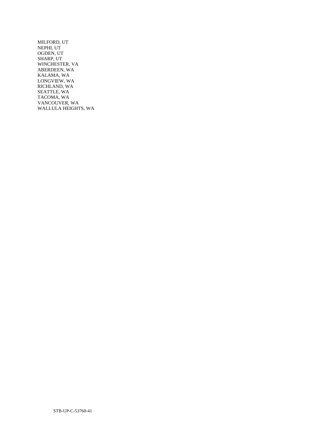MILFORD, UT NEPHI, UT OGDEN, UT SHARP, UT WINCHESTER, VA ABERDEEN, WA KALAMA, WA LONGVIEW, WA RICHLAND, WA SEATTLE, WA TACOMA, WA VANCOUVER, WA WALLULA HEIGHTS, WA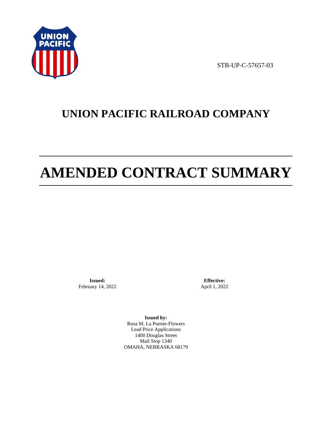

STB-UP-C-57657-03

# **UNION PACIFIC RAILROAD COMPANY**

# **AMENDED CONTRACT SUMMARY**

**Issued:**  February 14, 2022

**Effective:** April 1, 2022

**Issued by:**  Rosa M. La Puente-Flowers Lead Price Applications 1400 Douglas Street Mail Stop 1340 OMAHA, NEBRASKA 68179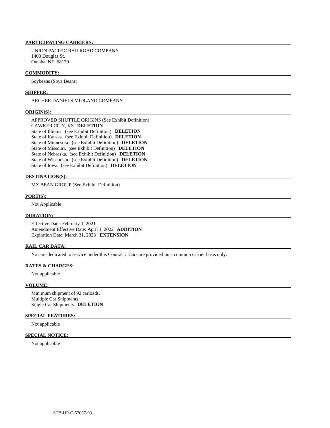#### **PARTICIPATING CARRIERS:**

 UNION PACIFIC RAILROAD COMPANY 1400 Douglas St. Omaha, NE 68179

## **COMMODITY:**

Soybeans (Soya Beans)

#### **SHIPPER:**

ARCHER DANIELS MIDLAND COMPANY

#### **ORIGIN(S):**

 APPROVED SHUTTLE ORIGINS (See Exhibit Definition) CAWKER CITY, KS **DELETION**  State of Illinois. (see Exhibit Definition) **DELETION**  State of Kansas. (see Exhibit Definition) **DELETION**  State of Minnesota. (see Exhibit Definition) **DELETION**  State of Missouri. (see Exhibit Definition) **DELETION**  State of Nebraska. (see Exhibit Definition) **DELETION**  State of Wisconsin. (see Exhibit Definition) **DELETION**  State of Iowa. (see Exhibit Definition) **DELETION** 

# **DESTINATION(S):**

MX BEAN GROUP (See Exhibit Definition)

#### **PORT(S):**

Not Applicable

### **DURATION:**

 Effective Date: February 1, 2021 Amendment Effective Date: April 1, 2022 **ADDITION**  Expiration Date: March 31, 2023 **EXTENSION** 

#### **RAIL CAR DATA:**

No cars dedicated to service under this Contract. Cars are provided on a common carrier basis only.

## **RATES & CHARGES:**

Not applicable

#### **VOLUME:**

 Minimum shipment of 92 carloads. Multiple Car Shipments Single Car Shipments **DELETION** 

# **SPECIAL FEATURES:**

Not applicable

# **SPECIAL NOTICE:**

Not applicable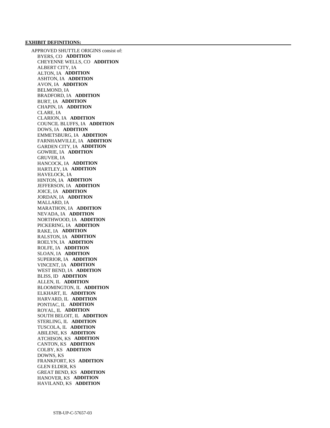APPROVED SHUTTLE ORIGINS consist of: BYERS, CO **ADDITION**  CHEYENNE WELLS, CO **ADDITION**  ALBERT CITY, IA ALTON, IA **ADDITION**  ASHTON, IA **ADDITION**  AVON, IA **ADDITION**  BELMOND, IA BRADFORD, IA **ADDITION**  BURT, IA **ADDITION**  CHAPIN, IA **ADDITION**  CLARE, IA CLARION, IA **ADDITION**  COUNCIL BLUFFS, IA **ADDITION**  DOWS, IA **ADDITION**  EMMETSBURG, IA **ADDITION**  FARNHAMVILLE, IA **ADDITION**  GARDEN CITY, IA **ADDITION**  GOWRIE, IA **ADDITION**  GRUVER, IA HANCOCK, IA **ADDITION**  HARTLEY, IA **ADDITION**  HAVELOCK, IA HINTON, IA **ADDITION**  JEFFERSON, IA **ADDITION**  JOICE, IA **ADDITION**  JORDAN, IA **ADDITION**  MALLARD, IA MARATHON, IA **ADDITION**  NEVADA, IA **ADDITION**  NORTHWOOD, IA **ADDITION**  PICKERING, IA **ADDITION**  RAKE, IA **ADDITION**  RALSTON, IA **ADDITION**  ROELYN, IA **ADDITION**  ROLFE, IA **ADDITION**  SLOAN, IA **ADDITION**  SUPERIOR, IA **ADDITION**  VINCENT, IA **ADDITION**  WEST BEND, IA **ADDITION**  BLISS, ID **ADDITION**  ALLEN, IL **ADDITION**  BLOOMINGTON, IL **ADDITION**  ELKHART, IL **ADDITION**  HARVARD, IL **ADDITION**  PONTIAC, IL **ADDITION**  ROYAL, IL **ADDITION**  SOUTH BELOIT, IL **ADDITION**  STERLING, IL **ADDITION**  TUSCOLA, IL **ADDITION**  ABILENE, KS **ADDITION**  ATCHISON, KS **ADDITION**  CANTON, KS **ADDITION**  COLBY, KS **ADDITION**  DOWNS, KS FRANKFORT, KS **ADDITION**  GLEN ELDER, KS GREAT BEND, KS **ADDITION**  HANOVER, KS **ADDITION**  HAVILAND, KS **ADDITION**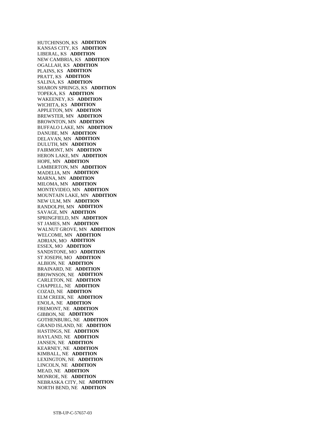HUTCHINSON, KS **ADDITION**  KANSAS CITY, KS **ADDITION**  LIBERAL, KS **ADDITION**  NEW CAMBRIA, KS **ADDITION**  OGALLAH, KS **ADDITION**  PLAINS, KS **ADDITION**  PRATT, KS **ADDITION**  SALINA, KS **ADDITION**  SHARON SPRINGS, KS **ADDITION**  TOPEKA, KS **ADDITION**  WAKEENEY, KS **ADDITION**  WICHITA, KS **ADDITION**  APPLETON, MN **ADDITION**  BREWSTER, MN **ADDITION**  BROWNTON, MN **ADDITION**  BUFFALO LAKE, MN **ADDITION**  DANUBE, MN **ADDITION**  DELAVAN, MN **ADDITION**  DULUTH, MN **ADDITION**  FAIRMONT, MN **ADDITION**  HERON LAKE, MN **ADDITION**  HOPE, MN **ADDITION**  LAMBERTON, MN **ADDITION**  MADELIA, MN **ADDITION**  MARNA, MN **ADDITION**  MILOMA, MN **ADDITION**  MONTEVIDEO, MN **ADDITION**  MOUNTAIN LAKE, MN **ADDITION**  NEW ULM, MN **ADDITION**  RANDOLPH, MN **ADDITION**  SAVAGE, MN **ADDITION**  SPRINGFIELD, MN **ADDITION**  ST JAMES, MN **ADDITION**  WALNUT GROVE, MN **ADDITION**  WELCOME, MN **ADDITION**  ADRIAN, MO **ADDITION**  ESSEX, MO **ADDITION**  SANDSTONE, MO **ADDITION**  ST JOSEPH, MO **ADDITION**  ALBION, NE **ADDITION**  BRAINARD, NE **ADDITION**  BROWNSON, NE **ADDITION**  CARLETON, NE **ADDITION**  CHAPPELL, NE **ADDITION**  COZAD, NE **ADDITION**  ELM CREEK, NE **ADDITION**  ENOLA, NE **ADDITION**  FREMONT, NE **ADDITION**  GIBBON, NE **ADDITION**  GOTHENBURG, NE **ADDITION**  GRAND ISLAND, NE **ADDITION**  HASTINGS, NE **ADDITION**  HAYLAND, NE **ADDITION**  JANSEN, NE **ADDITION**  KEARNEY, NE **ADDITION**  KIMBALL, NE **ADDITION**  LEXINGTON, NE **ADDITION**  LINCOLN, NE **ADDITION**  MEAD, NE **ADDITION**  MONROE, NE **ADDITION**  NEBRASKA CITY, NE **ADDITION**  NORTH BEND, NE **ADDITION**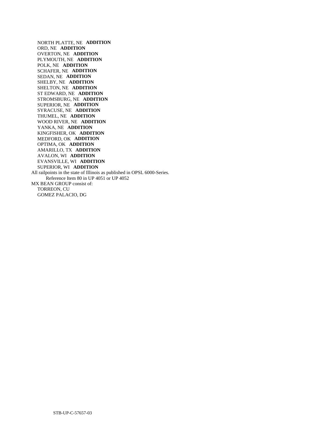NORTH PLATTE, NE **ADDITION**  ORD, NE **ADDITION**  OVERTON, NE **ADDITION**  PLYMOUTH, NE **ADDITION**  POLK, NE **ADDITION**  SCHAFER, NE **ADDITION**  SEDAN, NE **ADDITION**  SHELBY, NE **ADDITION**  SHELTON, NE **ADDITION**  ST EDWARD, NE **ADDITION**  STROMSBURG, NE **ADDITION**  SUPERIOR, NE **ADDITION**  SYRACUSE, NE **ADDITION**  THUMEL, NE **ADDITION**  WOOD RIVER, NE **ADDITION**  YANKA, NE **ADDITION**  KINGFISHER, OK **ADDITION**  MEDFORD, OK **ADDITION**  OPTIMA, OK **ADDITION**  AMARILLO, TX **ADDITION**  AVALON, WI **ADDITION**  EVANSVILLE, WI **ADDITION**  SUPERIOR, WI **ADDITION**  All railpoints in the state of Illinois as published in OPSL 6000-Series. Reference Item 80 in UP 4051 or UP 4052 MX BEAN GROUP consist of: TORREON, CU GOMEZ PALACIO, DG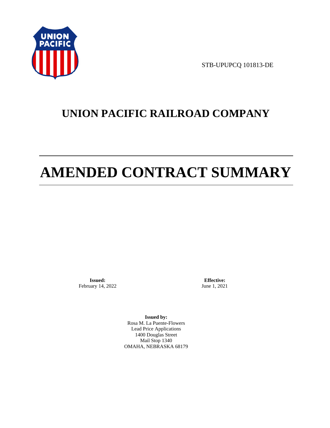

STB-UPUPCQ 101813-DE

# **UNION PACIFIC RAILROAD COMPANY**

# **AMENDED CONTRACT SUMMARY**

**Issued:**  February 14, 2022

**Effective:** June 1, 2021

**Issued by:**  Rosa M. La Puente-Flowers Lead Price Applications 1400 Douglas Street Mail Stop 1340 OMAHA, NEBRASKA 68179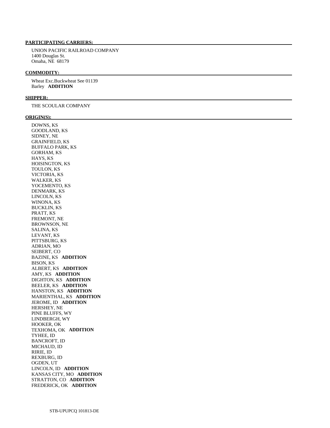# **PARTICIPATING CARRIERS:**

 UNION PACIFIC RAILROAD COMPANY 1400 Douglas St. Omaha, NE 68179

#### **COMMODITY:**

 Wheat Exc.Buckwheat See 01139 Barley **ADDITION** 

#### **SHIPPER:**

THE SCOULAR COMPANY

#### **ORIGIN(S):**

 DOWNS, KS GOODLAND, KS SIDNEY, NE GRAINFIELD, KS BUFFALO PARK, KS GORHAM, KS HAYS, KS HOISINGTON, KS TOULON, KS VICTORIA, KS WALKER, KS YOCEMENTO, KS DENMARK, KS LINCOLN, KS WINONA, KS BUCKLIN, KS PRATT, KS FREMONT, NE BROWNSON, NE SALINA, KS LEVANT, KS PITTSBURG, KS ADRIAN, MO SEIBERT, CO BAZINE, KS **ADDITION**  BISON, KS ALBERT, KS **ADDITION**  AMY, KS **ADDITION**  DIGHTON, KS **ADDITION**  BEELER, KS **ADDITION**  HANSTON, KS **ADDITION**  MARIENTHAL, KS **ADDITION**  JEROME, ID **ADDITION**  HERSHEY, NE PINE BLUFFS, WY LINDBERGH, WY HOOKER, OK TEXHOMA, OK **ADDITION**  TYHEE, ID BANCROFT, ID MICHAUD, ID RIRIE, ID REXBURG, ID OGDEN, UT LINCOLN, ID **ADDITION**  KANSAS CITY, MO **ADDITION**  STRATTON, CO **ADDITION**  FREDERICK, OK **ADDITION**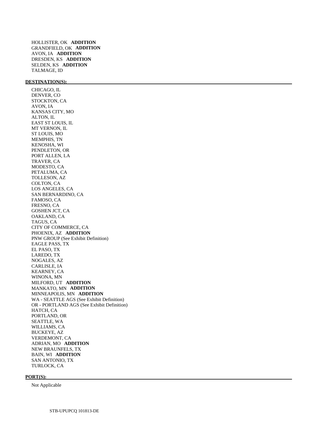HOLLISTER, OK **ADDITION**  GRANDFIELD, OK **ADDITION**  AVON, IA **ADDITION**  DRESDEN, KS **ADDITION**  SELDEN, KS **ADDITION**  TALMAGE, ID

# **DESTINATION(S):**

 CHICAGO, IL DENVER, CO STOCKTON, CA AVON, IA KANSAS CITY, MO ALTON, IL EAST ST LOUIS, IL MT VERNON, IL ST LOUIS, MO MEMPHIS, TN KENOSHA, WI PENDLETON, OR PORT ALLEN, LA TRAVER, CA MODESTO, CA PETALUMA, CA TOLLESON, AZ COLTON, CA LOS ANGELES, CA SAN BERNARDINO, CA FAMOSO, CA FRESNO, CA GOSHEN JCT, CA OAKLAND, CA TAGUS, CA CITY OF COMMERCE, CA PHOENIX, AZ **ADDITION**  PNW GROUP (See Exhibit Definition) EAGLE PASS, TX EL PASO, TX LAREDO, TX NOGALES, AZ CARLISLE, IA KEARNEY, CA WINONA, MN MILFORD, UT **ADDITION**  MANKATO, MN **ADDITION**  MINNEAPOLIS, MN **ADDITION**  WA - SEATTLE AGS (See Exhibit Definition) OR - PORTLAND AGS (See Exhibit Definition) HATCH, CA PORTLAND, OR SEATTLE, WA WILLIAMS, CA BUCKEYE, AZ VERDEMONT, CA ADRIAN, MO **ADDITION**  NEW BRAUNFELS, TX BAIN, WI **ADDITION**  SAN ANTONIO, TX TURLOCK, CA

#### **PORT(S):**

Not Applicable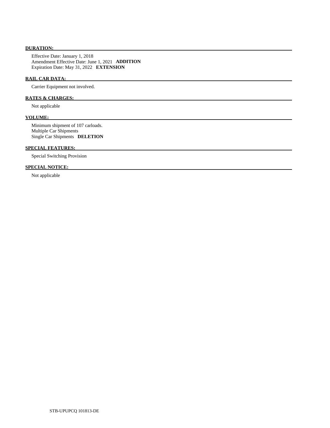# **DURATION:**

 Effective Date: January 1, 2018 Amendment Effective Date: June 1, 2021 **ADDITION**  Expiration Date: May 31, 2022 **EXTENSION** 

# **RAIL CAR DATA:**

Carrier Equipment not involved.

# **RATES & CHARGES:**

Not applicable

# **VOLUME:**

 Minimum shipment of 107 carloads. Multiple Car Shipments Single Car Shipments **DELETION** 

# **SPECIAL FEATURES:**

Special Switching Provision

# **SPECIAL NOTICE:**

Not applicable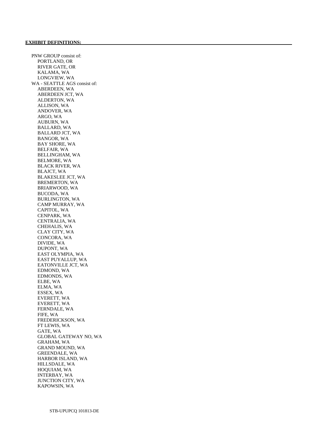PNW GROUP consist of: PORTLAND, OR RIVER GATE, OR KALAMA, WA LONGVIEW, WA WA - SEATTLE AGS consist of: ABERDEEN, WA ABERDEEN JCT, WA ALDERTON, WA ALLISON, WA ANDOVER, WA ARGO, WA AUBURN, WA BALLARD, WA BALLARD JCT, WA BANGOR, WA BAY SHORE, WA BELFAIR, WA BELLINGHAM, WA BELMORE, WA BLACK RIVER, WA BLAJCT, WA BLAKESLEE JCT, WA BREMERTON, WA BRIARWOOD, WA BUCODA, WA BURLINGTON, WA CAMP MURRAY, WA CAPITOL, WA CENPARK, WA CENTRALIA, WA CHEHALIS, WA CLAY CITY, WA CONCORA, WA DIVIDE, WA DUPONT, WA EAST OLYMPIA, WA EAST PUYALLUP, WA EATONVILLE JCT, WA EDMOND, WA EDMONDS, WA ELBE, WA ELMA, WA ESSEX, WA EVERETT, WA EVERETT, WA FERNDALE, WA FIFE, WA FREDERICKSON, WA FT LEWIS, WA GATE, WA GLOBAL GATEWAY NO, WA GRAHAM, WA GRAND MOUND, WA GREENDALE, WA HARBOR ISLAND, WA HILLSDALE, WA HOQUIAM, WA INTERBAY, WA JUNCTION CITY, WA KAPOWSIN, WA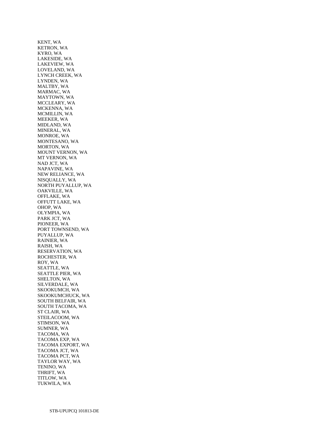KENT, WA KETRON, WA KYRO, WA LAKESIDE, WA LAKEVIEW, WA LOVELAND, WA LYNCH CREEK, WA LYNDEN, WA MALTBY, WA MARMAC, WA MAYTOWN, WA MCCLEARY, WA MCKENNA, WA MCMILLIN, WA MEEKER, WA MIDLAND, WA MINERAL, WA MONROE, WA MONTESANO, WA MORTON, WA MOUNT VERNON, WA MT VERNON, WA NAD JCT, WA NAPAVINE, WA NEW RELIANCE, WA NISQUALLY, WA NORTH PUYALLUP, WA OAKVILLE, WA OFFLAKE, WA OFFUTT LAKE, WA OHOP, WA OLYMPIA, WA PARK JCT, WA PIONEER, WA PORT TOWNSEND, WA PUYALLUP, WA RAINIER, WA RAISH, WA RESERVATION, WA ROCHESTER, WA ROY, WA SEATTLE, WA SEATTLE PIER, WA SHELTON, WA SILVERDALE, WA SKOOKUMCH, WA SKOOKUMCHUCK, WA SOUTH BELFAIR, WA SOUTH TACOMA, WA ST CLAIR, WA STEILACOOM, WA STIMSON, WA SUMNER, WA TACOMA, WA TACOMA EXP, WA TACOMA EXPORT, WA TACOMA JCT, WA TACOMA PCT, WA TAYLOR WAY, WA TENINO, WA THRIFT, WA TITLOW, WA TUKWILA, WA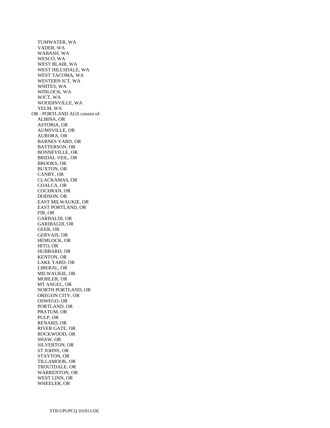TUMWATER, WA VADER, WA WABASH, WA WESCO, WA WEST BLAIR, WA WEST HILLSDALE, WA WEST TACOMA, WA WESTERN JCT, WA WHITES, WA WINLOCK, WA WJCT, WA WOODINVILLE, WA YELM, WA OR - PORTLAND AGS consist of: ALBINA, OR ASTORIA, OR AUMSVILLE, OR AURORA, OR BARNES YARD, OR BATTERSON, OR BONNEVILLE, OR BRIDAL VEIL, OR BROOKS, OR BUXTON, OR CANBY, OR CLACKAMAS, OR COALCA, OR COCHRAN, OR DODSON, OR EAST MILWAUKIE, OR EAST PORTLAND, OR FIR, OR GARBALDI, OR GARIBALDI, OR GEER, OR GERVAIS, OR HEMLOCK, OR HITO, OR HUBBARD, OR KENTON, OR LAKE YARD, OR LIBERAL, OR MILWAUKIE, OR MOHLER, OR MT ANGEL, OR NORTH PORTLAND, OR OREGON CITY, OR OSWEGO, OR PORTLAND, OR PRATUM, OR PULP, OR RENARD, OR RIVER GATE, OR ROCKWOOD, OR SHAW, OR SILVERTON, OR ST JOHNS, OR STAYTON, OR TILLAMOOK, OR TROUTDALE, OR WARRENTON, OR WEST LINN, OR WHEELER, OR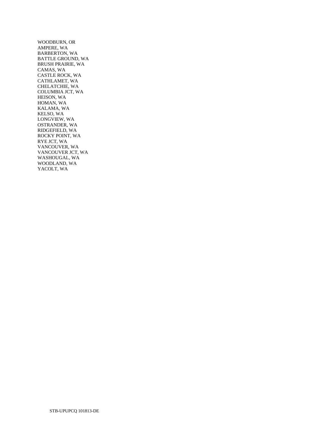WOODBURN, OR AMPERE, WA BARBERTON, WA BATTLE GROUND, WA BRUSH PRAIRIE, WA CAMAS, WA CASTLE ROCK, WA CATHLAMET, WA CHELATCHIE, WA COLUMBIA JCT, WA HEISON, WA HOMAN, WA KALAMA, WA KELSO, WA LONGVIEW, WA OSTRANDER, WA RIDGEFIELD, WA ROCKY POINT, WA RYE JCT, WA VANCOUVER, WA VANCOUVER JCT, WA WASHOUGAL, WA WOODLAND, WA YACOLT, WA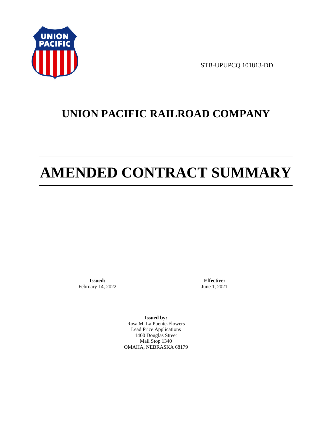

STB-UPUPCQ 101813-DD

# **UNION PACIFIC RAILROAD COMPANY**

# **AMENDED CONTRACT SUMMARY**

**Issued:**  February 14, 2022

**Effective:** June 1, 2021

**Issued by:**  Rosa M. La Puente-Flowers Lead Price Applications 1400 Douglas Street Mail Stop 1340 OMAHA, NEBRASKA 68179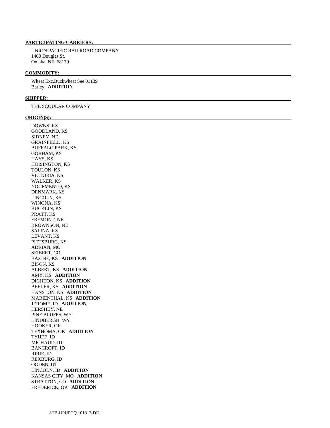#### **PARTICIPATING CARRIERS:**

 UNION PACIFIC RAILROAD COMPANY 1400 Douglas St. Omaha, NE 68179

## **COMMODITY:**

 Wheat Exc.Buckwheat See 01139 Barley **ADDITION** 

#### **SHIPPER:**

THE SCOULAR COMPANY

#### **ORIGIN(S):**

 DOWNS, KS GOODLAND, KS SIDNEY, NE GRAINFIELD, KS BUFFALO PARK, KS GORHAM, KS HAYS, KS HOISINGTON, KS TOULON, KS VICTORIA, KS WALKER, KS YOCEMENTO, KS DENMARK, KS LINCOLN, KS WINONA, KS BUCKLIN, KS PRATT, KS FREMONT, NE BROWNSON, NE SALINA, KS LEVANT, KS PITTSBURG, KS ADRIAN, MO SEIBERT, CO BAZINE, KS **ADDITION**  BISON, KS ALBERT, KS **ADDITION**  AMY, KS **ADDITION**  DIGHTON, KS **ADDITION**  BEELER, KS **ADDITION**  HANSTON, KS **ADDITION**  MARIENTHAL, KS **ADDITION**  JEROME, ID **ADDITION**  HERSHEY, NE PINE BLUFFS, WY LINDBERGH, WY HOOKER, OK TEXHOMA, OK **ADDITION**  TYHEE, ID MICHAUD, ID BANCROFT, ID RIRIE, ID REXBURG, ID OGDEN, UT LINCOLN, ID **ADDITION**  KANSAS CITY, MO **ADDITION**  STRATTON, CO **ADDITION**  FREDERICK, OK **ADDITION**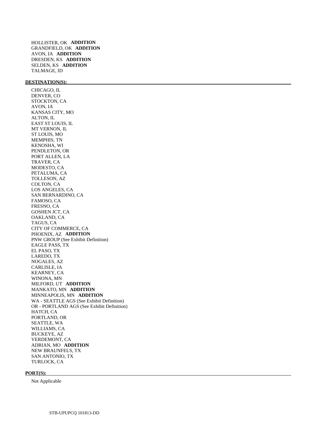HOLLISTER, OK **ADDITION**  GRANDFIELD, OK **ADDITION**  AVON, IA **ADDITION**  DRESDEN, KS **ADDITION**  SELDEN, KS **ADDITION**  TALMAGE, ID

## **DESTINATION(S):**

 CHICAGO, IL DENVER, CO STOCKTON, CA AVON, IA KANSAS CITY, MO ALTON, IL EAST ST LOUIS, IL MT VERNON, IL ST LOUIS, MO MEMPHIS, TN KENOSHA, WI PENDLETON, OR PORT ALLEN, LA TRAVER, CA MODESTO, CA PETALUMA, CA TOLLESON, AZ COLTON, CA LOS ANGELES, CA SAN BERNARDINO, CA FAMOSO, CA FRESNO, CA GOSHEN JCT, CA OAKLAND, CA TAGUS, CA CITY OF COMMERCE, CA PHOENIX, AZ **ADDITION**  PNW GROUP (See Exhibit Definition) EAGLE PASS, TX EL PASO, TX LAREDO, TX NOGALES, AZ CARLISLE, IA KEARNEY, CA WINONA, MN MILFORD, UT **ADDITION**  MANKATO, MN **ADDITION**  MINNEAPOLIS, MN **ADDITION**  WA - SEATTLE AGS (See Exhibit Definition) OR - PORTLAND AGS (See Exhibit Definition) HATCH, CA PORTLAND, OR SEATTLE, WA WILLIAMS, CA BUCKEYE, AZ VERDEMONT, CA ADRIAN, MO **ADDITION**  NEW BRAUNFELS, TX SAN ANTONIO, TX TURLOCK, CA

#### **PORT(S):**

Not Applicable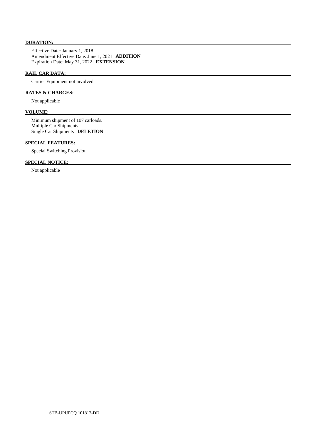# **DURATION:**

 Effective Date: January 1, 2018 Amendment Effective Date: June 1, 2021 **ADDITION**  Expiration Date: May 31, 2022 **EXTENSION** 

# **RAIL CAR DATA:**

Carrier Equipment not involved.

#### **RATES & CHARGES:**

Not applicable

# **VOLUME:**

 Minimum shipment of 107 carloads. Multiple Car Shipments Single Car Shipments **DELETION** 

# **SPECIAL FEATURES:**

Special Switching Provision

# **SPECIAL NOTICE:**

Not applicable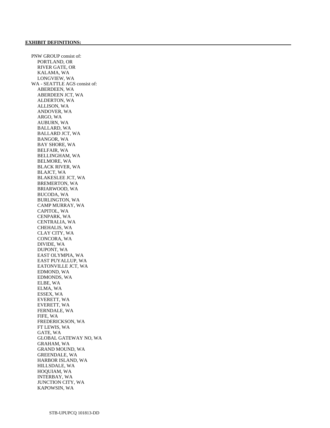PNW GROUP consist of: PORTLAND, OR RIVER GATE, OR KALAMA, WA LONGVIEW, WA WA - SEATTLE AGS consist of: ABERDEEN, WA ABERDEEN JCT, WA ALDERTON, WA ALLISON, WA ANDOVER, WA ARGO, WA AUBURN, WA BALLARD, WA BALLARD JCT, WA BANGOR, WA BAY SHORE, WA BELFAIR, WA BELLINGHAM, WA BELMORE, WA BLACK RIVER, WA BLAJCT, WA BLAKESLEE JCT, WA BREMERTON, WA BRIARWOOD, WA BUCODA, WA BURLINGTON, WA CAMP MURRAY, WA CAPITOL, WA CENPARK, WA CENTRALIA, WA CHEHALIS, WA CLAY CITY, WA CONCORA, WA DIVIDE, WA DUPONT, WA EAST OLYMPIA, WA EAST PUYALLUP, WA EATONVILLE JCT, WA EDMOND, WA EDMONDS, WA ELBE, WA ELMA, WA ESSEX, WA EVERETT, WA EVERETT, WA FERNDALE, WA FIFE, WA FREDERICKSON, WA FT LEWIS, WA GATE, WA GLOBAL GATEWAY NO, WA GRAHAM, WA GRAND MOUND, WA GREENDALE, WA HARBOR ISLAND, WA HILLSDALE, WA HOQUIAM, WA INTERBAY, WA JUNCTION CITY, WA KAPOWSIN, WA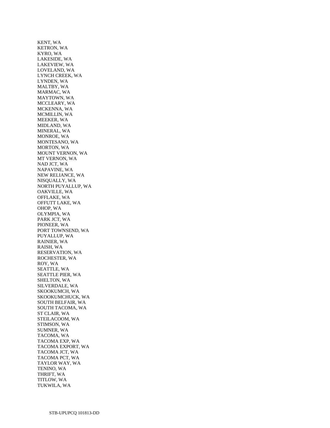KENT, WA KETRON, WA KYRO, WA LAKESIDE, WA LAKEVIEW, WA LOVELAND, WA LYNCH CREEK, WA LYNDEN, WA MALTBY, WA MARMAC, WA MAYTOWN, WA MCCLEARY, WA MCKENNA, WA MCMILLIN, WA MEEKER, WA MIDLAND, WA MINERAL, WA MONROE, WA MONTESANO, WA MORTON, WA MOUNT VERNON, WA MT VERNON, WA NAD JCT, WA NAPAVINE, WA NEW RELIANCE, WA NISQUALLY, WA NORTH PUYALLUP, WA OAKVILLE, WA OFFLAKE, WA OFFUTT LAKE, WA OHOP, WA OLYMPIA, WA PARK JCT, WA PIONEER, WA PORT TOWNSEND, WA PUYALLUP, WA RAINIER, WA RAISH, WA RESERVATION, WA ROCHESTER, WA ROY, WA SEATTLE, WA SEATTLE PIER, WA SHELTON, WA SILVERDALE, WA SKOOKUMCH, WA SKOOKUMCHUCK, WA SOUTH BELFAIR, WA SOUTH TACOMA, WA ST CLAIR, WA STEILACOOM, WA STIMSON, WA SUMNER, WA TACOMA, WA TACOMA EXP, WA TACOMA EXPORT, WA TACOMA JCT, WA TACOMA PCT, WA TAYLOR WAY, WA TENINO, WA THRIFT, WA TITLOW, WA TUKWILA, WA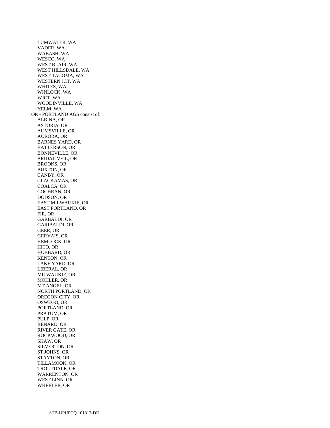TUMWATER, WA VADER, WA WABASH, WA WESCO, WA WEST BLAIR, WA WEST HILLSDALE, WA WEST TACOMA, WA WESTERN JCT, WA WHITES, WA WINLOCK, WA WJCT, WA WOODINVILLE, WA YELM, WA OR - PORTLAND AGS consist of: ALBINA, OR ASTORIA, OR AUMSVILLE, OR AURORA, OR BARNES YARD, OR BATTERSON, OR BONNEVILLE, OR BRIDAL VEIL, OR BROOKS, OR BUXTON, OR CANBY, OR CLACKAMAS, OR COALCA, OR COCHRAN, OR DODSON, OR EAST MILWAUKIE, OR EAST PORTLAND, OR FIR, OR GARBALDI, OR GARIBALDI, OR GEER, OR GERVAIS, OR HEMLOCK, OR HITO, OR HUBBARD, OR KENTON, OR LAKE YARD, OR LIBERAL, OR MILWAUKIE, OR MOHLER, OR MT ANGEL, OR NORTH PORTLAND, OR OREGON CITY, OR OSWEGO, OR PORTLAND, OR PRATUM, OR PULP, OR RENARD, OR RIVER GATE, OR ROCKWOOD, OR SHAW, OR SILVERTON, OR ST JOHNS, OR STAYTON, OR TILLAMOOK, OR TROUTDALE, OR WARRENTON, OR WEST LINN, OR WHEELER, OR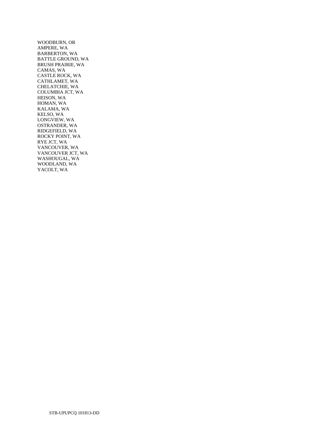WOODBURN, OR AMPERE, WA BARBERTON, WA BATTLE GROUND, WA BRUSH PRAIRIE, WA CAMAS, WA CASTLE ROCK, WA CATHLAMET, WA CHELATCHIE, WA COLUMBIA JCT, WA HEISON, WA HOMAN, WA KALAMA, WA KELSO, WA LONGVIEW, WA OSTRANDER, WA RIDGEFIELD, WA ROCKY POINT, WA RYE JCT, WA VANCOUVER, WA VANCOUVER JCT, WA WASHOUGAL, WA WOODLAND, WA YACOLT, WA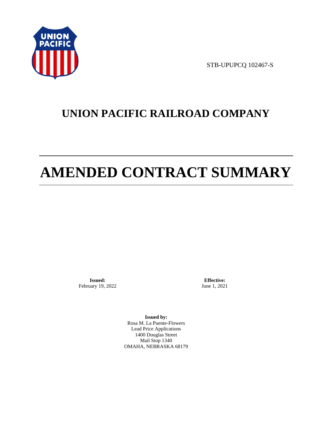

STB-UPUPCQ 102467-S

# **UNION PACIFIC RAILROAD COMPANY**

# **AMENDED CONTRACT SUMMARY**

**Issued:**  February 19, 2022

**Effective:** June 1, 2021

**Issued by:**  Rosa M. La Puente-Flowers Lead Price Applications 1400 Douglas Street Mail Stop 1340 OMAHA, NEBRASKA 68179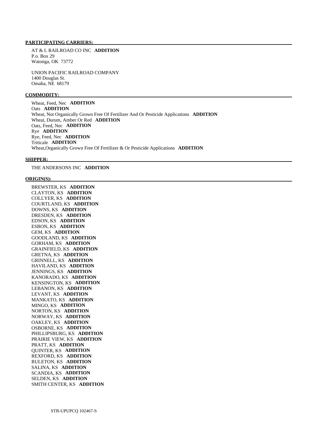#### **PARTICIPATING CARRIERS:**

 AT & L RAILROAD CO INC **ADDITION**  P.o. Box 29 Watonga, OK 73772

 UNION PACIFIC RAILROAD COMPANY 1400 Douglas St. Omaha, NE 68179

#### **COMMODITY:**

 Wheat, Feed, Nec **ADDITION**  Oats **ADDITION**  Wheat, Not Organically Grown Free Of Fertilizer And Or Pesticide Applications **ADDITION**  Wheat, Durum, Amber Or Red **ADDITION**  Oats, Feed, Nec **ADDITION**  Rye **ADDITION**  Rye, Feed, Nec **ADDITION**  Triticale **ADDITION**  Wheat,Organically Grown Free Of Fertilizer & Or Pesticide Applications **ADDITION** 

#### **SHIPPER:**

THE ANDERSONS INC **ADDITION** 

#### **ORIGIN(S):**

 BREWSTER, KS **ADDITION**  CLAYTON, KS **ADDITION**  COLLYER, KS **ADDITION**  COURTLAND, KS **ADDITION**  DOWNS, KS **ADDITION**  DRESDEN, KS **ADDITION**  EDSON, KS **ADDITION**  ESBON, KS **ADDITION**  GEM, KS **ADDITION**  GOODLAND, KS **ADDITION**  GORHAM, KS **ADDITION**  GRAINFIELD, KS **ADDITION**  GRETNA, KS **ADDITION**  GRINNELL, KS **ADDITION**  HAVILAND, KS **ADDITION**  JENNINGS, KS **ADDITION**  KANORADO, KS **ADDITION**  KENSINGTON, KS **ADDITION**  LEBANON, KS **ADDITION**  LEVANT, KS **ADDITION**  MANKATO, KS **ADDITION**  MINGO, KS **ADDITION**  NORTON, KS **ADDITION**  NORWAY, KS **ADDITION**  OAKLEY, KS **ADDITION**  OSBORNE, KS **ADDITION**  PHILLIPSBURG, KS **ADDITION**  PRAIRIE VIEW, KS **ADDITION**  PRATT, KS **ADDITION**  QUINTER, KS **ADDITION**  REXFORD, KS **ADDITION**  RULETON, KS **ADDITION**  SALINA, KS **ADDITION**  SCANDIA, KS **ADDITION**  SELDEN, KS **ADDITION**  SMITH CENTER, KS **ADDITION**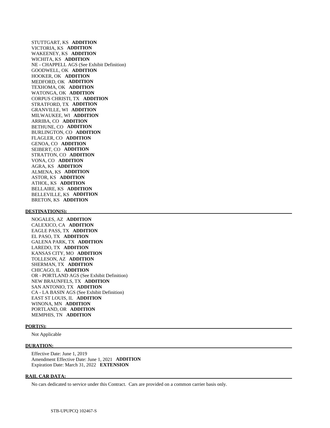STUTTGART, KS **ADDITION**  VICTORIA, KS **ADDITION**  WAKEENEY, KS **ADDITION**  WICHITA, KS **ADDITION**  NE - CHAPPELL AGS (See Exhibit Definition) GOODWELL, OK **ADDITION**  HOOKER, OK **ADDITION**  MEDFORD, OK **ADDITION**  TEXHOMA, OK **ADDITION**  WATONGA, OK **ADDITION**  CORPUS CHRISTI, TX **ADDITION**  STRATFORD, TX **ADDITION**  GRANVILLE, WI **ADDITION**  MILWAUKEE, WI **ADDITION**  ARRIBA, CO **ADDITION**  BETHUNE, CO **ADDITION**  BURLINGTON, CO **ADDITION**  FLAGLER, CO **ADDITION**  GENOA, CO **ADDITION**  SEIBERT, CO **ADDITION**  STRATTON, CO **ADDITION**  VONA, CO **ADDITION**  AGRA, KS **ADDITION**  ALMENA, KS **ADDITION**  ASTOR, KS **ADDITION**  ATHOL, KS **ADDITION**  BELLAIRE, KS **ADDITION**  BELLEVILLE, KS **ADDITION**  BRETON, KS **ADDITION** 

#### **DESTINATION(S):**

 NOGALES, AZ **ADDITION**  CALEXICO, CA **ADDITION**  EAGLE PASS, TX **ADDITION**  EL PASO, TX **ADDITION**  GALENA PARK, TX **ADDITION**  LAREDO, TX **ADDITION**  KANSAS CITY, MO **ADDITION**  TOLLESON, AZ **ADDITION**  SHERMAN, TX **ADDITION**  CHICAGO, IL **ADDITION**  OR - PORTLAND AGS (See Exhibit Definition) NEW BRAUNFELS, TX **ADDITION**  SAN ANTONIO, TX **ADDITION**  CA - LA BASIN AGS (See Exhibit Definition) EAST ST LOUIS, IL **ADDITION**  WINONA, MN **ADDITION**  PORTLAND, OR **ADDITION**  MEMPHIS, TN **ADDITION** 

#### **PORT(S):**

Not Applicable

#### **DURATION:**

 Effective Date: June 1, 2019 Amendment Effective Date: June 1, 2021 **ADDITION**  Expiration Date: March 31, 2022 **EXTENSION** 

#### **RAIL CAR DATA:**

No cars dedicated to service under this Contract. Cars are provided on a common carrier basis only.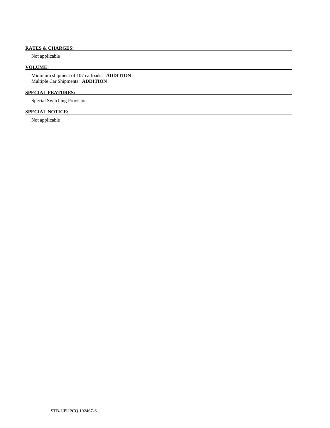# **RATES & CHARGES:**

Not applicable

# **VOLUME:**

 Minimum shipment of 107 carloads. **ADDITION**  Multiple Car Shipments **ADDITION** 

# **SPECIAL FEATURES:**

Special Switching Provision

# **SPECIAL NOTICE:**

Not applicable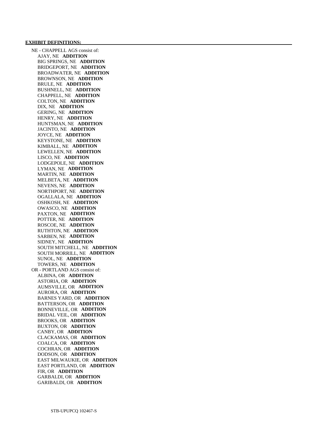#### **EXHIBIT DEFINITIONS:**

 NE - CHAPPELL AGS consist of: AJAY, NE **ADDITION**  BIG SPRINGS, NE **ADDITION**  BRIDGEPORT, NE **ADDITION**  BROADWATER, NE **ADDITION**  BROWNSON, NE **ADDITION**  BRULE, NE **ADDITION**  BUSHNELL, NE **ADDITION**  CHAPPELL, NE **ADDITION**  COLTON, NE **ADDITION**  DIX, NE **ADDITION**  GERING, NE **ADDITION**  HENRY, NE **ADDITION**  HUNTSMAN, NE **ADDITION**  JACINTO, NE **ADDITION**  JOYCE, NE **ADDITION**  KEYSTONE, NE **ADDITION**  KIMBALL, NE **ADDITION**  LEWELLEN, NE **ADDITION**  LISCO, NE **ADDITION**  LODGEPOLE, NE **ADDITION**  LYMAN, NE **ADDITION**  MARTIN, NE **ADDITION**  MELBETA, NE **ADDITION**  NEVENS, NE **ADDITION**  NORTHPORT, NE **ADDITION**  OGALLALA, NE **ADDITION**  OSHKOSH, NE **ADDITION**  OWASCO, NE **ADDITION**  PAXTON, NE **ADDITION**  POTTER, NE **ADDITION**  ROSCOE, NE **ADDITION**  RUTHTON, NE **ADDITION**  SARBEN, NE **ADDITION**  SIDNEY, NE **ADDITION**  SOUTH MITCHELL, NE **ADDITION**  SOUTH MORRILL, NE **ADDITION**  SUNOL, NE **ADDITION**  TOWERS, NE **ADDITION**  OR - PORTLAND AGS consist of: ALBINA, OR **ADDITION**  ASTORIA, OR **ADDITION**  AUMSVILLE, OR **ADDITION**  AURORA, OR **ADDITION**  BARNES YARD, OR **ADDITION**  BATTERSON, OR **ADDITION**  BONNEVILLE, OR **ADDITION**  BRIDAL VEIL, OR **ADDITION**  BROOKS, OR **ADDITION**  BUXTON, OR **ADDITION**  CANBY, OR **ADDITION**  CLACKAMAS, OR **ADDITION**  COALCA, OR **ADDITION**  COCHRAN, OR **ADDITION**  DODSON, OR **ADDITION**  EAST MILWAUKIE, OR **ADDITION**  EAST PORTLAND, OR **ADDITION**  FIR, OR **ADDITION**  GARBALDI, OR **ADDITION**  GARIBALDI, OR **ADDITION**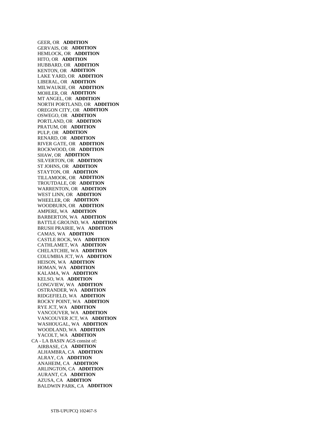GEER, OR **ADDITION**  GERVAIS, OR **ADDITION**  HEMLOCK, OR **ADDITION**  HITO, OR **ADDITION**  HUBBARD, OR **ADDITION**  KENTON, OR **ADDITION**  LAKE YARD, OR **ADDITION**  LIBERAL, OR **ADDITION**  MILWAUKIE, OR **ADDITION**  MOHLER, OR **ADDITION**  MT ANGEL, OR **ADDITION**  NORTH PORTLAND, OR **ADDITION**  OREGON CITY, OR **ADDITION**  OSWEGO, OR **ADDITION**  PORTLAND, OR **ADDITION**  PRATUM, OR **ADDITION**  PULP, OR **ADDITION**  RENARD, OR **ADDITION**  RIVER GATE, OR **ADDITION**  ROCKWOOD, OR **ADDITION**  SHAW, OR **ADDITION**  SILVERTON, OR **ADDITION**  ST JOHNS, OR **ADDITION**  STAYTON, OR **ADDITION**  TILLAMOOK, OR **ADDITION**  TROUTDALE, OR **ADDITION**  WARRENTON, OR **ADDITION**  WEST LINN, OR **ADDITION**  WHEELER, OR **ADDITION**  WOODBURN, OR **ADDITION**  AMPERE, WA **ADDITION**  BARBERTON, WA **ADDITION**  BATTLE GROUND, WA **ADDITION**  BRUSH PRAIRIE, WA **ADDITION**  CAMAS, WA **ADDITION**  CASTLE ROCK, WA **ADDITION**  CATHLAMET, WA **ADDITION**  CHELATCHIE, WA **ADDITION**  COLUMBIA JCT, WA **ADDITION**  HEISON, WA **ADDITION**  HOMAN, WA **ADDITION**  KALAMA, WA **ADDITION**  KELSO, WA **ADDITION**  LONGVIEW, WA **ADDITION**  OSTRANDER, WA **ADDITION**  RIDGEFIELD, WA **ADDITION**  ROCKY POINT, WA **ADDITION**  RYE JCT, WA **ADDITION**  VANCOUVER, WA **ADDITION**  VANCOUVER JCT, WA **ADDITION**  WASHOUGAL, WA **ADDITION**  WOODLAND, WA **ADDITION**  YACOLT, WA **ADDITION**  CA - LA BASIN AGS consist of: AIRBASE, CA **ADDITION**  ALHAMBRA, CA **ADDITION**  ALRAY, CA **ADDITION**  ANAHEIM, CA **ADDITION**  ARLINGTON, CA **ADDITION**  AURANT, CA **ADDITION**  AZUSA, CA **ADDITION**  BALDWIN PARK, CA **ADDITION**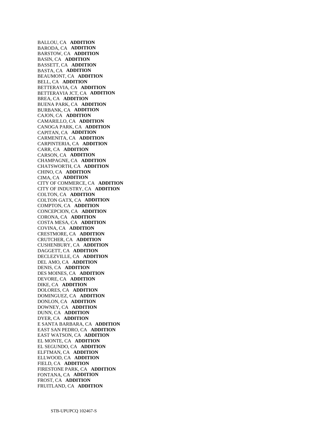BALLOU, CA **ADDITION**  BARODA, CA **ADDITION**  BARSTOW, CA **ADDITION**  BASIN, CA **ADDITION**  BASSETT, CA **ADDITION**  BASTA, CA **ADDITION**  BEAUMONT, CA **ADDITION**  BELL, CA **ADDITION**  BETTERAVIA, CA **ADDITION**  BETTERAVIA JCT, CA **ADDITION**  BREA, CA **ADDITION**  BUENA PARK, CA **ADDITION**  BURBANK, CA **ADDITION**  CAJON, CA **ADDITION**  CAMARILLO, CA **ADDITION**  CANOGA PARK, CA **ADDITION**  CAPITAN, CA **ADDITION**  CARMENITA, CA **ADDITION**  CARPINTERIA, CA **ADDITION**  CARR, CA **ADDITION**  CARSON, CA **ADDITION**  CHAMPAGNE, CA **ADDITION**  CHATSWORTH, CA **ADDITION**  CHINO, CA **ADDITION**  CIMA, CA **ADDITION**  CITY OF COMMERCE, CA **ADDITION**  CITY OF INDUSTRY, CA **ADDITION**  COLTON, CA **ADDITION**  COLTON GATX, CA **ADDITION**  COMPTON, CA **ADDITION**  CONCEPCION, CA **ADDITION**  CORONA, CA **ADDITION**  COSTA MESA, CA **ADDITION**  COVINA, CA **ADDITION**  CRESTMORE, CA **ADDITION**  CRUTCHER, CA **ADDITION**  CUSHENBURY, CA **ADDITION**  DAGGETT, CA **ADDITION**  DECLEZVILLE, CA **ADDITION**  DEL AMO, CA **ADDITION**  DENIS, CA **ADDITION**  DES MOINES, CA **ADDITION**  DEVORE, CA **ADDITION**  DIKE, CA **ADDITION**  DOLORES, CA **ADDITION**  DOMINGUEZ, CA **ADDITION**  DONLON, CA **ADDITION**  DOWNEY, CA **ADDITION**  DUNN, CA **ADDITION**  DYER, CA **ADDITION**  E SANTA BARBARA, CA **ADDITION**  EAST SAN PEDRO, CA **ADDITION**  EAST WATSON, CA **ADDITION**  EL MONTE, CA **ADDITION**  EL SEGUNDO, CA **ADDITION**  ELFTMAN, CA **ADDITION**  ELLWOOD, CA **ADDITION**  FIELD, CA **ADDITION**  FIRESTONE PARK, CA **ADDITION**  FONTANA, CA **ADDITION**  FROST, CA **ADDITION**  FRUITLAND, CA **ADDITION**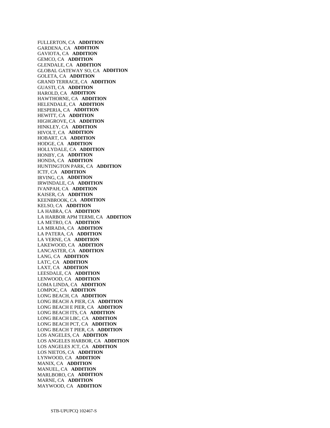FULLERTON, CA **ADDITION**  GARDENA, CA **ADDITION**  GAVIOTA, CA **ADDITION**  GEMCO, CA **ADDITION**  GLENDALE, CA **ADDITION**  GLOBAL GATEWAY SO, CA **ADDITION**  GOLETA, CA **ADDITION**  GRAND TERRACE, CA **ADDITION**  GUASTI, CA **ADDITION**  HAROLD, CA **ADDITION**  HAWTHORNE, CA **ADDITION**  HELENDALE, CA **ADDITION**  HESPERIA, CA **ADDITION**  HEWITT, CA **ADDITION**  HIGHGROVE, CA **ADDITION**  HINKLEY, CA **ADDITION**  HIVOLT, CA **ADDITION**  HOBART, CA **ADDITION**  HODGE, CA **ADDITION**  HOLLYDALE, CA **ADDITION**  HONBY, CA **ADDITION**  HONDA, CA **ADDITION**  HUNTINGTON PARK, CA **ADDITION**  ICTF, CA **ADDITION**  IRVING, CA **ADDITION**  IRWINDALE, CA **ADDITION**  IVANPAH, CA **ADDITION**  KAISER, CA **ADDITION**  KEENBROOK, CA **ADDITION**  KELSO, CA **ADDITION**  LA HABRA, CA **ADDITION**  LA HARBOR APM TERMI, CA **ADDITION**  LA METRO, CA **ADDITION**  LA MIRADA, CA **ADDITION**  LA PATERA, CA **ADDITION**  LA VERNE, CA **ADDITION**  LAKEWOOD, CA **ADDITION**  LANCASTER, CA **ADDITION**  LANG, CA **ADDITION**  LATC, CA **ADDITION**  LAXT, CA **ADDITION**  LEESDALE, CA **ADDITION**  LENWOOD, CA **ADDITION**  LOMA LINDA, CA **ADDITION**  LOMPOC, CA **ADDITION**  LONG BEACH, CA **ADDITION**  LONG BEACH A PIER, CA **ADDITION**  LONG BEACH E PIER, CA **ADDITION**  LONG BEACH ITS, CA **ADDITION**  LONG BEACH LBC, CA **ADDITION**  LONG BEACH PCT, CA **ADDITION**  LONG BEACH T PIER, CA **ADDITION**  LOS ANGELES, CA **ADDITION**  LOS ANGELES HARBOR, CA **ADDITION**  LOS ANGELES JCT, CA **ADDITION**  LOS NIETOS, CA **ADDITION**  LYNWOOD, CA **ADDITION**  MANIX, CA **ADDITION**  MANUEL, CA **ADDITION**  MARLBORO, CA **ADDITION**  MARNE, CA **ADDITION**  MAYWOOD, CA **ADDITION**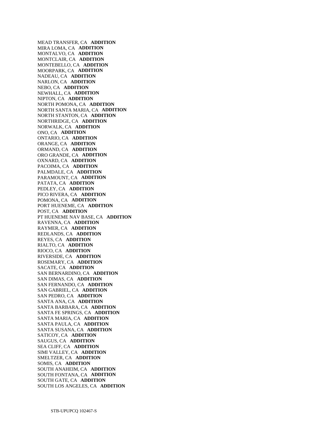MEAD TRANSFER, CA **ADDITION**  MIRA LOMA, CA **ADDITION**  MONTALVO, CA **ADDITION**  MONTCLAIR, CA **ADDITION**  MONTEBELLO, CA **ADDITION**  MOORPARK, CA **ADDITION**  NADEAU, CA **ADDITION**  NARLON, CA **ADDITION**  NEBO, CA **ADDITION**  NEWHALL, CA **ADDITION**  NIPTON, CA **ADDITION**  NORTH POMONA, CA **ADDITION**  NORTH SANTA MARIA, CA **ADDITION**  NORTH STANTON, CA **ADDITION**  NORTHRIDGE, CA **ADDITION**  NORWALK, CA **ADDITION**  ONO, CA **ADDITION**  ONTARIO, CA **ADDITION**  ORANGE, CA **ADDITION**  ORMAND, CA **ADDITION**  ORO GRANDE, CA **ADDITION**  OXNARD, CA **ADDITION**  PACOIMA, CA **ADDITION**  PALMDALE, CA **ADDITION**  PARAMOUNT, CA **ADDITION**  PATATA, CA **ADDITION**  PEDLEY, CA **ADDITION**  PICO RIVERA, CA **ADDITION**  POMONA, CA **ADDITION**  PORT HUENEME, CA **ADDITION**  POST, CA **ADDITION**  PT HUENEME NAV BASE, CA **ADDITION**  RAVENNA, CA **ADDITION**  RAYMER, CA **ADDITION**  REDLANDS, CA **ADDITION**  REYES, CA **ADDITION**  RIALTO, CA **ADDITION**  RIOCO, CA **ADDITION**  RIVERSIDE, CA **ADDITION**  ROSEMARY, CA **ADDITION**  SACATE, CA **ADDITION**  SAN BERNARDINO, CA **ADDITION**  SAN DIMAS, CA **ADDITION**  SAN FERNANDO, CA **ADDITION**  SAN GABRIEL, CA **ADDITION**  SAN PEDRO, CA **ADDITION**  SANTA ANA, CA **ADDITION**  SANTA BARBARA, CA **ADDITION**  SANTA FE SPRINGS, CA **ADDITION**  SANTA MARIA, CA **ADDITION**  SANTA PAULA, CA **ADDITION**  SANTA SUSANA, CA **ADDITION**  SATICOY, CA **ADDITION**  SAUGUS, CA **ADDITION**  SEA CLIFF, CA **ADDITION**  SIMI VALLEY, CA **ADDITION**  SMELTZER, CA **ADDITION**  SOMIS, CA **ADDITION**  SOUTH ANAHEIM, CA **ADDITION**  SOUTH FONTANA, CA **ADDITION**  SOUTH GATE, CA **ADDITION**  SOUTH LOS ANGELES, CA **ADDITION**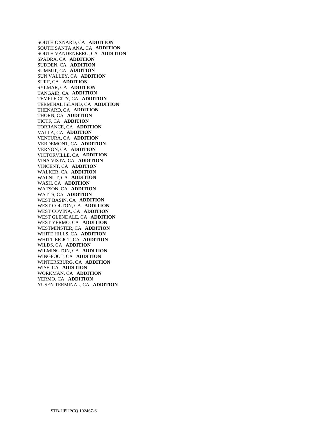SOUTH OXNARD, CA **ADDITION**  SOUTH SANTA ANA, CA **ADDITION**  SOUTH VANDENBERG, CA **ADDITION**  SPADRA, CA **ADDITION**  SUDDEN, CA **ADDITION**  SUMMIT, CA **ADDITION**  SUN VALLEY, CA **ADDITION**  SURF, CA **ADDITION**  SYLMAR, CA **ADDITION**  TANGAIR, CA **ADDITION**  TEMPLE CITY, CA **ADDITION**  TERMINAL ISLAND, CA **ADDITION**  THENARD, CA **ADDITION**  THORN, CA **ADDITION**  TICTF, CA **ADDITION**  TORRANCE, CA **ADDITION**  VALLA, CA **ADDITION**  VENTURA, CA **ADDITION**  VERDEMONT, CA **ADDITION**  VERNON, CA **ADDITION**  VICTORVILLE, CA **ADDITION**  VINA VISTA, CA **ADDITION**  VINCENT, CA **ADDITION**  WALKER, CA **ADDITION**  WALNUT, CA **ADDITION**  WASH, CA **ADDITION**  WATSON, CA **ADDITION**  WATTS, CA **ADDITION**  WEST BASIN, CA **ADDITION**  WEST COLTON, CA **ADDITION**  WEST COVINA, CA **ADDITION**  WEST GLENDALE, CA **ADDITION**  WEST YERMO, CA **ADDITION**  WESTMINSTER, CA **ADDITION**  WHITE HILLS, CA **ADDITION**  WHITTIER JCT, CA **ADDITION**  WILDS, CA **ADDITION**  WILMINGTON, CA **ADDITION**  WINGFOOT, CA **ADDITION**  WINTERSBURG, CA **ADDITION**  WISE, CA **ADDITION**  WORKMAN, CA **ADDITION**  YERMO, CA **ADDITION**  YUSEN TERMINAL, CA **ADDITION**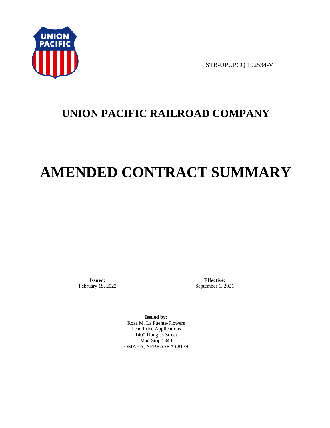

STB-UPUPCQ 102534-V

# **UNION PACIFIC RAILROAD COMPANY**

# **AMENDED CONTRACT SUMMARY**

**Issued:**  February 19, 2022

**Effective:** September 1, 2021

**Issued by:**  Rosa M. La Puente-Flowers Lead Price Applications 1400 Douglas Street Mail Stop 1340 OMAHA, NEBRASKA 68179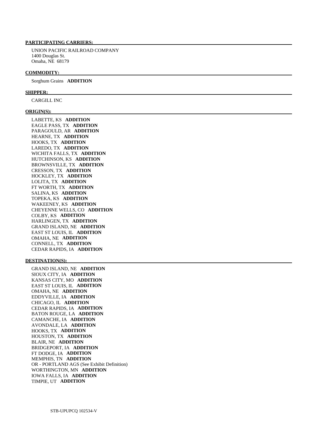# **PARTICIPATING CARRIERS:**

 UNION PACIFIC RAILROAD COMPANY 1400 Douglas St. Omaha, NE 68179

#### **COMMODITY:**

Sorghum Grains **ADDITION** 

#### **SHIPPER:**

CARGILL INC

#### **ORIGIN(S):**

 LABETTE, KS **ADDITION**  EAGLE PASS, TX **ADDITION**  PARAGOULD, AR **ADDITION**  HEARNE, TX **ADDITION**  HOOKS, TX **ADDITION**  LAREDO, TX **ADDITION**  WICHITA FALLS, TX **ADDITION**  HUTCHINSON, KS **ADDITION**  BROWNSVILLE, TX **ADDITION**  CRESSON, TX **ADDITION**  HOCKLEY, TX **ADDITION**  LOLITA, TX **ADDITION**  FT WORTH, TX **ADDITION**  SALINA, KS **ADDITION**  TOPEKA, KS **ADDITION**  WAKEENEY, KS **ADDITION**  CHEYENNE WELLS, CO **ADDITION**  COLBY, KS **ADDITION**  HARLINGEN, TX **ADDITION**  GRAND ISLAND, NE **ADDITION**  EAST ST LOUIS, IL **ADDITION**  OMAHA, NE **ADDITION**  CONNELL, TX **ADDITION**  CEDAR RAPIDS, IA **ADDITION** 

#### **DESTINATION(S):**

 GRAND ISLAND, NE **ADDITION**  SIOUX CITY, IA **ADDITION**  KANSAS CITY, MO **ADDITION**  EAST ST LOUIS, IL **ADDITION**  OMAHA, NE **ADDITION**  EDDYVILLE, IA **ADDITION**  CHICAGO, IL **ADDITION**  CEDAR RAPIDS, IA **ADDITION**  BATON ROUGE, LA **ADDITION**  CAMANCHE, IA **ADDITION**  AVONDALE, LA **ADDITION**  HOOKS, TX **ADDITION**  HOUSTON, TX **ADDITION**  BLAIR, NE **ADDITION**  BRIDGEPORT, IA **ADDITION**  FT DODGE, IA **ADDITION**  MEMPHIS, TN **ADDITION**  OR - PORTLAND AGS (See Exhibit Definition) WORTHINGTON, MN **ADDITION**  IOWA FALLS, IA **ADDITION**  TIMPIE, UT **ADDITION**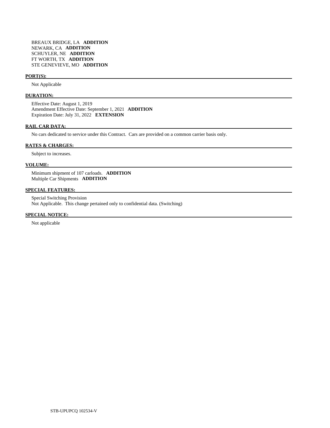# **PORT(S):**

Not Applicable

#### **DURATION:**

 Effective Date: August 1, 2019 Amendment Effective Date: September 1, 2021 **ADDITION**  Expiration Date: July 31, 2022 **EXTENSION** 

# **RAIL CAR DATA:**

No cars dedicated to service under this Contract. Cars are provided on a common carrier basis only.

#### **RATES & CHARGES:**

Subject to increases.

# **VOLUME:**

 Minimum shipment of 107 carloads. **ADDITION**  Multiple Car Shipments **ADDITION** 

#### **SPECIAL FEATURES:**

 Special Switching Provision Not Applicable. This change pertained only to confidential data. (Switching)

# **SPECIAL NOTICE:**

Not applicable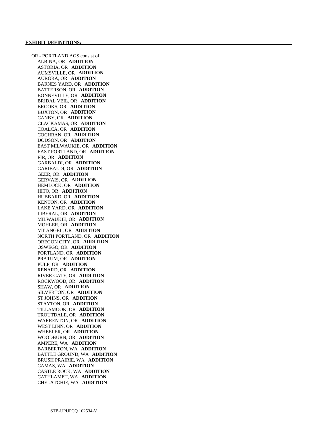OR - PORTLAND AGS consist of: ALBINA, OR **ADDITION**  ASTORIA, OR **ADDITION**  AUMSVILLE, OR **ADDITION**  AURORA, OR **ADDITION**  BARNES YARD, OR **ADDITION**  BATTERSON, OR **ADDITION**  BONNEVILLE, OR **ADDITION**  BRIDAL VEIL, OR **ADDITION**  BROOKS, OR **ADDITION**  BUXTON, OR **ADDITION**  CANBY, OR **ADDITION**  CLACKAMAS, OR **ADDITION**  COALCA, OR **ADDITION**  COCHRAN, OR **ADDITION**  DODSON, OR **ADDITION**  EAST MILWAUKIE, OR **ADDITION**  EAST PORTLAND, OR **ADDITION**  FIR, OR **ADDITION**  GARBALDI, OR **ADDITION**  GARIBALDI, OR **ADDITION**  GEER, OR **ADDITION**  GERVAIS, OR **ADDITION**  HEMLOCK, OR **ADDITION**  HITO, OR **ADDITION**  HUBBARD, OR **ADDITION**  KENTON, OR **ADDITION**  LAKE YARD, OR **ADDITION**  LIBERAL, OR **ADDITION**  MILWAUKIE, OR **ADDITION**  MOHLER, OR **ADDITION**  MT ANGEL, OR **ADDITION**  NORTH PORTLAND, OR **ADDITION**  OREGON CITY, OR **ADDITION**  OSWEGO, OR **ADDITION**  PORTLAND, OR **ADDITION**  PRATUM, OR **ADDITION**  PULP, OR **ADDITION**  RENARD, OR **ADDITION**  RIVER GATE, OR **ADDITION**  ROCKWOOD, OR **ADDITION**  SHAW, OR **ADDITION**  SILVERTON, OR **ADDITION**  ST JOHNS, OR **ADDITION**  STAYTON, OR **ADDITION**  TILLAMOOK, OR **ADDITION**  TROUTDALE, OR **ADDITION**  WARRENTON, OR **ADDITION**  WEST LINN, OR **ADDITION**  WHEELER, OR **ADDITION**  WOODBURN, OR **ADDITION**  AMPERE, WA **ADDITION**  BARBERTON, WA **ADDITION**  BATTLE GROUND, WA **ADDITION**  BRUSH PRAIRIE, WA **ADDITION**  CAMAS, WA **ADDITION**  CASTLE ROCK, WA **ADDITION**  CATHLAMET, WA **ADDITION**  CHELATCHIE, WA **ADDITION**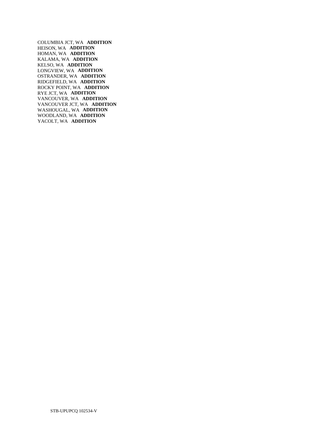COLUMBIA JCT, WA **ADDITION**  HEISON, WA **ADDITION**  HOMAN, WA **ADDITION**  KALAMA, WA **ADDITION**  KELSO, WA **ADDITION**  LONGVIEW, WA **ADDITION**  OSTRANDER, WA **ADDITION**  RIDGEFIELD, WA **ADDITION**  ROCKY POINT, WA **ADDITION**  RYE JCT, WA **ADDITION**  VANCOUVER, WA **ADDITION**  VANCOUVER JCT, WA **ADDITION**  WASHOUGAL, WA **ADDITION**  WOODLAND, WA **ADDITION**  YACOLT, WA **ADDITION**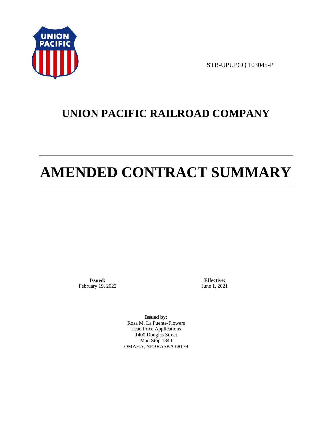

STB-UPUPCQ 103045-P

# **UNION PACIFIC RAILROAD COMPANY**

# **AMENDED CONTRACT SUMMARY**

**Issued:**  February 19, 2022

**Effective:** June 1, 2021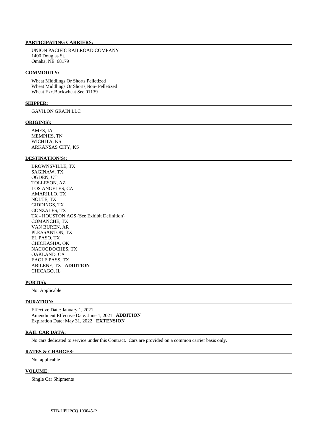UNION PACIFIC RAILROAD COMPANY 1400 Douglas St. Omaha, NE 68179

#### **COMMODITY:**

 Wheat Middlings Or Shorts,Pelletized Wheat Middlings Or Shorts,Non- Pelletized Wheat Exc.Buckwheat See 01139

#### **SHIPPER:**

GAVILON GRAIN LLC

#### **ORIGIN(S):**

 AMES, IA MEMPHIS, TN WICHITA, KS ARKANSAS CITY, KS

#### **DESTINATION(S):**

 BROWNSVILLE, TX SAGINAW, TX OGDEN, UT TOLLESON, AZ LOS ANGELES, CA AMARILLO, TX NOLTE, TX GIDDINGS, TX GONZALES, TX TX - HOUSTON AGS (See Exhibit Definition) COMANCHE, TX VAN BUREN, AR PLEASANTON, TX EL PASO, TX CHICKASHA, OK NACOGDOCHES, TX OAKLAND, CA EAGLE PASS, TX ABILENE, TX **ADDITION**  CHICAGO, IL

#### **PORT(S):**

Not Applicable

#### **DURATION:**

 Effective Date: January 1, 2021 Amendment Effective Date: June 1, 2021 **ADDITION**  Expiration Date: May 31, 2022 **EXTENSION** 

#### **RAIL CAR DATA:**

No cars dedicated to service under this Contract. Cars are provided on a common carrier basis only.

#### **RATES & CHARGES:**

Not applicable

#### **VOLUME:**

Single Car Shipments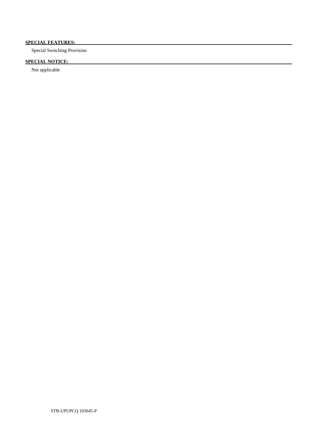# **SPECIAL FEATURES:**

Special Switching Provision

# **SPECIAL NOTICE:**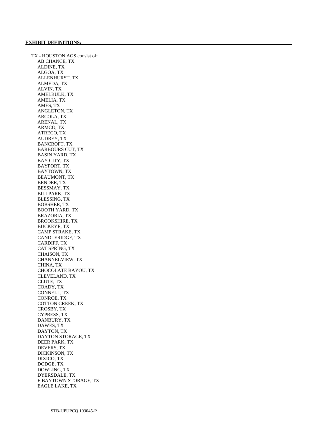TX - HOUSTON AGS consist of: AB CHANCE, TX ALDINE, TX ALGOA, TX ALLENHURST, TX ALMEDA, TX ALVIN, TX AMELBULK, TX AMELIA, TX AMES, TX ANGLETON, TX ARCOLA, TX ARENAL, TX ARMCO, TX ATRECO, TX AUDREY, TX BANCROFT, TX BARBOURS CUT, TX BASIN YARD, TX BAY CITY, TX BAYPORT, TX BAYTOWN, TX BEAUMONT, TX BENDER, TX BESSMAY, TX BILLPARK, TX BLESSING, TX BOBSHER, TX BOOTH YARD, TX BRAZORIA, TX BROOKSHIRE, TX BUCKEYE, TX CAMP STRAKE, TX CANDLERIDGE, TX CARDIFF, TX CAT SPRING, TX CHAISON, TX CHANNELVIEW, TX CHINA, TX CHOCOLATE BAYOU, TX CLEVELAND, TX CLUTE, TX COADY, TX CONNELL, TX CONROE, TX COTTON CREEK, TX CROSBY, TX CYPRESS, TX DANBURY, TX DAWES, TX DAYTON, TX DAYTON STORAGE, TX DEER PARK, TX DEVERS, TX DICKINSON, TX DIXICO, TX DODGE, TX DOWLING, TX DYERSDALE, TX E BAYTOWN STORAGE, TX EAGLE LAKE, TX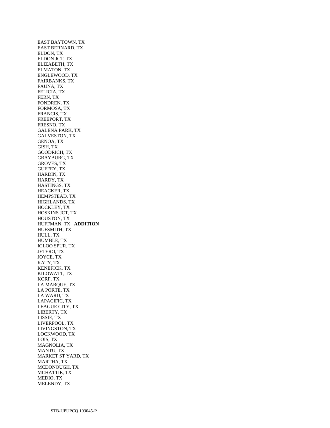EAST BAYTOWN, TX EAST BERNARD, TX ELDON, TX ELDON JCT, TX ELIZABETH, TX ELMATON, TX ENGLEWOOD, TX FAIRBANKS, TX FAUNA, TX FELICIA, TX FERN, TX FONDREN, TX FORMOSA, TX FRANCIS, TX FREEPORT, TX FRESNO, TX GALENA PARK, TX GALVESTON, TX GENOA, TX GISH, TX GOODRICH, TX GRAYBURG, TX GROVES, TX GUFFEY, TX HARDIN, TX HARDY, TX HASTINGS, TX HEACKER, TX HEMPSTEAD, TX HIGHLANDS, TX HOCKLEY, TX HOSKINS JCT, TX HOUSTON, TX HUFFMAN, TX **ADDITION**  HUFSMITH, TX HULL, TX HUMBLE, TX IGLOO SPUR, TX JETERO, TX JOYCE, TX KATY, TX KENEFICK, TX KILOWATT, TX KORF, TX LA MARQUE, TX LA PORTE, TX LA WARD, TX LAPACIFIC, TX LEAGUE CITY, TX LIBERTY, TX LISSIE, TX LIVERPOOL, TX LIVINGSTON, TX LOCKWOOD, TX LOIS, TX MAGNOLIA, TX MANTU, TX MARKET ST YARD, TX MARTHA, TX MCDONOUGH, TX MCHATTIE, TX MEDIO, TX MELENDY, TX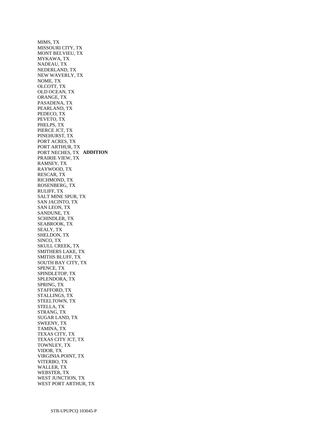MIMS, TX MISSOURI CITY, TX MONT BELVIEU, TX MYKAWA, TX NADEAU, TX NEDERLAND, TX NEW WAVERLY, TX NOME, TX OLCOTT, TX OLD OCEAN, TX ORANGE, TX PASADENA, TX PEARLAND, TX PEDECO, TX PEVETO, TX PHELPS, TX PIERCE JCT, TX PINEHURST, TX PORT ACRES, TX PORT ARTHUR, TX PORT NECHES, TX **ADDITION**  PRAIRIE VIEW, TX RAMSEY, TX RAYWOOD, TX RESCAR, TX RICHMOND, TX ROSENBERG, TX RULIFF, TX SALT MINE SPUR, TX SAN JACINTO, TX SAN LEON, TX SANDUNE, TX SCHINDLER, TX SEABROOK, TX SEALY, TX SHELDON, TX SINCO, TX SKULL CREEK, TX SMITHERS LAKE, TX SMITHS BLUFF, TX SOUTH BAY CITY, TX SPENCE, TX SPINDLETOP, TX SPLENDORA, TX SPRING, TX STAFFORD, TX STALLINGS, TX STEELTOWN, TX STELLA, TX STRANG, TX SUGAR LAND, TX SWEENY, TX TAMINA, TX TEXAS CITY, TX TEXAS CITY JCT, TX TOWNLEY, TX VIDOR, TX VIRGINIA POINT, TX VITERBO, TX WALLER, TX WEBSTER, TX WEST JUNCTION, TX WEST PORT ARTHUR, TX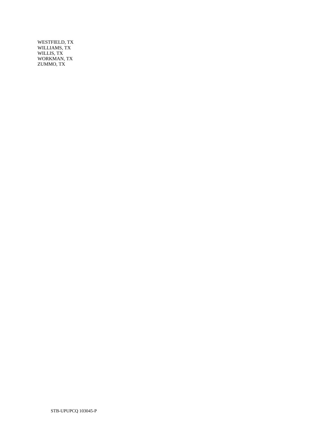WESTFIELD, TX WILLIAMS, TX WILLIS, TX WORKMAN, TX ZUMMO, TX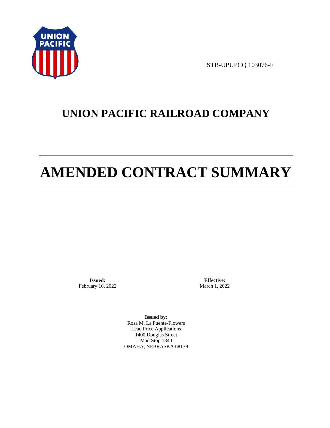

STB-UPUPCQ 103076-F

# **UNION PACIFIC RAILROAD COMPANY**

# **AMENDED CONTRACT SUMMARY**

**Issued:**  February 16, 2022

**Effective:** March 1, 2022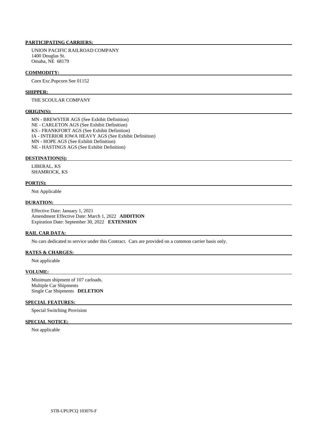UNION PACIFIC RAILROAD COMPANY 1400 Douglas St. Omaha, NE 68179

#### **COMMODITY:**

Corn Exc.Popcorn See 01152

#### **SHIPPER:**

# THE SCOULAR COMPANY

#### **ORIGIN(S):**

 MN - BREWSTER AGS (See Exhibit Definition) NE - CARLETON AGS (See Exhibit Definition) KS - FRANKFORT AGS (See Exhibit Definition) IA - INTERIOR IOWA HEAVY AGS (See Exhibit Definition) MN - HOPE AGS (See Exhibit Definition) NE - HASTINGS AGS (See Exhibit Definition)

#### **DESTINATION(S):**

 LIBERAL, KS SHAMROCK, KS

#### **PORT(S):**

Not Applicable

#### **DURATION:**

 Effective Date: January 1, 2021 Amendment Effective Date: March 1, 2022 **ADDITION**  Expiration Date: September 30, 2022 **EXTENSION** 

#### **RAIL CAR DATA:**

No cars dedicated to service under this Contract. Cars are provided on a common carrier basis only.

## **RATES & CHARGES:**

Not applicable

# **VOLUME:**

 Minimum shipment of 107 carloads. Multiple Car Shipments Single Car Shipments **DELETION** 

## **SPECIAL FEATURES:**

Special Switching Provision

# **SPECIAL NOTICE:**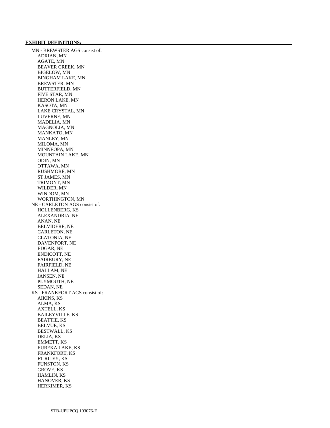#### **EXHIBIT DEFINITIONS:**

 MN - BREWSTER AGS consist of: ADRIAN, MN AGATE, MN BEAVER CREEK, MN BIGELOW, MN BINGHAM LAKE, MN BREWSTER, MN BUTTERFIELD, MN FIVE STAR, MN HERON LAKE, MN KASOTA, MN LAKE CRYSTAL, MN LUVERNE, MN MADELIA, MN MAGNOLIA, MN MANKATO, MN MANLEY, MN MILOMA, MN MINNEOPA, MN MOUNTAIN LAKE, MN ODIN, MN OTTAWA, MN RUSHMORE, MN ST JAMES, MN TRIMONT, MN WILDER, MN WINDOM, MN WORTHINGTON, MN NE - CARLETON AGS consist of: HOLLENBERG, KS ALEXANDRIA, NE ANAN, NE BELVIDERE, NE CARLETON, NE CLATONIA, NE DAVENPORT, NE EDGAR, NE ENDICOTT, NE FAIRBURY, NE FAIRFIELD, NE HALLAM, NE JANSEN, NE PLYMOUTH, NE SEDAN, NE KS - FRANKFORT AGS consist of: AIKINS, KS ALMA, KS AXTELL, KS BAILEYVILLE, KS BEATTIE, KS BELVUE, KS BESTWALL, KS DELIA, KS EMMETT, KS EUREKA LAKE, KS FRANKFORT, KS FT RILEY, KS FUNSTON, KS GROVE, KS HAMLIN, KS HANOVER, KS HERKIMER, KS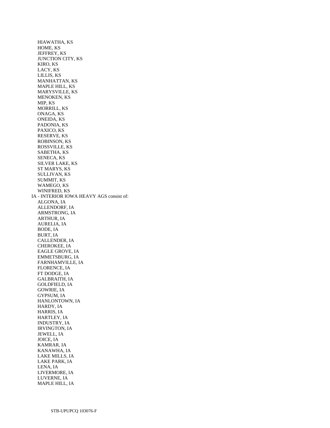HIAWATHA, KS HOME, KS JEFFREY, KS JUNCTION CITY, KS KIRO, KS LACY, KS LILLIS, KS MANHATTAN, KS MAPLE HILL, KS MARYSVILLE, KS MENOKEN, KS MIP, KS MORRILL, KS ONAGA, KS ONEIDA, KS PADONIA, KS PAXICO, KS RESERVE, KS ROBINSON, KS ROSSVILLE, KS SABETHA, KS SENECA, KS SILVER LAKE, KS ST MARYS, KS SULLIVAN, KS SUMMIT, KS WAMEGO, KS WINIFRED, KS IA - INTERIOR IOWA HEAVY AGS consist of: ALGONA, IA ALLENDORF, IA ARMSTRONG, IA ARTHUR, IA AURELIA, IA BODE, IA BURT, IA CALLENDER, IA CHEROKEE, IA EAGLE GROVE, IA EMMETSBURG, IA FARNHAMVILLE, IA FLORENCE, IA FT DODGE, IA GALBRAITH, IA GOLDFIELD, IA GOWRIE, IA GYPSUM, IA HANLONTOWN, IA HARDY, IA HARRIS, IA HARTLEY, IA INDUSTRY, IA IRVINGTON, IA JEWELL, IA JOICE, IA KAMRAR, IA KANAWHA, IA LAKE MILLS, IA LAKE PARK, IA LENA, IA LIVERMORE, IA LUVERNE, IA MAPLE HILL, IA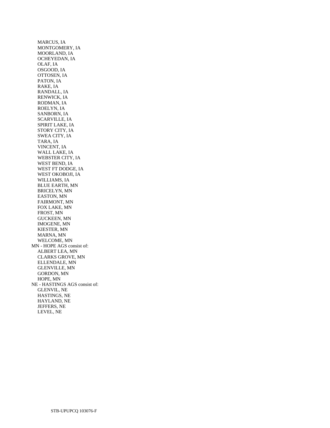MARCUS, IA MONTGOMERY, IA MOORLAND, IA OCHEYEDAN, IA OLAF, IA OSGOOD, IA OTTOSEN, IA PATON, IA RAKE, IA RANDALL, IA RENWICK, IA RODMAN, IA ROELYN, IA SANBORN, IA SCARVILLE, IA SPIRIT LAKE, IA STORY CITY, IA SWEA CITY, IA TARA, IA VINCENT, IA WALL LAKE, IA WEBSTER CITY, IA WEST BEND, IA WEST FT DODGE, IA WEST OKOBOJI, IA WILLIAMS, IA BLUE EARTH, MN BRICELYN, MN EASTON, MN FAIRMONT, MN FOX LAKE, MN FROST, MN GUCKEEN, MN IMOGENE, MN KIESTER, MN MARNA, MN WELCOME, MN MN - HOPE AGS consist of: ALBERT LEA, MN CLARKS GROVE, MN ELLENDALE, MN GLENVILLE, MN GORDON, MN HOPE, MN NE - HASTINGS AGS consist of: GLENVIL, NE HASTINGS, NE HAYLAND, NE JEFFERS, NE LEVEL, NE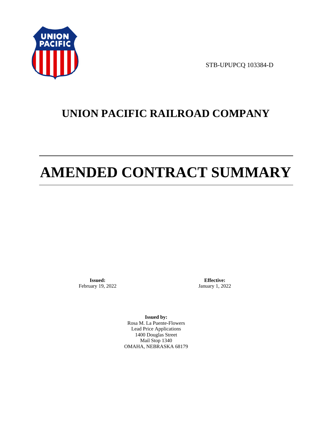

STB-UPUPCQ 103384-D

# **UNION PACIFIC RAILROAD COMPANY**

# **AMENDED CONTRACT SUMMARY**

**Issued:**  February 19, 2022

**Effective:** January 1, 2022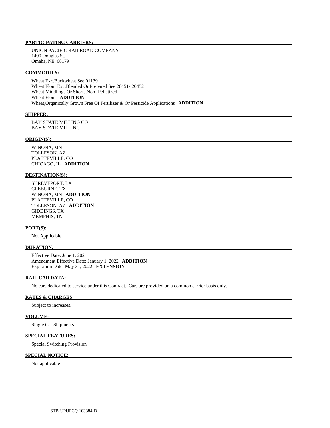UNION PACIFIC RAILROAD COMPANY 1400 Douglas St. Omaha, NE 68179

#### **COMMODITY:**

 Wheat Exc.Buckwheat See 01139 Wheat Flour Exc.Blended Or Prepared See 20451- 20452 Wheat Middlings Or Shorts,Non- Pelletized Wheat Flour **ADDITION**  Wheat,Organically Grown Free Of Fertilizer & Or Pesticide Applications **ADDITION** 

#### **SHIPPER:**

 BAY STATE MILLING CO BAY STATE MILLING

#### **ORIGIN(S):**

 WINONA, MN TOLLESON, AZ PLATTEVILLE, CO CHICAGO, IL **ADDITION** 

#### **DESTINATION(S):**

 SHREVEPORT, LA CLEBURNE, TX WINONA, MN **ADDITION**  PLATTEVILLE, CO TOLLESON, AZ **ADDITION**  GIDDINGS, TX MEMPHIS, TN

#### **PORT(S):**

Not Applicable

#### **DURATION:**

 Effective Date: June 1, 2021 Amendment Effective Date: January 1, 2022 **ADDITION**  Expiration Date: May 31, 2022 **EXTENSION** 

#### **RAIL CAR DATA:**

No cars dedicated to service under this Contract. Cars are provided on a common carrier basis only.

# **RATES & CHARGES:**

Subject to increases.

#### **VOLUME:**

Single Car Shipments

# **SPECIAL FEATURES:**

Special Switching Provision

# **SPECIAL NOTICE:**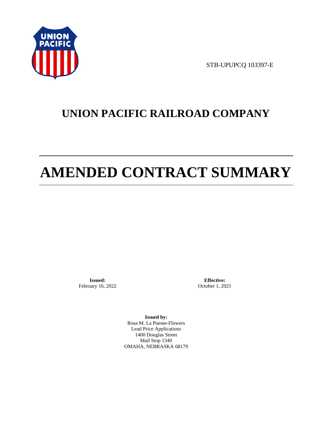

STB-UPUPCQ 103397-E

# **UNION PACIFIC RAILROAD COMPANY**

# **AMENDED CONTRACT SUMMARY**

**Issued:**  February 16, 2022

**Effective:** October 1, 2021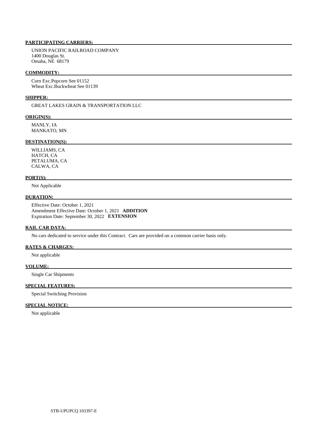UNION PACIFIC RAILROAD COMPANY 1400 Douglas St. Omaha, NE 68179

#### **COMMODITY:**

 Corn Exc.Popcorn See 01152 Wheat Exc.Buckwheat See 01139

## **SHIPPER:**

GREAT LAKES GRAIN & TRANSPORTATION LLC

#### **ORIGIN(S):**

 MANLY, IA MANKATO, MN

# **DESTINATION(S):**

 WILLIAMS, CA HATCH, CA PETALUMA, CA CALWA, CA

# **PORT(S):**

Not Applicable

# **DURATION:**

 Effective Date: October 1, 2021 Amendment Effective Date: October 1, 2021 **ADDITION**  Expiration Date: September 30, 2022 **EXTENSION** 

# **RAIL CAR DATA:**

No cars dedicated to service under this Contract. Cars are provided on a common carrier basis only.

## **RATES & CHARGES:**

Not applicable

#### **VOLUME:**

Single Car Shipments

# **SPECIAL FEATURES:**

Special Switching Provision

# **SPECIAL NOTICE:**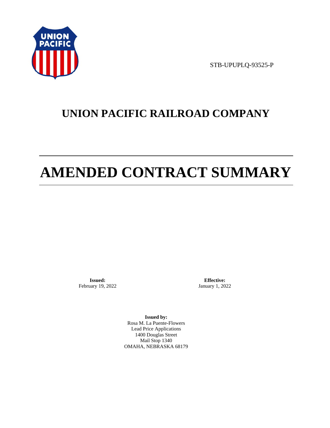

STB-UPUPLQ-93525-P

# **UNION PACIFIC RAILROAD COMPANY**

# **AMENDED CONTRACT SUMMARY**

**Issued:**  February 19, 2022

**Effective:** January 1, 2022